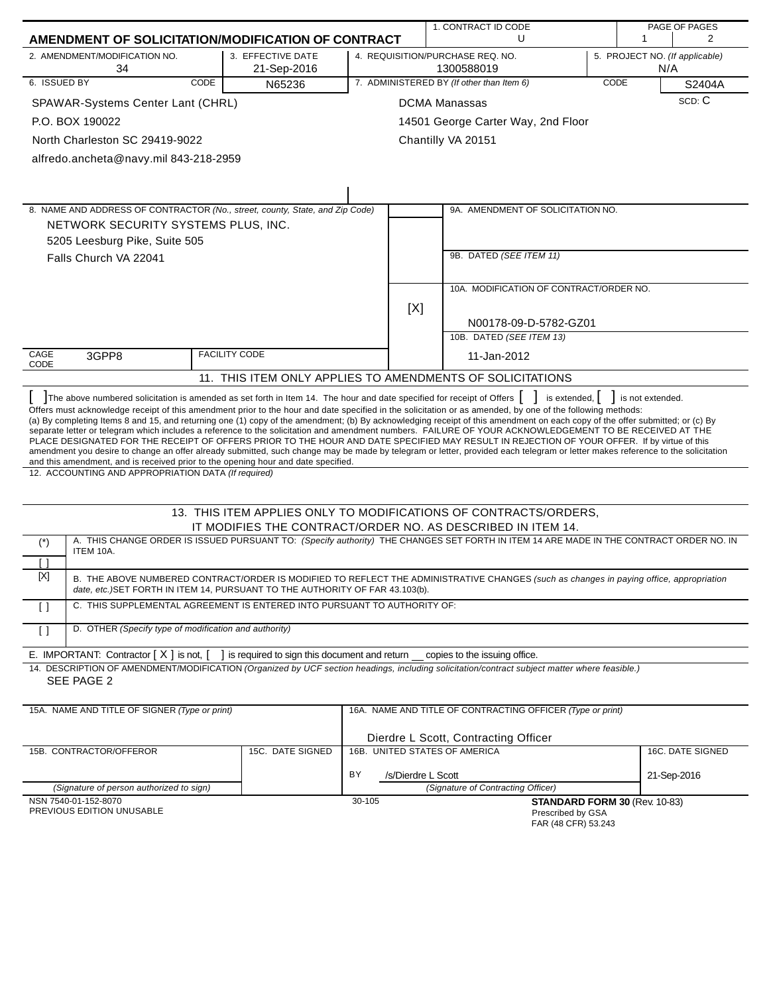|                                                                                                                                                                                                                                                                                                                                                                                                                                                                                                                                                                                                                                                                                                                                                                                                                                                                                                                                                                                    |                                                |        |                    | 1. CONTRACT ID CODE                                                                                                                     |      |                               | PAGE OF PAGES                  |
|------------------------------------------------------------------------------------------------------------------------------------------------------------------------------------------------------------------------------------------------------------------------------------------------------------------------------------------------------------------------------------------------------------------------------------------------------------------------------------------------------------------------------------------------------------------------------------------------------------------------------------------------------------------------------------------------------------------------------------------------------------------------------------------------------------------------------------------------------------------------------------------------------------------------------------------------------------------------------------|------------------------------------------------|--------|--------------------|-----------------------------------------------------------------------------------------------------------------------------------------|------|-------------------------------|--------------------------------|
| AMENDMENT OF SOLICITATION/MODIFICATION OF CONTRACT                                                                                                                                                                                                                                                                                                                                                                                                                                                                                                                                                                                                                                                                                                                                                                                                                                                                                                                                 |                                                |        |                    | U                                                                                                                                       |      | -1                            | $\overline{2}$                 |
| 2. AMENDMENT/MODIFICATION NO.<br>34                                                                                                                                                                                                                                                                                                                                                                                                                                                                                                                                                                                                                                                                                                                                                                                                                                                                                                                                                | 3. EFFECTIVE DATE<br>21-Sep-2016               |        |                    | 4. REQUISITION/PURCHASE REQ. NO.<br>1300588019                                                                                          |      | N/A                           | 5. PROJECT NO. (If applicable) |
| 6. ISSUED BY<br>CODE                                                                                                                                                                                                                                                                                                                                                                                                                                                                                                                                                                                                                                                                                                                                                                                                                                                                                                                                                               | N65236                                         |        |                    | 7. ADMINISTERED BY (If other than Item 6)                                                                                               | CODE |                               | S2404A                         |
| SPAWAR-Systems Center Lant (CHRL)                                                                                                                                                                                                                                                                                                                                                                                                                                                                                                                                                                                                                                                                                                                                                                                                                                                                                                                                                  |                                                |        |                    | <b>DCMA Manassas</b>                                                                                                                    |      |                               | SCD: C                         |
| P.O. BOX 190022                                                                                                                                                                                                                                                                                                                                                                                                                                                                                                                                                                                                                                                                                                                                                                                                                                                                                                                                                                    |                                                |        |                    | 14501 George Carter Way, 2nd Floor                                                                                                      |      |                               |                                |
| North Charleston SC 29419-9022                                                                                                                                                                                                                                                                                                                                                                                                                                                                                                                                                                                                                                                                                                                                                                                                                                                                                                                                                     |                                                |        |                    | Chantilly VA 20151                                                                                                                      |      |                               |                                |
| alfredo.ancheta@navy.mil 843-218-2959                                                                                                                                                                                                                                                                                                                                                                                                                                                                                                                                                                                                                                                                                                                                                                                                                                                                                                                                              |                                                |        |                    |                                                                                                                                         |      |                               |                                |
|                                                                                                                                                                                                                                                                                                                                                                                                                                                                                                                                                                                                                                                                                                                                                                                                                                                                                                                                                                                    |                                                |        |                    |                                                                                                                                         |      |                               |                                |
|                                                                                                                                                                                                                                                                                                                                                                                                                                                                                                                                                                                                                                                                                                                                                                                                                                                                                                                                                                                    |                                                |        |                    |                                                                                                                                         |      |                               |                                |
| 8. NAME AND ADDRESS OF CONTRACTOR (No., street, county, State, and Zip Code)                                                                                                                                                                                                                                                                                                                                                                                                                                                                                                                                                                                                                                                                                                                                                                                                                                                                                                       |                                                |        |                    | 9A. AMENDMENT OF SOLICITATION NO.                                                                                                       |      |                               |                                |
| NETWORK SECURITY SYSTEMS PLUS, INC.                                                                                                                                                                                                                                                                                                                                                                                                                                                                                                                                                                                                                                                                                                                                                                                                                                                                                                                                                |                                                |        |                    |                                                                                                                                         |      |                               |                                |
| 5205 Leesburg Pike, Suite 505                                                                                                                                                                                                                                                                                                                                                                                                                                                                                                                                                                                                                                                                                                                                                                                                                                                                                                                                                      |                                                |        |                    |                                                                                                                                         |      |                               |                                |
| Falls Church VA 22041                                                                                                                                                                                                                                                                                                                                                                                                                                                                                                                                                                                                                                                                                                                                                                                                                                                                                                                                                              |                                                |        |                    | 9B. DATED (SEE ITEM 11)                                                                                                                 |      |                               |                                |
|                                                                                                                                                                                                                                                                                                                                                                                                                                                                                                                                                                                                                                                                                                                                                                                                                                                                                                                                                                                    |                                                |        |                    |                                                                                                                                         |      |                               |                                |
|                                                                                                                                                                                                                                                                                                                                                                                                                                                                                                                                                                                                                                                                                                                                                                                                                                                                                                                                                                                    |                                                |        |                    | 10A. MODIFICATION OF CONTRACT/ORDER NO.                                                                                                 |      |                               |                                |
|                                                                                                                                                                                                                                                                                                                                                                                                                                                                                                                                                                                                                                                                                                                                                                                                                                                                                                                                                                                    |                                                |        | [X]                |                                                                                                                                         |      |                               |                                |
|                                                                                                                                                                                                                                                                                                                                                                                                                                                                                                                                                                                                                                                                                                                                                                                                                                                                                                                                                                                    |                                                |        |                    | N00178-09-D-5782-GZ01                                                                                                                   |      |                               |                                |
|                                                                                                                                                                                                                                                                                                                                                                                                                                                                                                                                                                                                                                                                                                                                                                                                                                                                                                                                                                                    |                                                |        |                    | 10B. DATED (SEE ITEM 13)                                                                                                                |      |                               |                                |
| CAGE<br>3GPP8<br>CODE                                                                                                                                                                                                                                                                                                                                                                                                                                                                                                                                                                                                                                                                                                                                                                                                                                                                                                                                                              | <b>FACILITY CODE</b>                           |        |                    | 11-Jan-2012                                                                                                                             |      |                               |                                |
|                                                                                                                                                                                                                                                                                                                                                                                                                                                                                                                                                                                                                                                                                                                                                                                                                                                                                                                                                                                    |                                                |        |                    | 11. THIS ITEM ONLY APPLIES TO AMENDMENTS OF SOLICITATIONS                                                                               |      |                               |                                |
| Offers must acknowledge receipt of this amendment prior to the hour and date specified in the solicitation or as amended, by one of the following methods:<br>(a) By completing Items 8 and 15, and returning one (1) copy of the amendment; (b) By acknowledging receipt of this amendment on each copy of the offer submitted; or (c) By<br>separate letter or telegram which includes a reference to the solicitation and amendment numbers. FAILURE OF YOUR ACKNOWLEDGEMENT TO BE RECEIVED AT THE<br>PLACE DESIGNATED FOR THE RECEIPT OF OFFERS PRIOR TO THE HOUR AND DATE SPECIFIED MAY RESULT IN REJECTION OF YOUR OFFER. If by virtue of this<br>amendment you desire to change an offer already submitted, such change may be made by telegram or letter, provided each telegram or letter makes reference to the solicitation<br>and this amendment, and is received prior to the opening hour and date specified.<br>12. ACCOUNTING AND APPROPRIATION DATA (If required) |                                                |        |                    |                                                                                                                                         |      |                               |                                |
|                                                                                                                                                                                                                                                                                                                                                                                                                                                                                                                                                                                                                                                                                                                                                                                                                                                                                                                                                                                    |                                                |        |                    | 13. THIS ITEM APPLIES ONLY TO MODIFICATIONS OF CONTRACTS/ORDERS,                                                                        |      |                               |                                |
|                                                                                                                                                                                                                                                                                                                                                                                                                                                                                                                                                                                                                                                                                                                                                                                                                                                                                                                                                                                    |                                                |        |                    | IT MODIFIES THE CONTRACT/ORDER NO. AS DESCRIBED IN ITEM 14.                                                                             |      |                               |                                |
| $(\dot{z})$                                                                                                                                                                                                                                                                                                                                                                                                                                                                                                                                                                                                                                                                                                                                                                                                                                                                                                                                                                        |                                                |        |                    | A. THIS CHANGE ORDER IS ISSUED PURSUANT TO: (Specify authority) THE CHANGES SET FORTH IN ITEM 14 ARE MADE IN THE CONTRACT ORDER NO. IN  |      |                               |                                |
| ITEM 10A.<br>Ιl                                                                                                                                                                                                                                                                                                                                                                                                                                                                                                                                                                                                                                                                                                                                                                                                                                                                                                                                                                    |                                                |        |                    |                                                                                                                                         |      |                               |                                |
| [X]<br>date, etc.)SET FORTH IN ITEM 14, PURSUANT TO THE AUTHORITY OF FAR 43.103(b).                                                                                                                                                                                                                                                                                                                                                                                                                                                                                                                                                                                                                                                                                                                                                                                                                                                                                                |                                                |        |                    | B. THE ABOVE NUMBERED CONTRACT/ORDER IS MODIFIED TO REFLECT THE ADMINISTRATIVE CHANGES (such as changes in paying office, appropriation |      |                               |                                |
| C. THIS SUPPLEMENTAL AGREEMENT IS ENTERED INTO PURSUANT TO AUTHORITY OF:<br>$\Box$                                                                                                                                                                                                                                                                                                                                                                                                                                                                                                                                                                                                                                                                                                                                                                                                                                                                                                 |                                                |        |                    |                                                                                                                                         |      |                               |                                |
| D. OTHER (Specify type of modification and authority)<br>$\lceil$                                                                                                                                                                                                                                                                                                                                                                                                                                                                                                                                                                                                                                                                                                                                                                                                                                                                                                                  |                                                |        |                    |                                                                                                                                         |      |                               |                                |
| E. IMPORTANT: Contractor $[X]$ is not, $[$                                                                                                                                                                                                                                                                                                                                                                                                                                                                                                                                                                                                                                                                                                                                                                                                                                                                                                                                         | I is required to sign this document and return |        |                    | copies to the issuing office.                                                                                                           |      |                               |                                |
| 14. DESCRIPTION OF AMENDMENT/MODIFICATION (Organized by UCF section headings, including solicitation/contract subject matter where feasible.)<br>SEE PAGE 2                                                                                                                                                                                                                                                                                                                                                                                                                                                                                                                                                                                                                                                                                                                                                                                                                        |                                                |        |                    |                                                                                                                                         |      |                               |                                |
| 15A. NAME AND TITLE OF SIGNER (Type or print)                                                                                                                                                                                                                                                                                                                                                                                                                                                                                                                                                                                                                                                                                                                                                                                                                                                                                                                                      |                                                |        |                    | 16A. NAME AND TITLE OF CONTRACTING OFFICER (Type or print)                                                                              |      |                               |                                |
|                                                                                                                                                                                                                                                                                                                                                                                                                                                                                                                                                                                                                                                                                                                                                                                                                                                                                                                                                                                    |                                                |        |                    |                                                                                                                                         |      |                               |                                |
| 15B. CONTRACTOR/OFFEROR                                                                                                                                                                                                                                                                                                                                                                                                                                                                                                                                                                                                                                                                                                                                                                                                                                                                                                                                                            | 15C. DATE SIGNED                               |        |                    | Dierdre L Scott, Contracting Officer<br>16B. UNITED STATES OF AMERICA                                                                   |      |                               | 16C. DATE SIGNED               |
|                                                                                                                                                                                                                                                                                                                                                                                                                                                                                                                                                                                                                                                                                                                                                                                                                                                                                                                                                                                    |                                                |        |                    |                                                                                                                                         |      |                               |                                |
| (Signature of person authorized to sign)                                                                                                                                                                                                                                                                                                                                                                                                                                                                                                                                                                                                                                                                                                                                                                                                                                                                                                                                           |                                                | ΒY     | /s/Dierdre L Scott | (Signature of Contracting Officer)                                                                                                      |      |                               | 21-Sep-2016                    |
| NSN 7540-01-152-8070                                                                                                                                                                                                                                                                                                                                                                                                                                                                                                                                                                                                                                                                                                                                                                                                                                                                                                                                                               |                                                | 30-105 |                    |                                                                                                                                         |      | STANDARD FORM 30 (Rev. 10-83) |                                |
| PREVIOUS EDITION UNUSABLE                                                                                                                                                                                                                                                                                                                                                                                                                                                                                                                                                                                                                                                                                                                                                                                                                                                                                                                                                          |                                                |        |                    | Prescribed by GSA                                                                                                                       |      |                               |                                |

| <b>FIGSUINGU DY GOA</b> |  |
|-------------------------|--|
| FAR (48 CFR) 53.243     |  |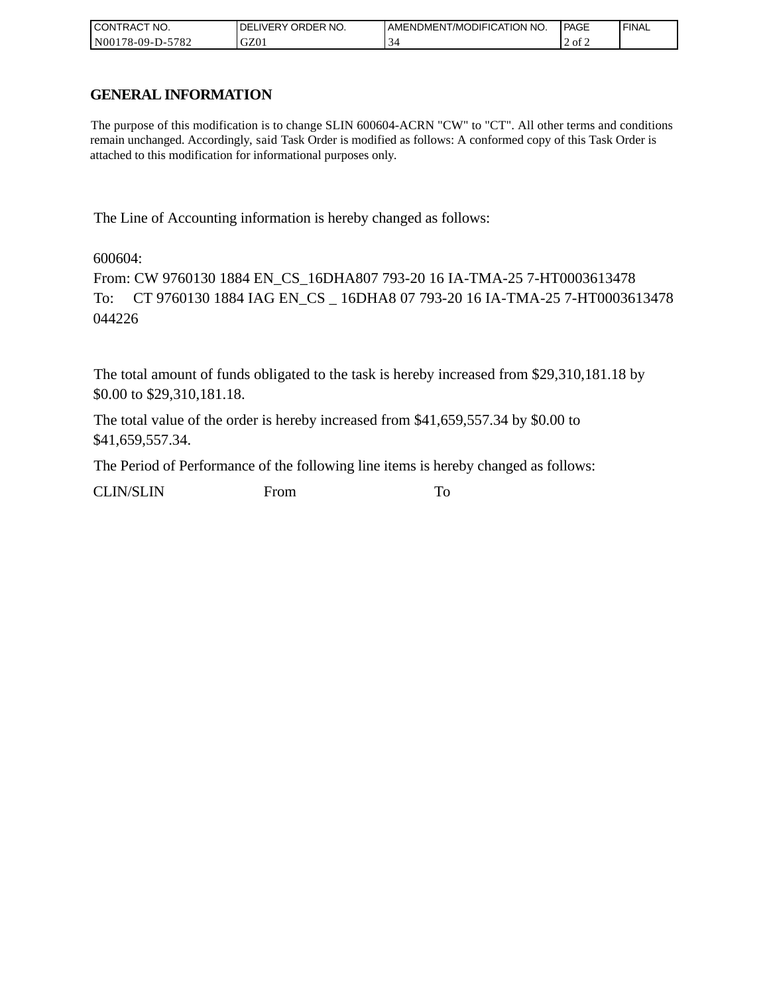| I CONTRACT NO.         | ' ORDER NO.<br><b>DELIVERY</b> | I AMENDMENT/MODIFICATION NO. | PAGE   | <b>I FINAL</b> |
|------------------------|--------------------------------|------------------------------|--------|----------------|
| N00178-09-D-5<br>-5782 | GZ01                           |                              | . of 2 |                |

# **GENERAL INFORMATION**

The purpose of this modification is to change SLIN 600604-ACRN "CW" to "CT". All other terms and conditions remain unchanged. Accordingly, said Task Order is modified as follows: A conformed copy of this Task Order is attached to this modification for informational purposes only.

The Line of Accounting information is hereby changed as follows:

600604:

From: CW 9760130 1884 EN\_CS\_16DHA807 793-20 16 IA-TMA-25 7-HT0003613478 To: CT 9760130 1884 IAG EN\_CS \_ 16DHA8 07 793-20 16 IA-TMA-25 7-HT0003613478 044226

The total amount of funds obligated to the task is hereby increased from \$29,310,181.18 by \$0.00 to \$29,310,181.18.

The total value of the order is hereby increased from \$41,659,557.34 by \$0.00 to \$41,659,557.34.

The Period of Performance of the following line items is hereby changed as follows:

CLIN/SLIN From To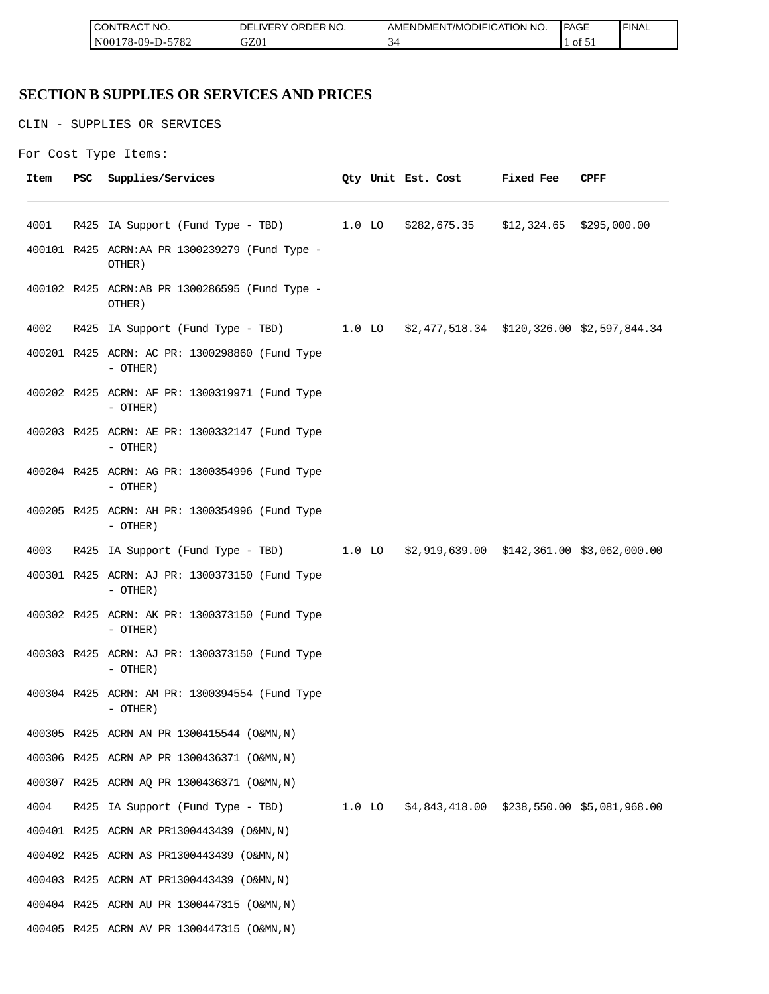| <b>ICON</b><br>°CT NO.<br>∵I RAC            | R NO.<br>JR'<br>≀DE!<br>۶۱۰. | <b>ICATION NO.</b><br><b>JDIFI(</b><br>AME<br>-NDMEN.<br>' /MC | PAGE<br>____ | <b>FINAL</b> |
|---------------------------------------------|------------------------------|----------------------------------------------------------------|--------------|--------------|
| 5700<br>N <sub>00</sub><br>/8-09-D-<br>ے ہ≀ | GZ0                          | ∽<br>$\mathcal{P}'$                                            | ΟĪ<br>∡ ب    |              |

# **SECTION B SUPPLIES OR SERVICES AND PRICES**

CLIN - SUPPLIES OR SERVICES

```
For Cost Type Items:
```

| Item | <b>PSC</b> | Supplies/Services                                                                   |  | Qty Unit Est. Cost Fixed Fee | CPFF |
|------|------------|-------------------------------------------------------------------------------------|--|------------------------------|------|
| 4001 |            | R425 IA Support (Fund Type - TBD) 1.0 LO \$282,675.35 \$12,324.65 \$295,000.00      |  |                              |      |
|      |            | 400101 R425 ACRN:AA PR 1300239279 (Fund Type -<br>OTHER)                            |  |                              |      |
|      |            | 400102 R425 ACRN:AB PR 1300286595 (Fund Type -<br>OTHER)                            |  |                              |      |
| 4002 |            | R425 IA Support (Fund Type - TBD) 1.0 LO \$2,477,518.34 \$120,326.00 \$2,597,844.34 |  |                              |      |
|      |            | 400201 R425 ACRN: AC PR: 1300298860 (Fund Type<br>- OTHER)                          |  |                              |      |
|      |            | 400202 R425 ACRN: AF PR: 1300319971 (Fund Type<br>- OTHER)                          |  |                              |      |
|      |            | 400203 R425 ACRN: AE PR: 1300332147 (Fund Type<br>- OTHER)                          |  |                              |      |
|      |            | 400204 R425 ACRN: AG PR: 1300354996 (Fund Type<br>- OTHER)                          |  |                              |      |
|      |            | 400205 R425 ACRN: AH PR: 1300354996 (Fund Type<br>- OTHER)                          |  |                              |      |
| 4003 |            | R425 IA Support (Fund Type - TBD) 1.0 LO \$2,919,639.00 \$142,361.00 \$3,062,000.00 |  |                              |      |
|      |            | 400301 R425 ACRN: AJ PR: 1300373150 (Fund Type<br>- OTHER)                          |  |                              |      |
|      |            | 400302 R425 ACRN: AK PR: 1300373150 (Fund Type<br>- OTHER)                          |  |                              |      |
|      |            | 400303 R425 ACRN: AJ PR: 1300373150 (Fund Type<br>- OTHER)                          |  |                              |      |
|      |            | 400304 R425 ACRN: AM PR: 1300394554 (Fund Type<br>- OTHER)                          |  |                              |      |
|      |            | 400305 R425 ACRN AN PR 1300415544 (O&MN, N)                                         |  |                              |      |
|      |            | 400306 R425 ACRN AP PR 1300436371 (O&MN, N)                                         |  |                              |      |
|      |            | 400307 R425 ACRN AQ PR 1300436371 (O&MN, N)                                         |  |                              |      |
| 4004 |            | R425 IA Support (Fund Type - TBD) 1.0 LO \$4,843,418.00 \$238,550.00 \$5,081,968.00 |  |                              |      |
|      |            | 400401 R425 ACRN AR PR1300443439 (O&MN, N)                                          |  |                              |      |
|      |            | 400402 R425 ACRN AS PR1300443439 (O&MN, N)                                          |  |                              |      |
|      |            | 400403 R425 ACRN AT PR1300443439 (O&MN, N)                                          |  |                              |      |
|      |            | 400404 R425 ACRN AU PR 1300447315 (O&MN, N)                                         |  |                              |      |
|      |            | 400405 R425 ACRN AV PR 1300447315 (O&MN, N)                                         |  |                              |      |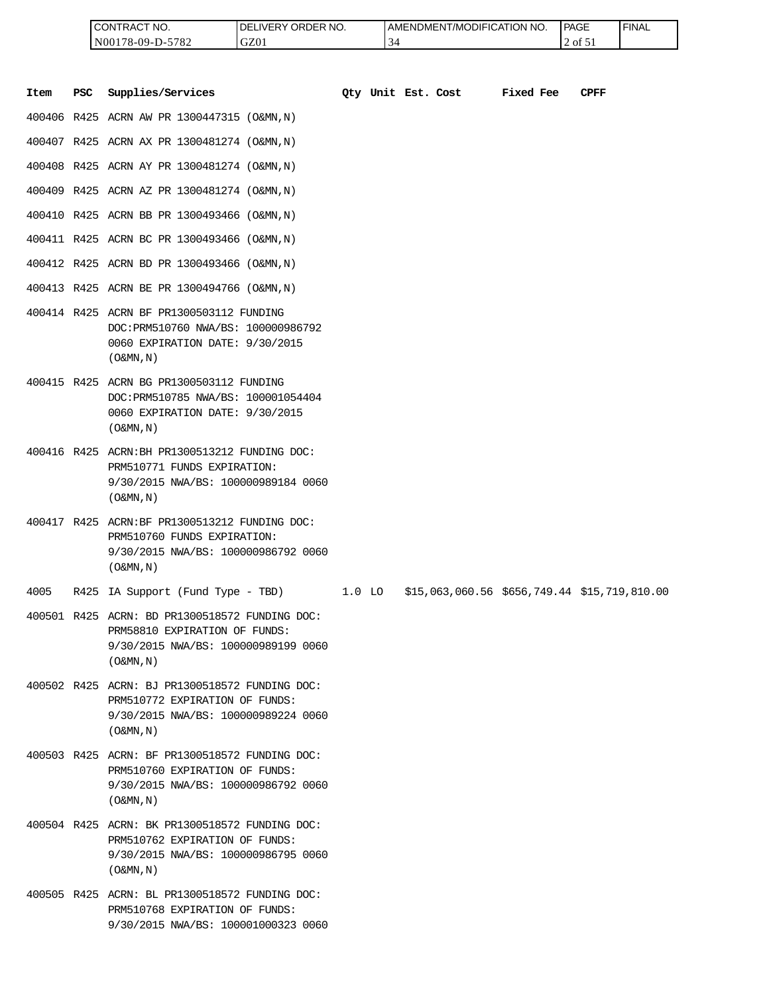| <b>ICONTRACT NO.</b> | LIVERY ORDER NO.<br>DEI | I AMENDMENT/MODIFICATION NO. | PAGE    | ' FINAL |
|----------------------|-------------------------|------------------------------|---------|---------|
| N00178-09-D-5782     | GZ01                    | ≺∠                           | 2 of 51 |         |

|      |            | CONTRACT NO.<br>N00178-09-D-5782                                                                                                                      | DELIVERY ORDER NO.<br>GZ01 |          | 34                 | AMENDMENT/MODIFICATION NO.                   |           | PAGE<br>2 of 51 | <b>FINAL</b> |
|------|------------|-------------------------------------------------------------------------------------------------------------------------------------------------------|----------------------------|----------|--------------------|----------------------------------------------|-----------|-----------------|--------------|
| Item | <b>PSC</b> | Supplies/Services                                                                                                                                     |                            |          | Oty Unit Est. Cost |                                              | Fixed Fee | <b>CPFF</b>     |              |
|      |            | 400406 R425 ACRN AW PR 1300447315 (O&MN, N)                                                                                                           |                            |          |                    |                                              |           |                 |              |
|      |            | 400407 R425 ACRN AX PR 1300481274 (O&MN, N)                                                                                                           |                            |          |                    |                                              |           |                 |              |
|      |            | 400408 R425 ACRN AY PR 1300481274 (O&MN, N)                                                                                                           |                            |          |                    |                                              |           |                 |              |
|      |            | 400409 R425 ACRN AZ PR 1300481274 (O&MN, N)                                                                                                           |                            |          |                    |                                              |           |                 |              |
|      |            | 400410 R425 ACRN BB PR 1300493466 (O&MN, N)                                                                                                           |                            |          |                    |                                              |           |                 |              |
|      |            | 400411 R425 ACRN BC PR 1300493466 (O&MN, N)                                                                                                           |                            |          |                    |                                              |           |                 |              |
|      |            | 400412 R425 ACRN BD PR 1300493466 (O&MN, N)                                                                                                           |                            |          |                    |                                              |           |                 |              |
|      |            | 400413 R425 ACRN BE PR 1300494766 (O&MN, N)                                                                                                           |                            |          |                    |                                              |           |                 |              |
|      |            | 400414 R425 ACRN BF PR1300503112 FUNDING<br>DOC: PRM510760 NWA/BS: 100000986792<br>0060 EXPIRATION DATE: 9/30/2015<br>$($ O&MN, $N$ $)$               |                            |          |                    |                                              |           |                 |              |
|      |            | 400415 R425 ACRN BG PR1300503112 FUNDING<br>DOC: PRM510785 NWA/BS: 100001054404<br>0060 EXPIRATION DATE: 9/30/2015<br>$($ O&MN, $N$ $)$               |                            |          |                    |                                              |           |                 |              |
|      |            | 400416 R425 ACRN: BH PR1300513212 FUNDING DOC:<br>PRM510771 FUNDS EXPIRATION:<br>9/30/2015 NWA/BS: 100000989184 0060<br>$($ O&MN, $N$ $)$             |                            |          |                    |                                              |           |                 |              |
|      |            | 400417 R425 ACRN:BF PR1300513212 FUNDING DOC:<br>PRM510760 FUNDS EXPIRATION:<br>9/30/2015 NWA/BS: 100000986792 0060<br>$($ O&MN, N)                   |                            |          |                    |                                              |           |                 |              |
| 4005 |            | R425 IA Support (Fund Type - TBD)                                                                                                                     |                            | $1.0$ LO |                    | \$15,063,060.56 \$656,749.44 \$15,719,810.00 |           |                 |              |
|      |            | 400501 R425 ACRN: BD PR1300518572 FUNDING DOC:<br>PRM58810 EXPIRATION OF FUNDS:<br>9/30/2015 NWA/BS: 100000989199 0060<br>$(0\&MN,N)$                 |                            |          |                    |                                              |           |                 |              |
|      |            | 400502 R425 ACRN: BJ PR1300518572 FUNDING DOC:<br>PRM510772 EXPIRATION OF FUNDS:<br>9/30/2015 NWA/BS: 100000989224 0060<br>$($ O&MN, $\overline{N}$ ) |                            |          |                    |                                              |           |                 |              |
|      |            | 400503 R425 ACRN: BF PR1300518572 FUNDING DOC:<br>PRM510760 EXPIRATION OF FUNDS:<br>9/30/2015 NWA/BS: 100000986792 0060<br>$($ O&MN, N)               |                            |          |                    |                                              |           |                 |              |
|      |            | 400504 R425 ACRN: BK PR1300518572 FUNDING DOC:<br>PRM510762 EXPIRATION OF FUNDS:<br>9/30/2015 NWA/BS: 100000986795 0060<br>$($ O&MN, $\overline{N}$ ) |                            |          |                    |                                              |           |                 |              |
|      |            | 400505 R425 ACRN: BL PR1300518572 FUNDING DOC:<br>PRM510768 EXPIRATION OF FUNDS:<br>9/30/2015 NWA/BS: 100001000323 0060                               |                            |          |                    |                                              |           |                 |              |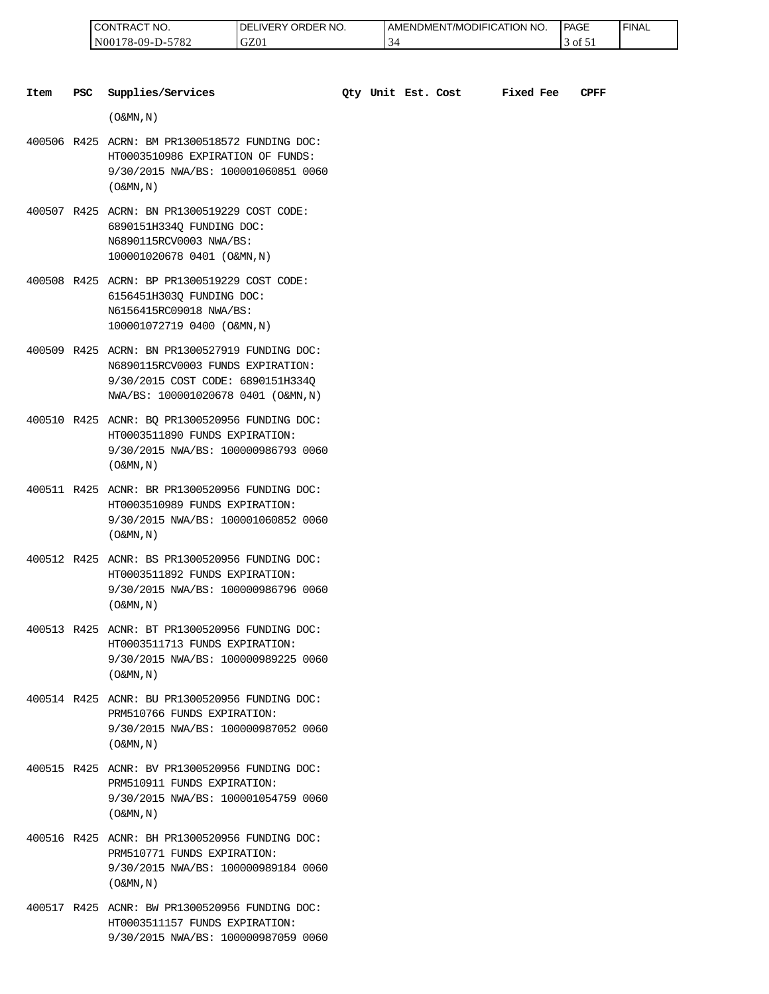| " NO.<br>LCON<br>TRACT                        | ORDER NO.<br>ר.<br>IVERY | AMENDMENT/MODIFICATION NO.      | PAGE<br>____ | <b>FINAL</b> |
|-----------------------------------------------|--------------------------|---------------------------------|--------------|--------------|
| 5700<br>$N00^{\circ}$<br>78-09-1<br>.<br>∟ه ' | GZ0                      | $\overline{\phantom{0}}$<br>. ن | ΟĪ           |              |

| <b>PSC</b><br>Item | Supplies/Services                                                                                                                                               |  | Oty Unit Est. Cost | <b>Fixed Fee</b> | <b>CPFF</b> |
|--------------------|-----------------------------------------------------------------------------------------------------------------------------------------------------------------|--|--------------------|------------------|-------------|
|                    | $($ O&MN, N)                                                                                                                                                    |  |                    |                  |             |
|                    | 400506 R425 ACRN: BM PR1300518572 FUNDING DOC:<br>HT0003510986 EXPIRATION OF FUNDS:<br>9/30/2015 NWA/BS: 100001060851 0060<br>$($ O&MN, $N$ $)$                 |  |                    |                  |             |
|                    | 400507 R425 ACRN: BN PR1300519229 COST CODE:<br>6890151H334Q FUNDING DOC:<br>N6890115RCV0003 NWA/BS:<br>100001020678 0401 (O&MN, N)                             |  |                    |                  |             |
|                    | 400508 R425 ACRN: BP PR1300519229 COST CODE:<br>6156451H303Q FUNDING DOC:<br>N6156415RC09018 NWA/BS:<br>100001072719 0400 (O&MN, N)                             |  |                    |                  |             |
|                    | 400509 R425 ACRN: BN PR1300527919 FUNDING DOC:<br>N6890115RCV0003 FUNDS EXPIRATION:<br>9/30/2015 COST CODE: 6890151H334Q<br>NWA/BS: 100001020678 0401 (O&MN, N) |  |                    |                  |             |
|                    | 400510 R425 ACNR: BQ PR1300520956 FUNDING DOC:<br>HT0003511890 FUNDS EXPIRATION:<br>9/30/2015 NWA/BS: 100000986793 0060<br>$($ O&MN, N)                         |  |                    |                  |             |
|                    | 400511 R425 ACNR: BR PR1300520956 FUNDING DOC:<br>HT0003510989 FUNDS EXPIRATION:<br>9/30/2015 NWA/BS: 100001060852 0060<br>$($ O&MN, $N$ $)$                    |  |                    |                  |             |
|                    | 400512 R425 ACNR: BS PR1300520956 FUNDING DOC:<br>HT0003511892 FUNDS EXPIRATION:<br>9/30/2015 NWA/BS: 100000986796 0060<br>$($ O&MN, $N$ $)$                    |  |                    |                  |             |
|                    | 400513 R425 ACNR: BT PR1300520956 FUNDING DOC:<br>HT0003511713 FUNDS EXPIRATION:<br>9/30/2015 NWA/BS: 100000989225 0060<br>$($ O&MN, N)                         |  |                    |                  |             |
|                    | 400514 R425 ACNR: BU PR1300520956 FUNDING DOC:<br>PRM510766 FUNDS EXPIRATION:<br>9/30/2015 NWA/BS: 100000987052 0060<br>$($ O&MN, N)                            |  |                    |                  |             |
|                    | 400515 R425 ACNR: BV PR1300520956 FUNDING DOC:<br>PRM510911 FUNDS EXPIRATION:<br>9/30/2015 NWA/BS: 100001054759 0060<br>$($ O&MN, N)                            |  |                    |                  |             |
|                    | 400516 R425 ACNR: BH PR1300520956 FUNDING DOC:<br>PRM510771 FUNDS EXPIRATION:<br>9/30/2015 NWA/BS: 100000989184 0060<br>$($ O&MN, N)                            |  |                    |                  |             |
|                    | 400517 R425 ACNR: BW PR1300520956 FUNDING DOC:                                                                                                                  |  |                    |                  |             |

HT0003511157 FUNDS EXPIRATION: 9/30/2015 NWA/BS: 100000987059 0060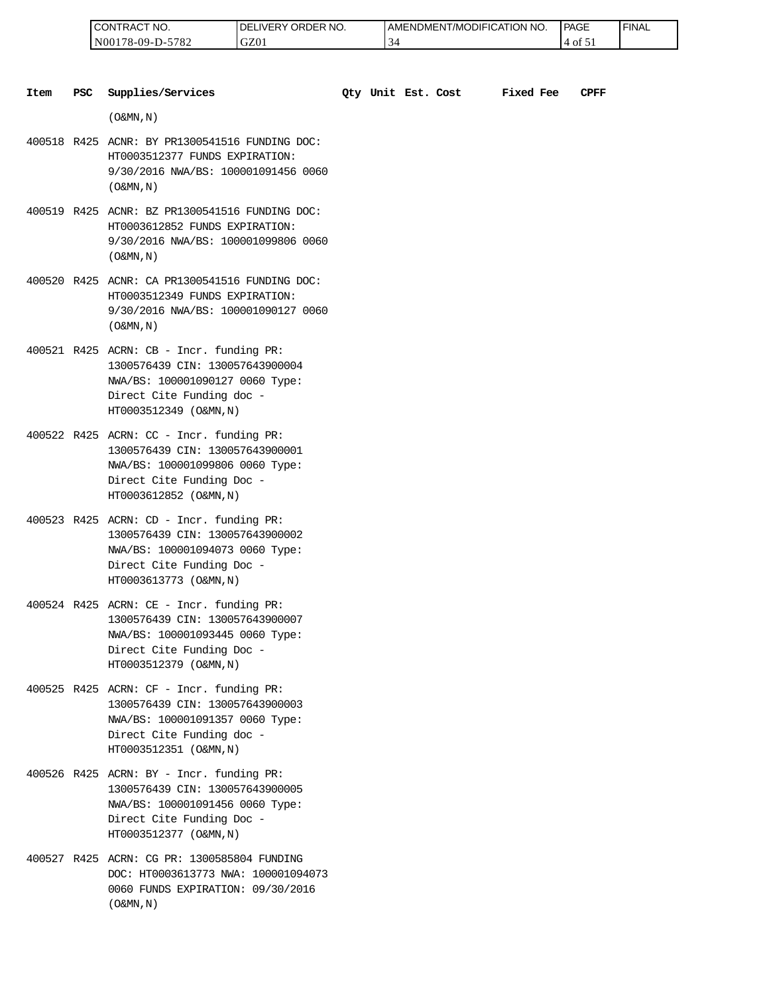| 'NO.<br>⊸∪N '<br>'I RAL                         | RDER NO.<br>ר.<br>⊣ vE⊑<br>ж | <b>T/MODIFICATION NO.</b><br>AMENDMENT | <b>PAGE</b><br>____            | <b>FINAL</b> |
|-------------------------------------------------|------------------------------|----------------------------------------|--------------------------------|--------------|
| 5700<br>N <sub>0</sub> (<br>′8-09-I<br>⊿ '<br>. | GZ0                          | ◡                                      | ОI<br>$\overline{\phantom{a}}$ |              |

| Item | <b>PSC</b> | Supplies/Services                                                                                                                                                     | Oty Unit Est. Cost |  | Fixed Fee | CPFF |
|------|------------|-----------------------------------------------------------------------------------------------------------------------------------------------------------------------|--------------------|--|-----------|------|
|      |            | $(0\&MN,N)$                                                                                                                                                           |                    |  |           |      |
|      |            | 400518 R425 ACNR: BY PR1300541516 FUNDING DOC:<br>HT0003512377 FUNDS EXPIRATION:<br>9/30/2016 NWA/BS: 100001091456 0060<br>$($ O&MN, $\overline{N}$ )                 |                    |  |           |      |
|      |            | 400519 R425 ACNR: BZ PR1300541516 FUNDING DOC:<br>HT0003612852 FUNDS EXPIRATION:<br>9/30/2016 NWA/BS: 100001099806 0060<br>$($ O&MN, N)                               |                    |  |           |      |
|      |            | 400520 R425 ACNR: CA PR1300541516 FUNDING DOC:<br>HT0003512349 FUNDS EXPIRATION:<br>9/30/2016 NWA/BS: 100001090127 0060<br>$($ O&MN, $N$ $)$                          |                    |  |           |      |
|      |            | 400521 R425 ACRN: CB - Incr. funding PR:<br>1300576439 CIN: 130057643900004<br>NWA/BS: 100001090127 0060 Type:<br>Direct Cite Funding doc -<br>HT0003512349 (O&MN, N) |                    |  |           |      |
|      |            | 400522 R425 ACRN: CC - Incr. funding PR:<br>1300576439 CIN: 130057643900001<br>NWA/BS: 100001099806 0060 Type:<br>Direct Cite Funding Doc -<br>HT0003612852 (O&MN, N) |                    |  |           |      |
|      |            | 400523 R425 ACRN: CD - Incr. funding PR:<br>1300576439 CIN: 130057643900002<br>NWA/BS: 100001094073 0060 Type:<br>Direct Cite Funding Doc -<br>HT0003613773 (O&MN, N) |                    |  |           |      |
|      |            | 400524 R425 ACRN: CE - Incr. funding PR:<br>1300576439 CIN: 130057643900007<br>NWA/BS: 100001093445 0060 Type:<br>Direct Cite Funding Doc -<br>HT0003512379 (O&MN, N) |                    |  |           |      |
|      |            | 400525 R425 ACRN: CF - Incr. funding PR:<br>1300576439 CIN: 130057643900003<br>NWA/BS: 100001091357 0060 Type:<br>Direct Cite Funding doc -<br>HT0003512351 (O&MN, N) |                    |  |           |      |
|      |            | 400526 R425 ACRN: BY - Incr. funding PR:<br>1300576439 CIN: 130057643900005<br>NWA/BS: 100001091456 0060 Type:<br>Direct Cite Funding Doc -<br>HT0003512377 (O&MN, N) |                    |  |           |      |
|      |            | 400527 R425 ACRN: CG PR: 1300585804 FUNDING<br>DOC: HT0003613773 NWA: 100001094073<br>0060 FUNDS EXPIRATION: 09/30/2016                                               |                    |  |           |      |

 $($  O&MN , N  $)$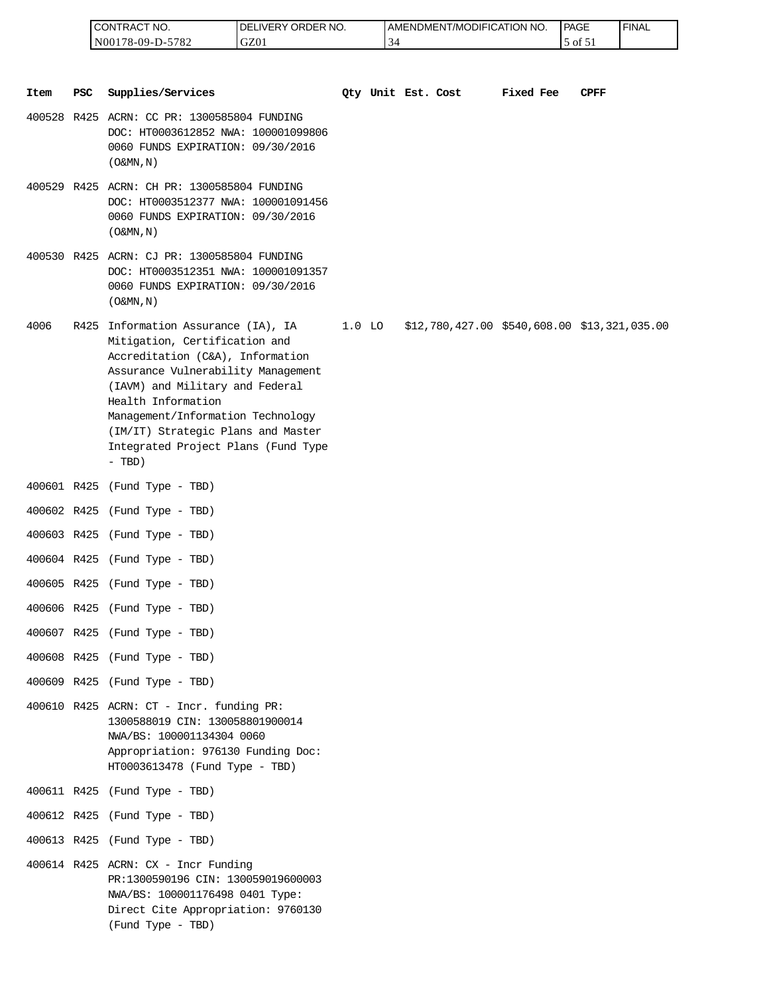| 'NO.<br>CONTRAC <sub>1</sub> | ORDER NO.<br>DE<br>∟IVERY. | AMENDMENT/MODIFICATION NO.     | PAGE         | 'FINAL |
|------------------------------|----------------------------|--------------------------------|--------------|--------|
| 5782<br>N00178-09-D-5        | GZ01                       | $\overline{\phantom{a}}$<br>34 | $ot$ 51<br>◡ |        |

|      |     | CONTRACT NO.<br>N00178-09-D-5782                                                                                                                                                                                                                                                                                                      | DELIVERY ORDER NO.<br>GZ01 |          | 34 |                    | AMENDMENT/MODIFICATION NO.                      |           | PAGE<br>5 of 51 | <b>FINAL</b> |
|------|-----|---------------------------------------------------------------------------------------------------------------------------------------------------------------------------------------------------------------------------------------------------------------------------------------------------------------------------------------|----------------------------|----------|----|--------------------|-------------------------------------------------|-----------|-----------------|--------------|
|      |     |                                                                                                                                                                                                                                                                                                                                       |                            |          |    |                    |                                                 |           |                 |              |
| Item | PSC | Supplies/Services                                                                                                                                                                                                                                                                                                                     |                            |          |    | Qty Unit Est. Cost |                                                 | Fixed Fee | CPFF            |              |
|      |     | 400528 R425 ACRN: CC PR: 1300585804 FUNDING<br>DOC: HT0003612852 NWA: 100001099806<br>0060 FUNDS EXPIRATION: 09/30/2016<br>$($ O&MN, N)                                                                                                                                                                                               |                            |          |    |                    |                                                 |           |                 |              |
|      |     | 400529 R425 ACRN: CH PR: 1300585804 FUNDING<br>DOC: HT0003512377 NWA: 100001091456<br>0060 FUNDS EXPIRATION: 09/30/2016<br>$($ O&MN, N)                                                                                                                                                                                               |                            |          |    |                    |                                                 |           |                 |              |
|      |     | 400530 R425 ACRN: CJ PR: 1300585804 FUNDING<br>DOC: HT0003512351 NWA: 100001091357<br>0060 FUNDS EXPIRATION: 09/30/2016<br>$($ O&MN, $N$ $)$                                                                                                                                                                                          |                            |          |    |                    |                                                 |           |                 |              |
| 4006 |     | R425 Information Assurance (IA), IA<br>Mitigation, Certification and<br>Accreditation (C&A), Information<br>Assurance Vulnerability Management<br>(IAVM) and Military and Federal<br>Health Information<br>Management/Information Technology<br>(IM/IT) Strategic Plans and Master<br>Integrated Project Plans (Fund Type<br>$- TBD)$ |                            | $1.0$ LO |    |                    | $$12,780,427.00$ $$540,608.00$ $$13,321,035.00$ |           |                 |              |
|      |     | 400601 R425 (Fund Type - TBD)                                                                                                                                                                                                                                                                                                         |                            |          |    |                    |                                                 |           |                 |              |
|      |     | 400602 R425 (Fund Type - TBD)                                                                                                                                                                                                                                                                                                         |                            |          |    |                    |                                                 |           |                 |              |
|      |     | 400603 R425 (Fund Type - TBD)                                                                                                                                                                                                                                                                                                         |                            |          |    |                    |                                                 |           |                 |              |
|      |     | 400604 R425 (Fund Type - TBD)                                                                                                                                                                                                                                                                                                         |                            |          |    |                    |                                                 |           |                 |              |
|      |     | 400605 R425 (Fund Type - TBD)                                                                                                                                                                                                                                                                                                         |                            |          |    |                    |                                                 |           |                 |              |
|      |     | 400606 R425 (Fund Type - TBD)                                                                                                                                                                                                                                                                                                         |                            |          |    |                    |                                                 |           |                 |              |
|      |     | 400607 R425 (Fund Type - TBD)                                                                                                                                                                                                                                                                                                         |                            |          |    |                    |                                                 |           |                 |              |
|      |     | 400608 R425 (Fund Type - TBD)                                                                                                                                                                                                                                                                                                         |                            |          |    |                    |                                                 |           |                 |              |
|      |     | 400609 R425 (Fund Type - TBD)                                                                                                                                                                                                                                                                                                         |                            |          |    |                    |                                                 |           |                 |              |
|      |     | $400610$ R425 ACRN: CT - Incr. funding PR:<br>1300588019 CIN: 130058801900014<br>NWA/BS: 100001134304 0060<br>Appropriation: 976130 Funding Doc:<br>HT0003613478 (Fund Type - TBD)                                                                                                                                                    |                            |          |    |                    |                                                 |           |                 |              |
|      |     | 400611 R425 (Fund Type - TBD)                                                                                                                                                                                                                                                                                                         |                            |          |    |                    |                                                 |           |                 |              |
|      |     | 400612 R425 (Fund Type - TBD)                                                                                                                                                                                                                                                                                                         |                            |          |    |                    |                                                 |           |                 |              |
|      |     | 400613 R425 (Fund Type - TBD)                                                                                                                                                                                                                                                                                                         |                            |          |    |                    |                                                 |           |                 |              |
|      |     | $400614$ R425 ACRN: CX - Incr Funding<br>PR:1300590196 CIN: 130059019600003<br>NWA/BS: 100001176498 0401 Type:<br>Direct Cite Appropriation: 9760130<br>(Fund Type - TBD)                                                                                                                                                             |                            |          |    |                    |                                                 |           |                 |              |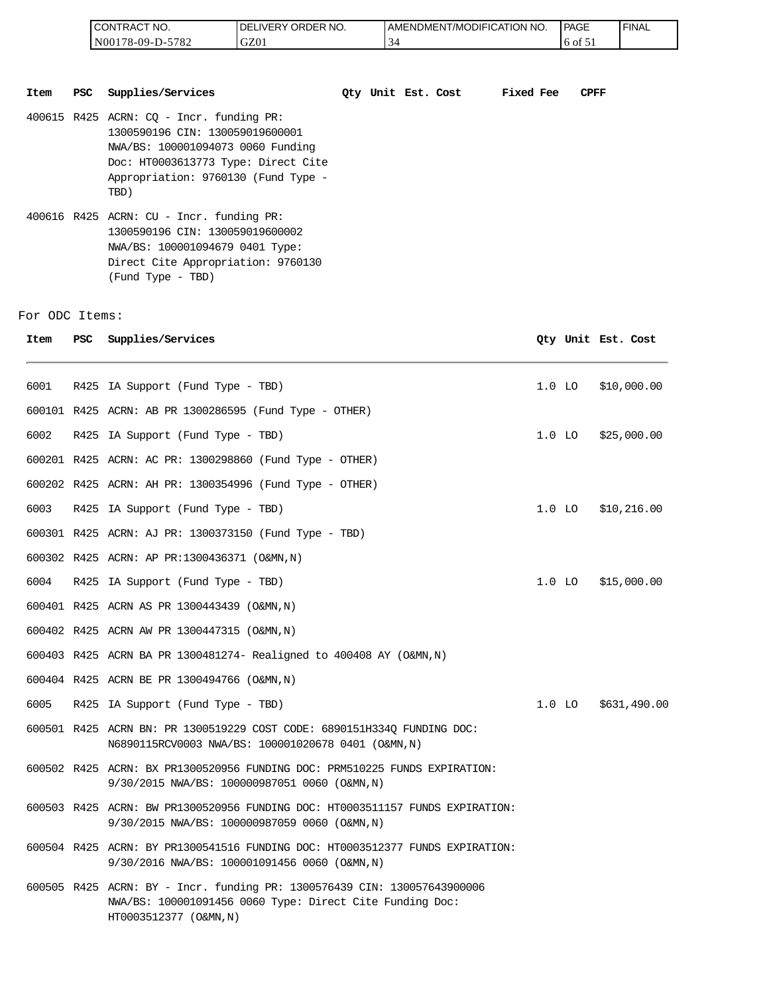| <b>I CONTRACT NO.</b> | NO.<br><b>DELIVERY ORDER</b> | AMENDMENT/MODIFICATION<br>NO. | <b>PAGE</b> | 'FINAL |
|-----------------------|------------------------------|-------------------------------|-------------|--------|
| N00178-09-D-5782      | GZ01                         |                               | 01          |        |

| Item | PSC Supplies/Services                                                                                                                                                                                    | Oty Unit Est. Cost |  | Fixed Fee | <b>CPFF</b> |
|------|----------------------------------------------------------------------------------------------------------------------------------------------------------------------------------------------------------|--------------------|--|-----------|-------------|
|      | $400615$ R425 ACRN: CO - Incr. funding PR:<br>1300590196 CIN: 130059019600001<br>NWA/BS: 100001094073 0060 Funding<br>Doc: HT0003613773 Type: Direct Cite<br>Appropriation: 9760130 (Fund Type -<br>TBD) |                    |  |           |             |
|      | 400616 R425 ACRN: CU - Incr. funding PR:<br>1300590196 CIN: 130059019600002<br>NWA/BS: 100001094679 0401 Type:<br>Direct Cite Appropriation: 9760130<br>(Fund Type - TBD)                                |                    |  |           |             |

For ODC Items:

|                |            | CONTRACT NO.<br>N00178-09-D-5782<br>GZ01                                                                                                                                                                 | DELIVERY ORDER NO. | 34 | AMENDMENT/MODIFICATION NO. |           |          | <b>PAGE</b><br>6 of 51 | <b>FINAL</b>       |
|----------------|------------|----------------------------------------------------------------------------------------------------------------------------------------------------------------------------------------------------------|--------------------|----|----------------------------|-----------|----------|------------------------|--------------------|
| Item           | <b>PSC</b> | Supplies/Services                                                                                                                                                                                        |                    |    | Qty Unit Est. Cost         | Fixed Fee |          | CPFF                   |                    |
|                |            | $400615$ R425 ACRN: CQ - Incr. funding PR:<br>1300590196 CIN: 130059019600001<br>NWA/BS: 100001094073 0060 Funding<br>Doc: HT0003613773 Type: Direct Cite<br>Appropriation: 9760130 (Fund Type -<br>TBD) |                    |    |                            |           |          |                        |                    |
|                |            | $400616$ R425 ACRN: CU - Incr. funding PR:<br>1300590196 CIN: 130059019600002<br>NWA/BS: 100001094679 0401 Type:<br>Direct Cite Appropriation: 9760130<br>(Fund Type - TBD)                              |                    |    |                            |           |          |                        |                    |
| 'or ODC Items: |            |                                                                                                                                                                                                          |                    |    |                            |           |          |                        |                    |
| Item           | PSC.       | Supplies/Services                                                                                                                                                                                        |                    |    |                            |           |          |                        | Qty Unit Est. Cost |
| 6001           |            | R425 IA Support (Fund Type - TBD)                                                                                                                                                                        |                    |    |                            |           | $1.0$ LO |                        | \$10,000.00        |
|                |            | 600101 R425 ACRN: AB PR 1300286595 (Fund Type - OTHER)                                                                                                                                                   |                    |    |                            |           |          |                        |                    |
| 6002           |            | R425 IA Support (Fund Type - TBD)                                                                                                                                                                        |                    |    |                            |           |          | $1.0$ LO               | \$25,000.00        |
|                |            | 600201 R425 ACRN: AC PR: 1300298860 (Fund Type - OTHER)                                                                                                                                                  |                    |    |                            |           |          |                        |                    |
|                |            | 600202 R425 ACRN: AH PR: 1300354996 (Fund Type - OTHER)                                                                                                                                                  |                    |    |                            |           |          |                        |                    |
| 6003           |            | R425 IA Support (Fund Type - TBD)                                                                                                                                                                        |                    |    |                            |           | $1.0$ LO |                        | \$10,216.00        |
|                |            | 600301 R425 ACRN: AJ PR: 1300373150 (Fund Type - TBD)                                                                                                                                                    |                    |    |                            |           |          |                        |                    |
|                |            | 600302 R425 ACRN: AP PR:1300436371 (O&MN,N)                                                                                                                                                              |                    |    |                            |           |          |                        |                    |
| 6004           |            | R425 IA Support (Fund Type - TBD)                                                                                                                                                                        |                    |    |                            |           | $1.0$ LO |                        | \$15,000.00        |
|                |            | 600401 R425 ACRN AS PR 1300443439 (O&MN, N)                                                                                                                                                              |                    |    |                            |           |          |                        |                    |
|                |            | 600402 R425 ACRN AW PR 1300447315 (O&MN, N)                                                                                                                                                              |                    |    |                            |           |          |                        |                    |
|                |            | 600403 R425 ACRN BA PR 1300481274- Realigned to 400408 AY (O&MN, N)                                                                                                                                      |                    |    |                            |           |          |                        |                    |
|                |            | 600404 R425 ACRN BE PR 1300494766 (O&MN, N)                                                                                                                                                              |                    |    |                            |           |          |                        |                    |
| 6005           |            | R425 IA Support (Fund Type - TBD)                                                                                                                                                                        |                    |    |                            |           |          | $1.0$ LO               | \$631,490.00       |
|                |            | 600501 R425 ACRN BN: PR 1300519229 COST CODE: 6890151H334Q FUNDING DOC:<br>N6890115RCV0003 NWA/BS: 100001020678 0401 (O&MN,N)                                                                            |                    |    |                            |           |          |                        |                    |
|                |            | 600502 R425 ACRN: BX PR1300520956 FUNDING DOC: PRM510225 FUNDS EXPIRATION:<br>9/30/2015 NWA/BS: 100000987051 0060 (O&MN,N)                                                                               |                    |    |                            |           |          |                        |                    |
|                |            | 600503 R425 ACRN: BW PR1300520956 FUNDING DOC: HT0003511157 FUNDS EXPIRATION:<br>9/30/2015 NWA/BS: 100000987059 0060 (O&MN, N)                                                                           |                    |    |                            |           |          |                        |                    |
|                |            | 600504 R425 ACRN: BY PR1300541516 FUNDING DOC: HT0003512377 FUNDS EXPIRATION:<br>9/30/2016 NWA/BS: 100001091456 0060 (O&MN,N)                                                                            |                    |    |                            |           |          |                        |                    |
|                |            | 600505 R425 ACRN: BY - Incr. funding PR: 1300576439 CIN: 130057643900006<br>NWA/BS: 100001091456 0060 Type: Direct Cite Funding Doc:<br>HT0003512377 (O&MN, N)                                           |                    |    |                            |           |          |                        |                    |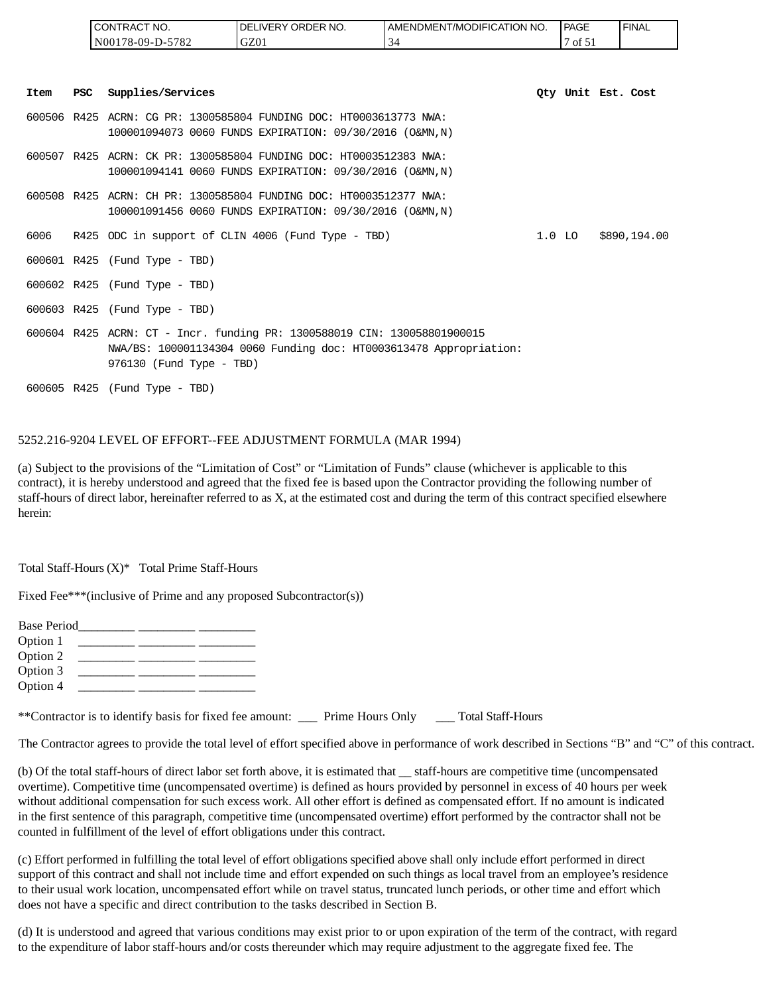|      |            | CONTRACT NO.                  | DELIVERY ORDER NO.                                                                                                                             | AMENDMENT/MODIFICATION NO. |          | PAGE               | <b>FINAL</b> |
|------|------------|-------------------------------|------------------------------------------------------------------------------------------------------------------------------------------------|----------------------------|----------|--------------------|--------------|
|      |            | N00178-09-D-5782              | GZ01                                                                                                                                           | 34                         |          | 7 of 51            |              |
| Item | <b>PSC</b> | Supplies/Services             |                                                                                                                                                |                            |          | Oty Unit Est. Cost |              |
|      |            |                               | 600506 R425 ACRN: CG PR: 1300585804 FUNDING DOC: HT0003613773 NWA:<br>100001094073 0060 FUNDS EXPIRATION: 09/30/2016 (O&MN,N)                  |                            |          |                    |              |
|      |            |                               | 600507 R425 ACRN: CK PR: 1300585804 FUNDING DOC: HT0003512383 NWA:<br>100001094141 0060 FUNDS EXPIRATION: 09/30/2016 (O&MN,N)                  |                            |          |                    |              |
|      |            |                               | 600508 R425 ACRN: CH PR: 1300585804 FUNDING DOC: HT0003512377 NWA:<br>100001091456 0060 FUNDS EXPIRATION: 09/30/2016 (O&MN,N)                  |                            |          |                    |              |
| 6006 |            |                               | R425 ODC in support of CLIN 4006 (Fund Type - TBD)                                                                                             |                            | $1.0$ LO |                    | \$890,194.00 |
|      |            | 600601 R425 (Fund Type - TBD) |                                                                                                                                                |                            |          |                    |              |
|      |            | 600602 R425 (Fund Type - TBD) |                                                                                                                                                |                            |          |                    |              |
|      |            | 600603 R425 (Fund Type - TBD) |                                                                                                                                                |                            |          |                    |              |
|      |            | 976130 (Fund Type - TBD)      | 600604 R425 ACRN: CT - Incr. funding PR: 1300588019 CIN: 130058801900015<br>NWA/BS: 100001134304 0060 Funding doc: HT0003613478 Appropriation: |                            |          |                    |              |
|      |            | 600605 R425 (Fund Type - TBD) |                                                                                                                                                |                            |          |                    |              |

#### 5252.216-9204 LEVEL OF EFFORT--FEE ADJUSTMENT FORMULA (MAR 1994)

(a) Subject to the provisions of the "Limitation of Cost" or "Limitation of Funds" clause (whichever is applicable to this contract), it is hereby understood and agreed that the fixed fee is based upon the Contractor providing the following number of staff-hours of direct labor, hereinafter referred to as X, at the estimated cost and during the term of this contract specified elsewhere herein:

Total Staff-Hours (X)\* Total Prime Staff-Hours

Fixed Fee\*\*\*(inclusive of Prime and any proposed Subcontractor(s))

| <b>Base Period</b> |  |  |
|--------------------|--|--|
| Option 1           |  |  |
| Option 2           |  |  |
| Option 3           |  |  |
| Option 4           |  |  |

| **Contractor is to identify basis for fixed fee amount: | Prime Hours Only | <b>Total Staff-Hours</b> |
|---------------------------------------------------------|------------------|--------------------------|
|                                                         |                  |                          |

The Contractor agrees to provide the total level of effort specified above in performance of work described in Sections "B" and "C" of this contract.

(b) Of the total staff-hours of direct labor set forth above, it is estimated that \_\_ staff-hours are competitive time (uncompensated overtime). Competitive time (uncompensated overtime) is defined as hours provided by personnel in excess of 40 hours per week without additional compensation for such excess work. All other effort is defined as compensated effort. If no amount is indicated in the first sentence of this paragraph, competitive time (uncompensated overtime) effort performed by the contractor shall not be counted in fulfillment of the level of effort obligations under this contract.

(c) Effort performed in fulfilling the total level of effort obligations specified above shall only include effort performed in direct support of this contract and shall not include time and effort expended on such things as local travel from an employee's residence to their usual work location, uncompensated effort while on travel status, truncated lunch periods, or other time and effort which does not have a specific and direct contribution to the tasks described in Section B.

(d) It is understood and agreed that various conditions may exist prior to or upon expiration of the term of the contract, with regard to the expenditure of labor staff-hours and/or costs thereunder which may require adjustment to the aggregate fixed fee. The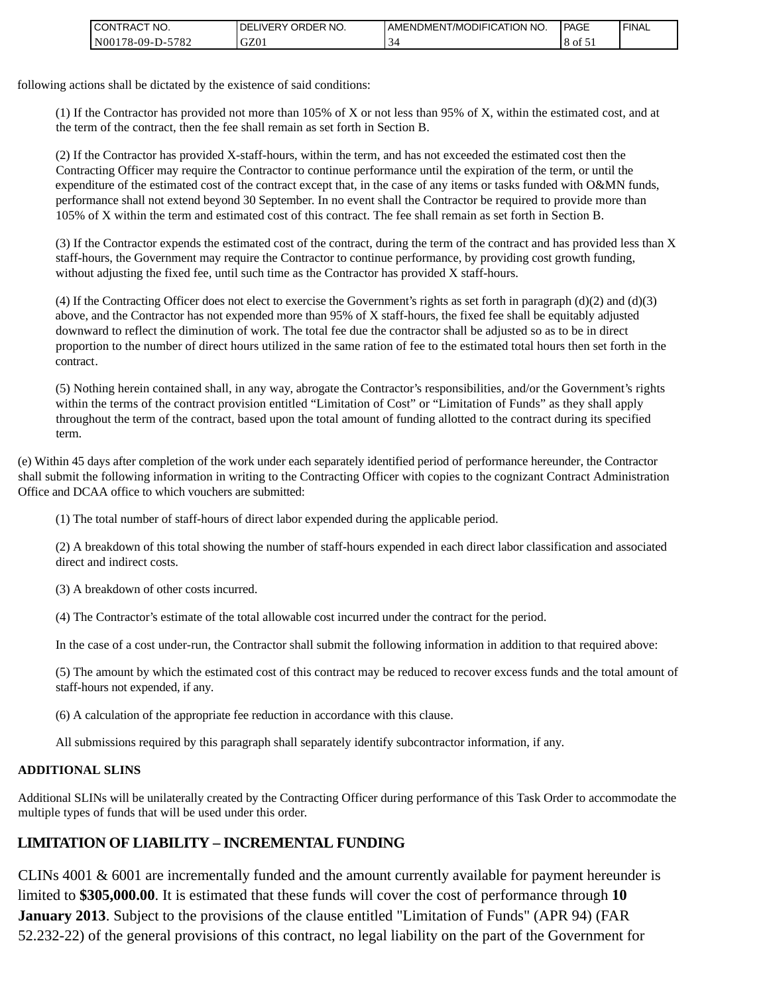| <b>CONTRACT NO.</b> | <b>DELIVERY ORDER</b><br>NO. | AMENDMENT/MODIFICATION NO. | l PAGE  | ' FINAL |
|---------------------|------------------------------|----------------------------|---------|---------|
| N00178-09-D-5782    | GZ01                         |                            | 8 of 51 |         |

following actions shall be dictated by the existence of said conditions:

(1) If the Contractor has provided not more than 105% of X or not less than 95% of X, within the estimated cost, and at the term of the contract, then the fee shall remain as set forth in Section B.

(2) If the Contractor has provided X-staff-hours, within the term, and has not exceeded the estimated cost then the Contracting Officer may require the Contractor to continue performance until the expiration of the term, or until the expenditure of the estimated cost of the contract except that, in the case of any items or tasks funded with O&MN funds, performance shall not extend beyond 30 September. In no event shall the Contractor be required to provide more than 105% of X within the term and estimated cost of this contract. The fee shall remain as set forth in Section B.

(3) If the Contractor expends the estimated cost of the contract, during the term of the contract and has provided less than X staff-hours, the Government may require the Contractor to continue performance, by providing cost growth funding, without adjusting the fixed fee, until such time as the Contractor has provided X staff-hours.

(4) If the Contracting Officer does not elect to exercise the Government's rights as set forth in paragraph  $(d)(2)$  and  $(d)(3)$ above, and the Contractor has not expended more than 95% of X staff-hours, the fixed fee shall be equitably adjusted downward to reflect the diminution of work. The total fee due the contractor shall be adjusted so as to be in direct proportion to the number of direct hours utilized in the same ration of fee to the estimated total hours then set forth in the contract.

(5) Nothing herein contained shall, in any way, abrogate the Contractor's responsibilities, and/or the Government's rights within the terms of the contract provision entitled "Limitation of Cost" or "Limitation of Funds" as they shall apply throughout the term of the contract, based upon the total amount of funding allotted to the contract during its specified term.

(e) Within 45 days after completion of the work under each separately identified period of performance hereunder, the Contractor shall submit the following information in writing to the Contracting Officer with copies to the cognizant Contract Administration Office and DCAA office to which vouchers are submitted:

(1) The total number of staff-hours of direct labor expended during the applicable period.

(2) A breakdown of this total showing the number of staff-hours expended in each direct labor classification and associated direct and indirect costs.

(3) A breakdown of other costs incurred.

(4) The Contractor's estimate of the total allowable cost incurred under the contract for the period.

In the case of a cost under-run, the Contractor shall submit the following information in addition to that required above:

(5) The amount by which the estimated cost of this contract may be reduced to recover excess funds and the total amount of staff-hours not expended, if any.

(6) A calculation of the appropriate fee reduction in accordance with this clause.

All submissions required by this paragraph shall separately identify subcontractor information, if any.

#### **ADDITIONAL SLINS**

Additional SLINs will be unilaterally created by the Contracting Officer during performance of this Task Order to accommodate the multiple types of funds that will be used under this order.

# **LIMITATION OF LIABILITY – INCREMENTAL FUNDING**

CLINs 4001 & 6001 are incrementally funded and the amount currently available for payment hereunder is limited to **\$305,000.00**. It is estimated that these funds will cover the cost of performance through **10 January 2013**. Subject to the provisions of the clause entitled "Limitation of Funds" (APR 94) (FAR 52.232-22) of the general provisions of this contract, no legal liability on the part of the Government for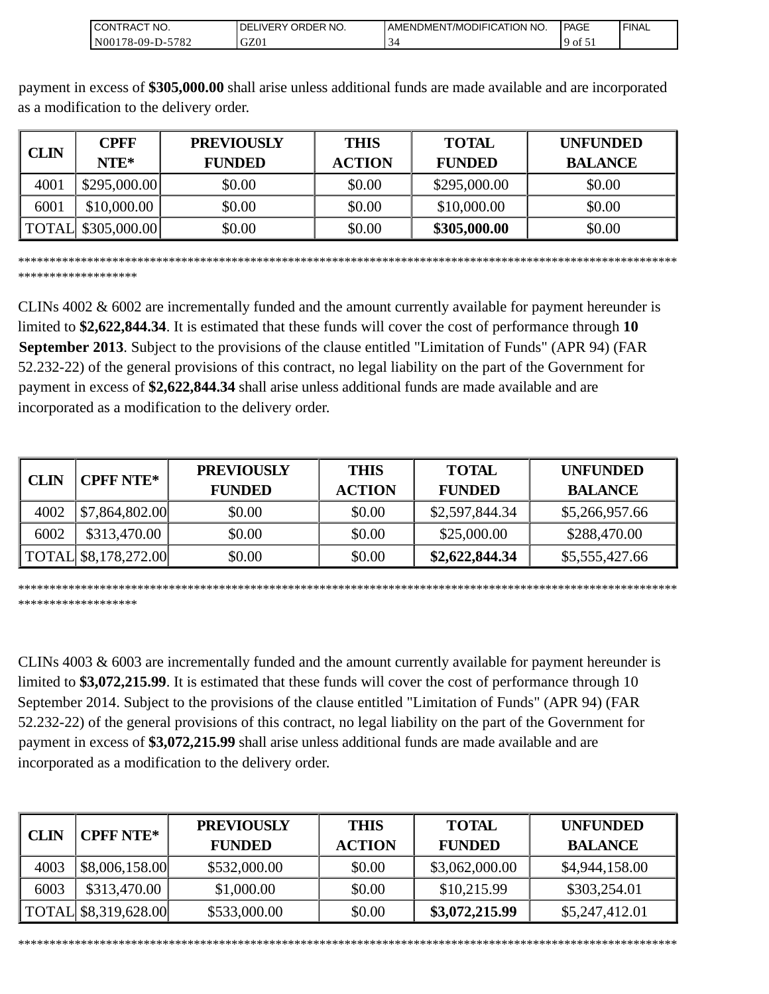| " NO.<br><b>ICONTRACT</b>                                | NO.<br><b>ORDER</b><br>DE<br>∟IVERY. | AMENDMENT/MC<br>10DIFICATION NO. | PAGE    | <b>FINAL</b> |
|----------------------------------------------------------|--------------------------------------|----------------------------------|---------|--------------|
| 570 <sup>o</sup><br>  N00<br>$8-09-D-$<br>$'$ 0 $\angle$ | GZ01                                 |                                  | ΟĪ<br>້ |              |

payment in excess of **\$305,000.00** shall arise unless additional funds are made available and are incorporated as a modification to the delivery order.

|             | CPFF                | <b>PREVIOUSLY</b> | <b>THIS</b>   | <b>TOTAL</b>  | <b>UNFUNDED</b> |
|-------------|---------------------|-------------------|---------------|---------------|-----------------|
| <b>CLIN</b> | $NTE*$              | <b>FUNDED</b>     | <b>ACTION</b> | <b>FUNDED</b> | <b>BALANCE</b>  |
| 4001        | \$295,000.00        | \$0.00            | \$0.00        | \$295,000.00  | \$0.00          |
| 6001        | \$10,000.00         | \$0.00            | \$0.00        | \$10,000.00   | \$0.00          |
|             | TOTAL \\$305,000.00 | \$0.00            | \$0.00        | \$305,000.00  | \$0.00          |

\*\*\*\*\*\*\*\*\*\*\*\*\*\*\*\*\*\*\*\*\*\*\*\*\*\*\*\*\*\*\*\*\*\*\*\*\*\*\*\*\*\*\*\*\*\*\*\*\*\*\*\*\*\*\*\*\*\*\*\*\*\*\*\*\*\*\*\*\*\*\*\*\*\*\*\*\*\*\*\*\*\*\*\*\*\*\*\*\*\*\*\*\*\*\*\*\*\*\*\*\*\*\*\*\* \*\*\*\*\*\*\*\*\*\*\*\*\*\*\*\*\*\*\*

CLINs 4002 & 6002 are incrementally funded and the amount currently available for payment hereunder is limited to **\$2,622,844.34**. It is estimated that these funds will cover the cost of performance through **10 September 2013**. Subject to the provisions of the clause entitled "Limitation of Funds" (APR 94) (FAR 52.232-22) of the general provisions of this contract, no legal liability on the part of the Government for payment in excess of **\$2,622,844.34** shall arise unless additional funds are made available and are incorporated as a modification to the delivery order.

| CLIN | <b>CPFF NTE*</b>     | <b>PREVIOUSLY</b> | <b>THIS</b>   | <b>TOTAL</b>   | <b>UNFUNDED</b> |
|------|----------------------|-------------------|---------------|----------------|-----------------|
|      |                      | <b>FUNDED</b>     | <b>ACTION</b> | <b>FUNDED</b>  | <b>BALANCE</b>  |
| 4002 | \$7,864,802.00       | \$0.00            | \$0.00        | \$2,597,844.34 | \$5,266,957.66  |
| 6002 | \$313,470.00         | \$0.00            | \$0.00        | \$25,000.00    | \$288,470.00    |
|      | TOTAL \$8,178,272.00 | \$0.00            | \$0.00        | \$2,622,844.34 | \$5,555,427.66  |

\*\*\*\*\*\*\*\*\*\*\*\*\*\*\*\*\*\*\*\*\*\*\*\*\*\*\*\*\*\*\*\*\*\*\*\*\*\*\*\*\*\*\*\*\*\*\*\*\*\*\*\*\*\*\*\*\*\*\*\*\*\*\*\*\*\*\*\*\*\*\*\*\*\*\*\*\*\*\*\*\*\*\*\*\*\*\*\*\*\*\*\*\*\*\*\*\*\*\*\*\*\*\*\*\* \*\*\*\*\*\*\*\*\*\*\*\*\*\*\*\*\*\*\*

CLINs 4003 & 6003 are incrementally funded and the amount currently available for payment hereunder is limited to **\$3,072,215.99**. It is estimated that these funds will cover the cost of performance through 10 September 2014. Subject to the provisions of the clause entitled "Limitation of Funds" (APR 94) (FAR 52.232-22) of the general provisions of this contract, no legal liability on the part of the Government for payment in excess of **\$3,072,215.99** shall arise unless additional funds are made available and are incorporated as a modification to the delivery order.

| <b>CLIN</b> | <b>CPFF NTE*</b>     | <b>PREVIOUSLY</b> | <b>THIS</b>   | <b>TOTAL</b>   | <b>UNFUNDED</b> |
|-------------|----------------------|-------------------|---------------|----------------|-----------------|
|             |                      | <b>FUNDED</b>     | <b>ACTION</b> | <b>FUNDED</b>  | <b>BALANCE</b>  |
| 4003        | \$8,006,158.00       | \$532,000.00      | \$0.00        | \$3,062,000.00 | \$4,944,158.00  |
| 6003        | \$313,470.00         | \$1,000.00        | \$0.00        | \$10,215.99    | \$303,254.01    |
|             | TOTAL \$8,319,628.00 | \$533,000.00      | \$0.00        | \$3,072,215.99 | \$5,247,412.01  |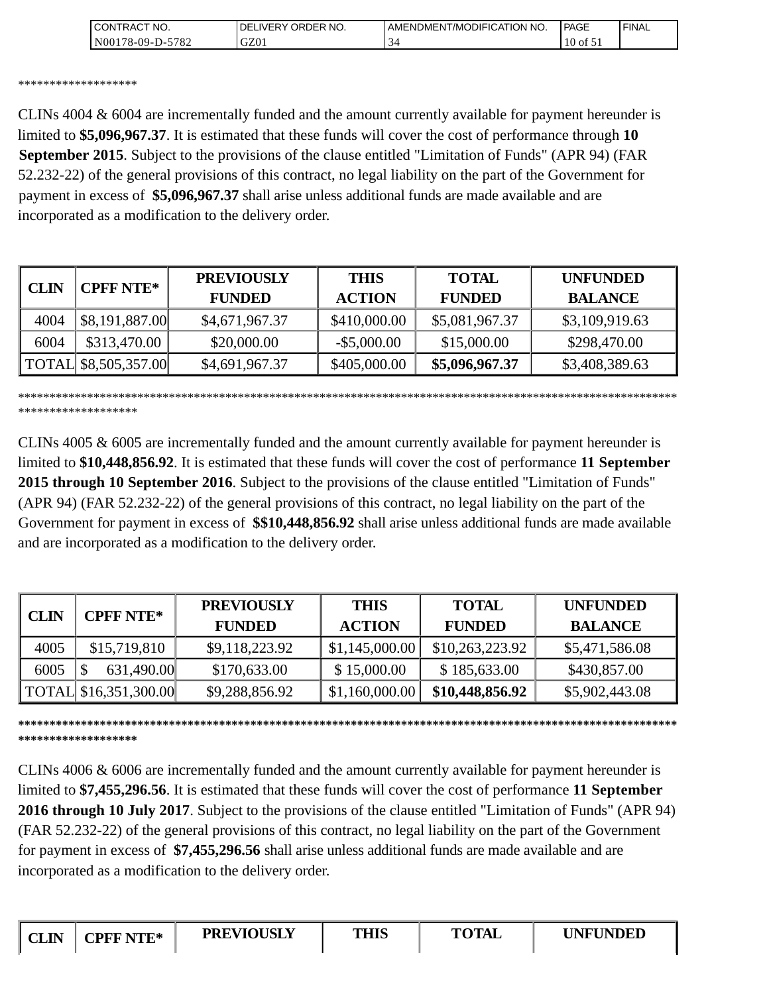| <b>CONTRAC</b><br>'NO.     | NO.<br>ORDER<br><b>DELIVERY</b> | I AMENDMENT/MODIFICATION NO. | <b>PAGE</b> | <b>FINAL</b> |
|----------------------------|---------------------------------|------------------------------|-------------|--------------|
| 5782<br>N00<br>$78-09-D$ - | GZ0.                            |                              | 10<br>оf    |              |

#### \*\*\*\*\*\*\*\*\*\*\*\*\*\*\*\*\*\*\*

CLINs 4004 & 6004 are incrementally funded and the amount currently available for payment hereunder is limited to **\$5,096,967.37**. It is estimated that these funds will cover the cost of performance through **10 September 2015**. Subject to the provisions of the clause entitled "Limitation of Funds" (APR 94) (FAR 52.232-22) of the general provisions of this contract, no legal liability on the part of the Government for payment in excess of **\$5,096,967.37** shall arise unless additional funds are made available and are incorporated as a modification to the delivery order.

| CLIN | <b>CPFF NTE*</b>     | <b>PREVIOUSLY</b><br><b>FUNDED</b> | <b>THIS</b><br><b>ACTION</b> | <b>TOTAL</b><br><b>FUNDED</b> | <b>UNFUNDED</b><br><b>BALANCE</b> |
|------|----------------------|------------------------------------|------------------------------|-------------------------------|-----------------------------------|
| 4004 | \$8,191,887.00       | \$4,671,967.37                     | \$410,000.00                 | \$5,081,967.37                | \$3,109,919.63                    |
| 6004 | \$313,470.00         | \$20,000.00                        | $-$ \$5,000.00               | \$15,000.00                   | \$298,470.00                      |
|      | TOTAL \$8,505,357.00 | \$4,691,967.37                     | \$405,000.00                 | \$5,096,967.37                | \$3,408,389.63                    |

\*\*\*\*\*\*\*\*\*\*\*\*\*\*\*\*\*\*\*\*\*\*\*\*\*\*\*\*\*\*\*\*\*\*\*\*\*\*\*\*\*\*\*\*\*\*\*\*\*\*\*\*\*\*\*\*\*\*\*\*\*\*\*\*\*\*\*\*\*\*\*\*\*\*\*\*\*\*\*\*\*\*\*\*\*\*\*\*\*\*\*\*\*\*\*\*\*\*\*\*\*\*\*\*\* \*\*\*\*\*\*\*\*\*\*\*\*\*\*\*\*\*\*\*

CLINs 4005 & 6005 are incrementally funded and the amount currently available for payment hereunder is limited to **\$10,448,856.92**. It is estimated that these funds will cover the cost of performance **11 September 2015 through 10 September 2016**. Subject to the provisions of the clause entitled "Limitation of Funds" (APR 94) (FAR 52.232-22) of the general provisions of this contract, no legal liability on the part of the Government for payment in excess of **\$\$10,448,856.92** shall arise unless additional funds are made available and are incorporated as a modification to the delivery order.

| <b>CLIN</b> | <b>CPFF NTE*</b>              | <b>PREVIOUSLY</b><br><b>FUNDED</b> | <b>THIS</b><br><b>ACTION</b> | <b>TOTAL</b><br><b>FUNDED</b> | <b>UNFUNDED</b><br><b>BALANCE</b> |
|-------------|-------------------------------|------------------------------------|------------------------------|-------------------------------|-----------------------------------|
| 4005        | \$15,719,810                  | \$9,118,223.92                     | \$1,145,000.00               | \$10,263,223.92               | \$5,471,586.08                    |
| 6005        | 631,490.00                    | \$170,633.00                       | \$15,000.00                  | \$185,633.00                  | \$430,857.00                      |
|             | $\vert$ TOTAL \$16,351,300.00 | \$9,288,856.92                     | \$1,160,000.00               | \$10,448,856.92               | \$5,902,443.08                    |

#### **\*\*\*\*\*\*\*\*\*\*\*\*\*\*\*\*\*\*\*\*\*\*\*\*\*\*\*\*\*\*\*\*\*\*\*\*\*\*\*\*\*\*\*\*\*\*\*\*\*\*\*\*\*\*\*\*\*\*\*\*\*\*\*\*\*\*\*\*\*\*\*\*\*\*\*\*\*\*\*\*\*\*\*\*\*\*\*\*\*\*\*\*\*\*\*\*\*\*\*\*\*\*\*\*\* \*\*\*\*\*\*\*\*\*\*\*\*\*\*\*\*\*\*\***

CLINs 4006 & 6006 are incrementally funded and the amount currently available for payment hereunder is limited to **\$7,455,296.56**. It is estimated that these funds will cover the cost of performance **11 September 2016 through 10 July 2017**. Subject to the provisions of the clause entitled "Limitation of Funds" (APR 94) (FAR 52.232-22) of the general provisions of this contract, no legal liability on the part of the Government for payment in excess of **\$7,455,296.56** shall arise unless additional funds are made available and are incorporated as a modification to the delivery order.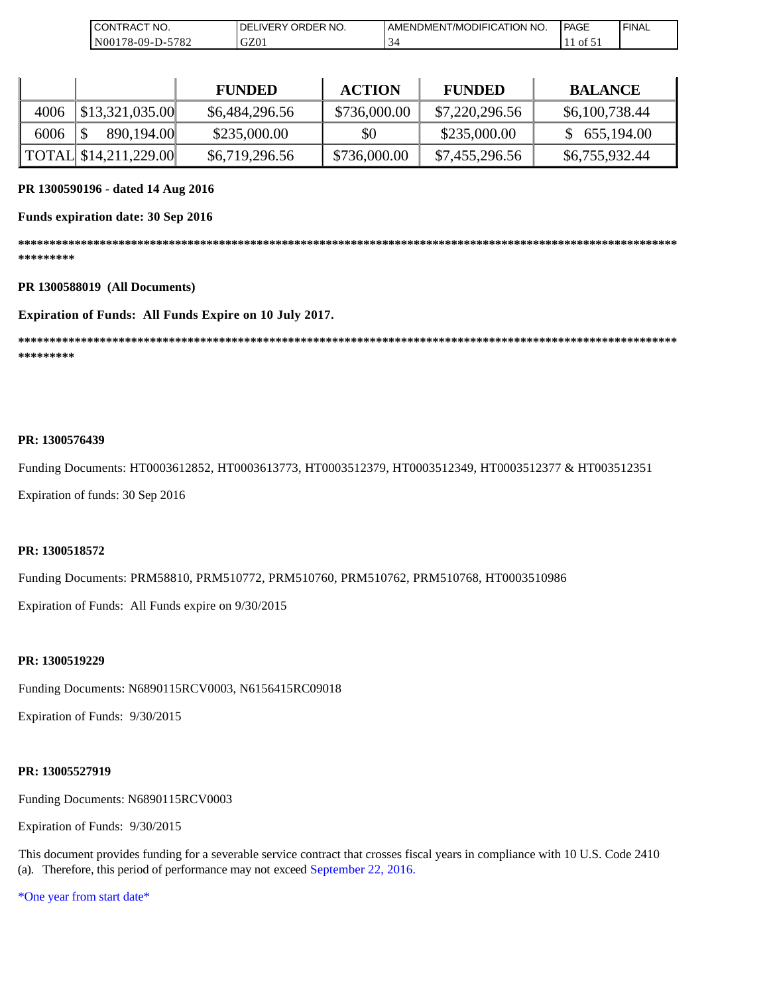| NO.<br>)N<br>RAC<br>$\sim$                                   | २ NO.<br>וחר<br>`DER .<br>⊣נ<br>$\sqrt{2}$ | 'NO.<br>ATION<br>,JDIFICAT'<br>AMENDMEN<br>/MC | PAGE | ' FINAL |
|--------------------------------------------------------------|--------------------------------------------|------------------------------------------------|------|---------|
| 570 <sup>o</sup><br>$8-09-$ D<br>$($ )()<br>ັບ<br>' O Z<br>∸ | GZ01                                       | ◡                                              | O1   |         |

|      |                                                           | <b>FUNDED</b>  | <b>ACTION</b> | <b>FUNDED</b>  | <b>BALANCE</b> |
|------|-----------------------------------------------------------|----------------|---------------|----------------|----------------|
| 4006 | $\left  \frac{1}{2} \right  \frac{3}{2} \cdot 321,035.00$ | \$6,484,296.56 | \$736,000.00  | \$7,220,296.56 | \$6,100,738.44 |
| 6006 | 890,194.00                                                | \$235,000.00   | \$0           | \$235,000.00   | \$655,194.00   |
|      | TOTAL \$14,211,229.00                                     | \$6,719,296.56 | \$736,000.00  | \$7,455,296.56 | \$6,755,932.44 |

#### **PR 1300590196 - dated 14 Aug 2016**

#### **Funds expiration date: 30 Sep 2016**

**\*\*\*\*\*\*\*\*\*\*\*\*\*\*\*\*\*\*\*\*\*\*\*\*\*\*\*\*\*\*\*\*\*\*\*\*\*\*\*\*\*\*\*\*\*\*\*\*\*\*\*\*\*\*\*\*\*\*\*\*\*\*\*\*\*\*\*\*\*\*\*\*\*\*\*\*\*\*\*\*\*\*\*\*\*\*\*\*\*\*\*\*\*\*\*\*\*\*\*\*\*\*\*\*\* \*\*\*\*\*\*\*\*\*** 

#### **PR 1300588019 (All Documents)**

#### **Expiration of Funds: All Funds Expire on 10 July 2017.**

**\*\*\*\*\*\*\*\*\*\*\*\*\*\*\*\*\*\*\*\*\*\*\*\*\*\*\*\*\*\*\*\*\*\*\*\*\*\*\*\*\*\*\*\*\*\*\*\*\*\*\*\*\*\*\*\*\*\*\*\*\*\*\*\*\*\*\*\*\*\*\*\*\*\*\*\*\*\*\*\*\*\*\*\*\*\*\*\*\*\*\*\*\*\*\*\*\*\*\*\*\*\*\*\*\* \*\*\*\*\*\*\*\*\***

#### **PR: 1300576439**

Funding Documents: HT0003612852, HT0003613773, HT0003512379, HT0003512349, HT0003512377 & HT003512351

Expiration of funds: 30 Sep 2016

#### **PR: 1300518572**

Funding Documents: PRM58810, PRM510772, PRM510760, PRM510762, PRM510768, HT0003510986

Expiration of Funds: All Funds expire on 9/30/2015

#### **PR: 1300519229**

Funding Documents: N6890115RCV0003, N6156415RC09018

Expiration of Funds: 9/30/2015

#### **PR: 13005527919**

Funding Documents: N6890115RCV0003

Expiration of Funds: 9/30/2015

This document provides funding for a severable service contract that crosses fiscal years in compliance with 10 U.S. Code 2410 (a). Therefore, this period of performance may not exceed September 22, 2016.

\*One year from start date\*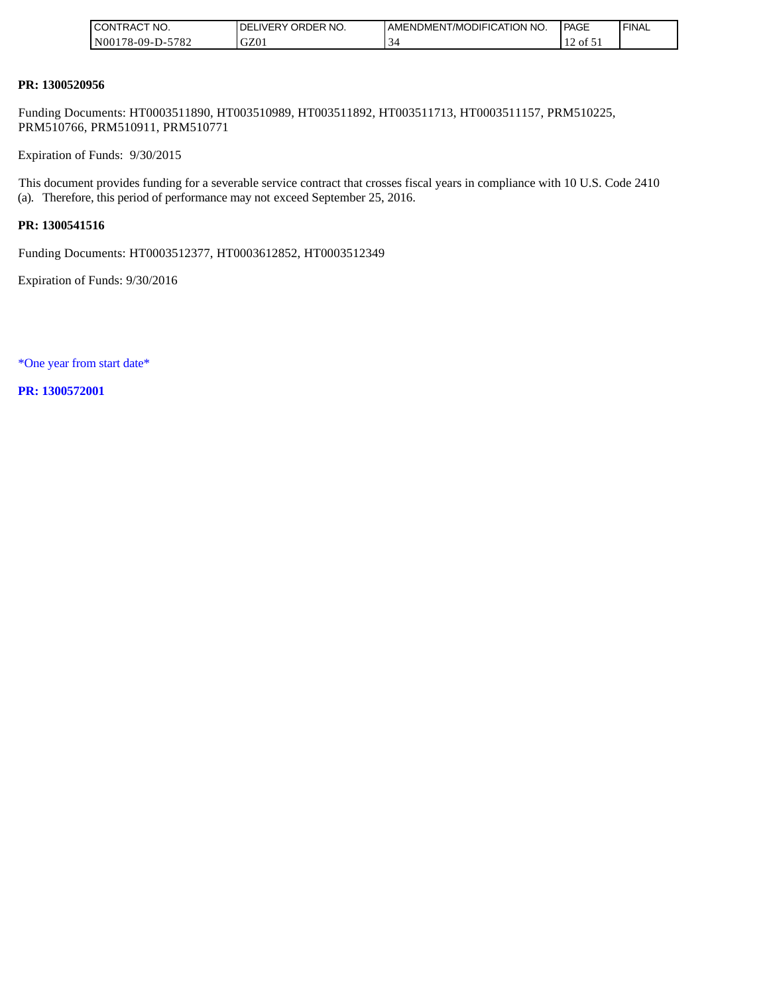| <b>ICONTRACT NO.</b> | DELIVERY ORDER NO. | <b>I AMENDMENT/MODIFICATION NO.</b> | PAGE  | ' FINAL |
|----------------------|--------------------|-------------------------------------|-------|---------|
| N00178-09-D-5782     | GZ01               |                                     | of 51 |         |

#### **PR: 1300520956**

Funding Documents: HT0003511890, HT003510989, HT003511892, HT003511713, HT0003511157, PRM510225, PRM510766, PRM510911, PRM510771

Expiration of Funds: 9/30/2015

This document provides funding for a severable service contract that crosses fiscal years in compliance with 10 U.S. Code 2410 (a). Therefore, this period of performance may not exceed September 25, 2016.

#### **PR: 1300541516**

Funding Documents: HT0003512377, HT0003612852, HT0003512349

Expiration of Funds: 9/30/2016

\*One year from start date\*

**PR: 1300572001**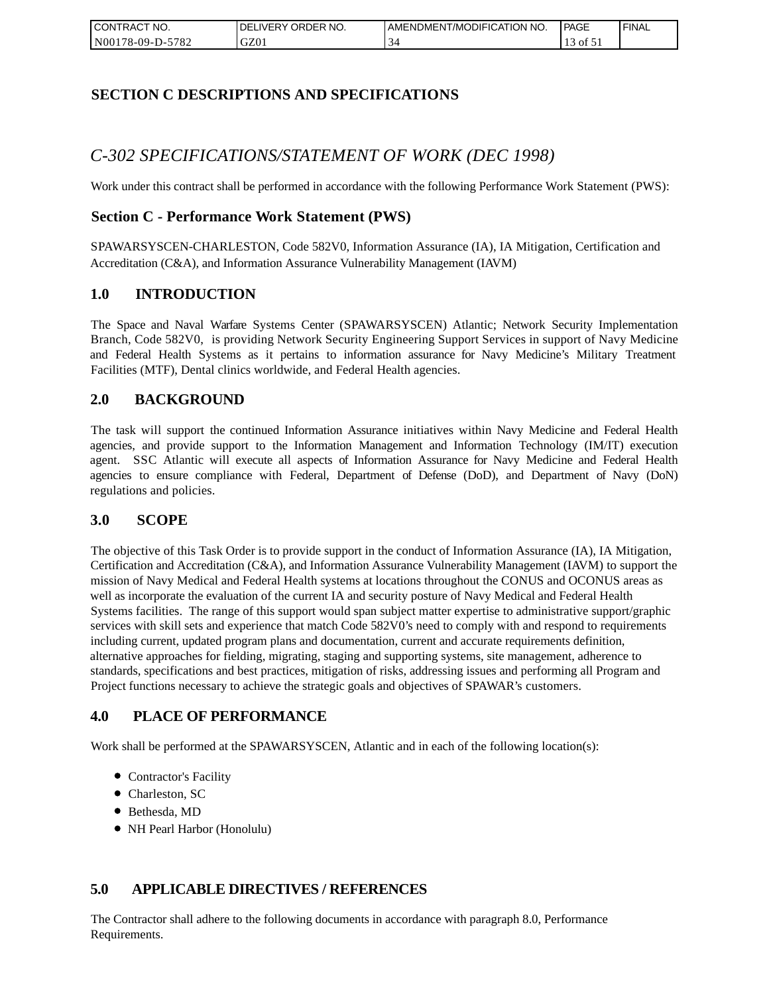| I CONTRACT NO.   | DELIVERY ORDER NO. | AMENDMENT/MODIFICATION NO. | PAGE                           | 'FINAL |
|------------------|--------------------|----------------------------|--------------------------------|--------|
| N00178-09-D-5782 | GZ01               |                            | $\rightarrow$ 01 $\rightarrow$ |        |

# **SECTION C DESCRIPTIONS AND SPECIFICATIONS**

# *C-302 SPECIFICATIONS/STATEMENT OF WORK (DEC 1998)*

Work under this contract shall be performed in accordance with the following Performance Work Statement (PWS):

### **Section C - Performance Work Statement (PWS)**

SPAWARSYSCEN-CHARLESTON, Code 582V0, Information Assurance (IA), IA Mitigation, Certification and Accreditation (C&A), and Information Assurance Vulnerability Management (IAVM)

#### **1.0 INTRODUCTION**

The Space and Naval Warfare Systems Center (SPAWARSYSCEN) Atlantic; Network Security Implementation Branch, Code 582V0, is providing Network Security Engineering Support Services in support of Navy Medicine and Federal Health Systems as it pertains to information assurance for Navy Medicine's Military Treatment Facilities (MTF), Dental clinics worldwide, and Federal Health agencies.

### **2.0 BACKGROUND**

The task will support the continued Information Assurance initiatives within Navy Medicine and Federal Health agencies, and provide support to the Information Management and Information Technology (IM/IT) execution agent. SSC Atlantic will execute all aspects of Information Assurance for Navy Medicine and Federal Health agencies to ensure compliance with Federal, Department of Defense (DoD), and Department of Navy (DoN) regulations and policies.

#### **3.0 SCOPE**

The objective of this Task Order is to provide support in the conduct of Information Assurance (IA), IA Mitigation, Certification and Accreditation (C&A), and Information Assurance Vulnerability Management (IAVM) to support the mission of Navy Medical and Federal Health systems at locations throughout the CONUS and OCONUS areas as well as incorporate the evaluation of the current IA and security posture of Navy Medical and Federal Health Systems facilities. The range of this support would span subject matter expertise to administrative support/graphic services with skill sets and experience that match Code 582V0's need to comply with and respond to requirements including current, updated program plans and documentation, current and accurate requirements definition, alternative approaches for fielding, migrating, staging and supporting systems, site management, adherence to standards, specifications and best practices, mitigation of risks, addressing issues and performing all Program and Project functions necessary to achieve the strategic goals and objectives of SPAWAR's customers.

### **4.0 PLACE OF PERFORMANCE**

Work shall be performed at the SPAWARSYSCEN, Atlantic and in each of the following location(s):

- Contractor's Facility
- Charleston, SC
- Bethesda, MD
- NH Pearl Harbor (Honolulu)

### **5.0 APPLICABLE DIRECTIVES / REFERENCES**

The Contractor shall adhere to the following documents in accordance with paragraph 8.0, Performance Requirements.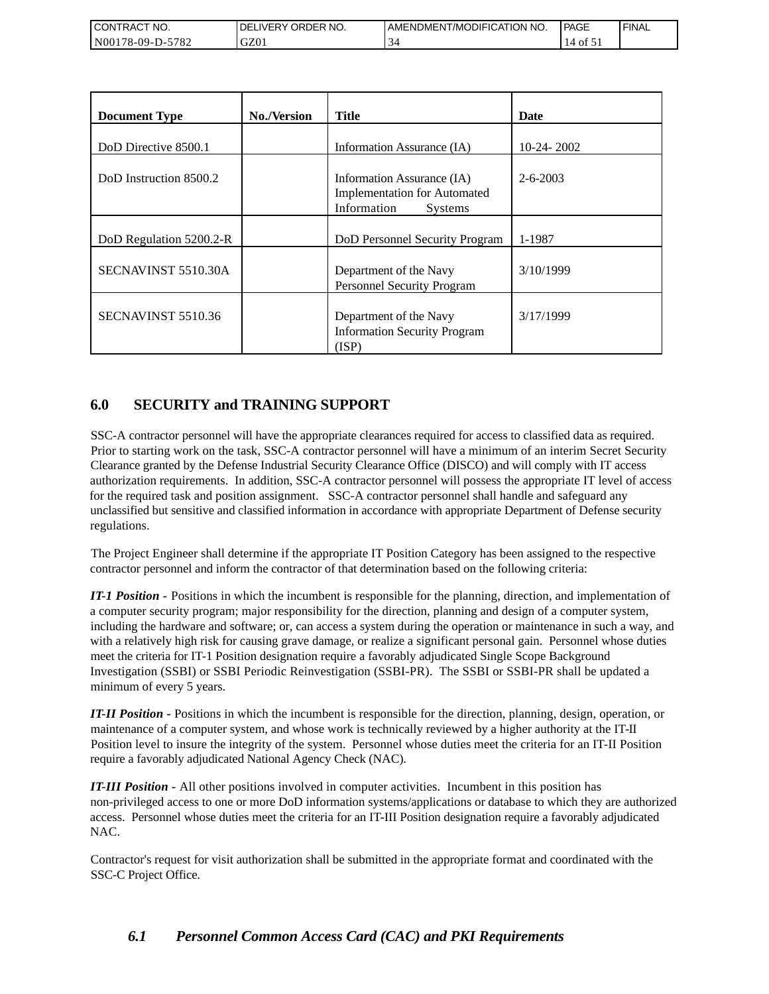| <b>CONTRACT NO.</b>                    | NO.<br>' ORDER<br>DELIVERY | AMENDMENT/MODIFICATION NO. | <b>PAGE</b> | 'FINAL |
|----------------------------------------|----------------------------|----------------------------|-------------|--------|
| 5782<br>N00<br>′8-09-I<br>$\mathbf{L}$ | GZ01                       |                            | Οİ          |        |

| <b>Document Type</b>    | <b>No./Version</b> | <b>Title</b>                                                                                       | Date           |
|-------------------------|--------------------|----------------------------------------------------------------------------------------------------|----------------|
| DoD Directive 8500.1    |                    | Information Assurance (IA)                                                                         | $10-24-2002$   |
| DoD Instruction 8500.2  |                    | Information Assurance (IA)<br><b>Implementation for Automated</b><br>Information<br><b>Systems</b> | $2 - 6 - 2003$ |
| DoD Regulation 5200.2-R |                    | DoD Personnel Security Program                                                                     | 1-1987         |
| SECNAVINST 5510.30A     |                    | Department of the Navy<br>Personnel Security Program                                               | 3/10/1999      |
| SECNAVINST 5510.36      |                    | Department of the Navy<br><b>Information Security Program</b><br>(ISP)                             | 3/17/1999      |

# **6.0 SECURITY and TRAINING SUPPORT**

SSC-A contractor personnel will have the appropriate clearances required for access to classified data as required. Prior to starting work on the task, SSC-A contractor personnel will have a minimum of an interim Secret Security Clearance granted by the Defense Industrial Security Clearance Office (DISCO) and will comply with IT access authorization requirements. In addition, SSC-A contractor personnel will possess the appropriate IT level of access for the required task and position assignment. SSC-A contractor personnel shall handle and safeguard any unclassified but sensitive and classified information in accordance with appropriate Department of Defense security regulations.

The Project Engineer shall determine if the appropriate IT Position Category has been assigned to the respective contractor personnel and inform the contractor of that determination based on the following criteria:

*IT-1 Position -* Positions in which the incumbent is responsible for the planning, direction, and implementation of a computer security program; major responsibility for the direction, planning and design of a computer system, including the hardware and software; or, can access a system during the operation or maintenance in such a way, and with a relatively high risk for causing grave damage, or realize a significant personal gain. Personnel whose duties meet the criteria for IT-1 Position designation require a favorably adjudicated Single Scope Background Investigation (SSBI) or SSBI Periodic Reinvestigation (SSBI-PR). The SSBI or SSBI-PR shall be updated a minimum of every 5 years.

*IT-II Position -* Positions in which the incumbent is responsible for the direction, planning, design, operation, or maintenance of a computer system, and whose work is technically reviewed by a higher authority at the IT-II Position level to insure the integrity of the system. Personnel whose duties meet the criteria for an IT-II Position require a favorably adjudicated National Agency Check (NAC).

*IT-III Position -* All other positions involved in computer activities. Incumbent in this position has non-privileged access to one or more DoD information systems/applications or database to which they are authorized access. Personnel whose duties meet the criteria for an IT-III Position designation require a favorably adjudicated NAC.

Contractor's request for visit authorization shall be submitted in the appropriate format and coordinated with the SSC-C Project Office.

# *6.1 Personnel Common Access Card (CAC) and PKI Requirements*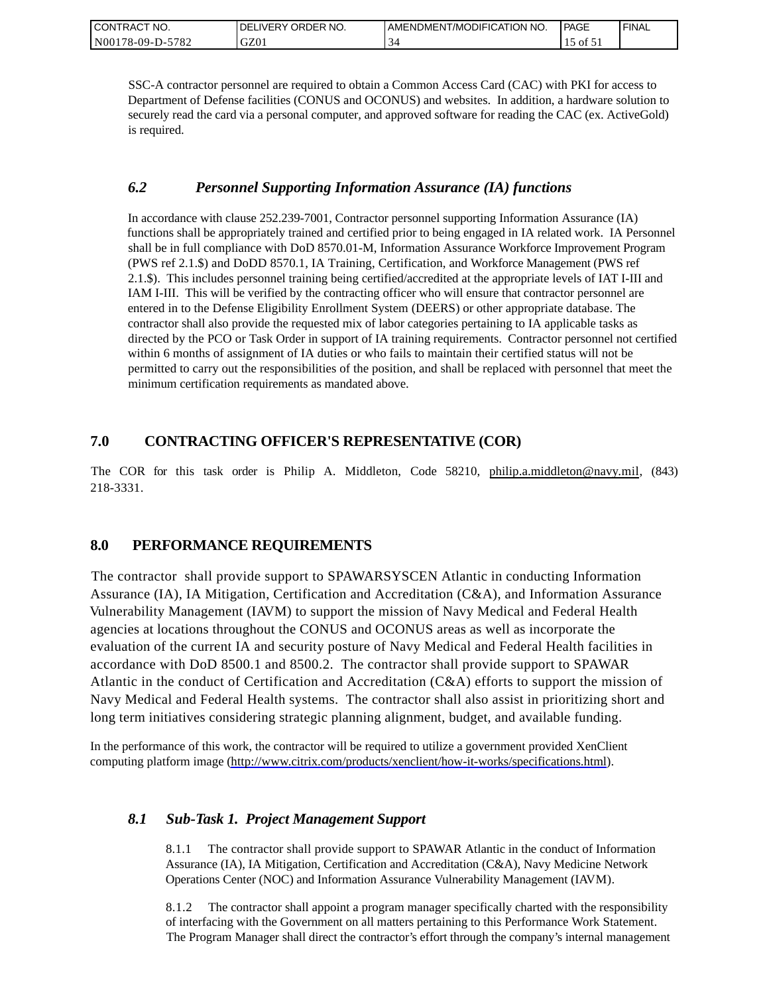| CONTRACT NO.     | ORDER NO.<br><b>DELIVERY</b> | I AMENDMENT/MODIFICATION NO. | PAGE             | ' FINAL |
|------------------|------------------------------|------------------------------|------------------|---------|
| N00178-09-D-5782 | GZ01                         |                              | $\sim$ 01 $\sim$ |         |

SSC-A contractor personnel are required to obtain a Common Access Card (CAC) with PKI for access to Department of Defense facilities (CONUS and OCONUS) and websites. In addition, a hardware solution to securely read the card via a personal computer, and approved software for reading the CAC (ex. ActiveGold) is required.

### *6.2 Personnel Supporting Information Assurance (IA) functions*

In accordance with clause 252.239-7001, Contractor personnel supporting Information Assurance (IA) functions shall be appropriately trained and certified prior to being engaged in IA related work. IA Personnel shall be in full compliance with DoD 8570.01-M, Information Assurance Workforce Improvement Program (PWS ref 2.1.\$) and DoDD 8570.1, IA Training, Certification, and Workforce Management (PWS ref 2.1.\$). This includes personnel training being certified/accredited at the appropriate levels of IAT I-III and IAM I-III. This will be verified by the contracting officer who will ensure that contractor personnel are entered in to the Defense Eligibility Enrollment System (DEERS) or other appropriate database. The contractor shall also provide the requested mix of labor categories pertaining to IA applicable tasks as directed by the PCO or Task Order in support of IA training requirements. Contractor personnel not certified within 6 months of assignment of IA duties or who fails to maintain their certified status will not be permitted to carry out the responsibilities of the position, and shall be replaced with personnel that meet the minimum certification requirements as mandated above.

# **7.0 CONTRACTING OFFICER'S REPRESENTATIVE (COR)**

The COR for this task order is Philip A. Middleton, Code 58210, [philip.a.middleton@navy.mil,](mailto:cphilip.a.middleton@navy.mil) (843) 218-3331.

# **8.0 PERFORMANCE REQUIREMENTS**

The contractor shall provide support to SPAWARSYSCEN Atlantic in conducting Information Assurance (IA), IA Mitigation, Certification and Accreditation (C&A), and Information Assurance Vulnerability Management (IAVM) to support the mission of Navy Medical and Federal Health agencies at locations throughout the CONUS and OCONUS areas as well as incorporate the evaluation of the current IA and security posture of Navy Medical and Federal Health facilities in accordance with DoD 8500.1 and 8500.2. The contractor shall provide support to SPAWAR Atlantic in the conduct of Certification and Accreditation (C&A) efforts to support the mission of Navy Medical and Federal Health systems. The contractor shall also assist in prioritizing short and long term initiatives considering strategic planning alignment, budget, and available funding.

In the performance of this work, the contractor will be required to utilize a government provided XenClient computing platform image [\(http://www.citrix.com/products/xenclient/how-it-works/specifications.html\)](http://www.citrix.com/products/xenclient/how-it-works/specifications.html).

### *8.1 Sub-Task 1. Project Management Support*

8.1.1 The contractor shall provide support to SPAWAR Atlantic in the conduct of Information Assurance (IA), IA Mitigation, Certification and Accreditation (C&A), Navy Medicine Network Operations Center (NOC) and Information Assurance Vulnerability Management (IAVM).

8.1.2 The contractor shall appoint a program manager specifically charted with the responsibility of interfacing with the Government on all matters pertaining to this Performance Work Statement. The Program Manager shall direct the contractor's effort through the company's internal management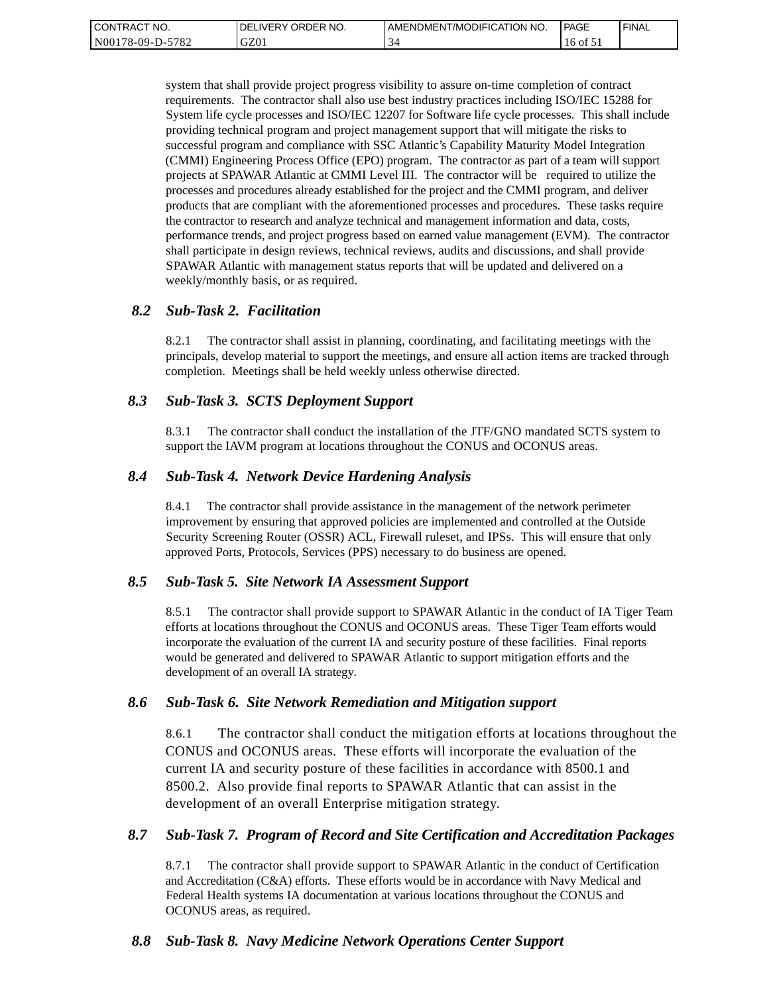| <b>CONTRACT</b><br>" NO. | ' ORDER NO.<br><b>DELIVERY</b> | I AMENDMENT/MODIFICATION NO. | PAGE     | ' FINAL |
|--------------------------|--------------------------------|------------------------------|----------|---------|
| N00178-09-D-5782         | GZ01                           |                              | 16 of 51 |         |

system that shall provide project progress visibility to assure on-time completion of contract requirements. The contractor shall also use best industry practices including ISO/IEC 15288 for System life cycle processes and ISO/IEC 12207 for Software life cycle processes. This shall include providing technical program and project management support that will mitigate the risks to successful program and compliance with SSC Atlantic's Capability Maturity Model Integration (CMMI) Engineering Process Office (EPO) program. The contractor as part of a team will support projects at SPAWAR Atlantic at CMMI Level III. The contractor will be required to utilize the processes and procedures already established for the project and the CMMI program, and deliver products that are compliant with the aforementioned processes and procedures. These tasks require the contractor to research and analyze technical and management information and data, costs, performance trends, and project progress based on earned value management (EVM). The contractor shall participate in design reviews, technical reviews, audits and discussions, and shall provide SPAWAR Atlantic with management status reports that will be updated and delivered on a weekly/monthly basis, or as required.

#### *8.2 Sub-Task 2. Facilitation*

8.2.1 The contractor shall assist in planning, coordinating, and facilitating meetings with the principals, develop material to support the meetings, and ensure all action items are tracked through completion. Meetings shall be held weekly unless otherwise directed.

#### *8.3 Sub-Task 3. SCTS Deployment Support*

8.3.1 The contractor shall conduct the installation of the JTF/GNO mandated SCTS system to support the IAVM program at locations throughout the CONUS and OCONUS areas.

#### *8.4 Sub-Task 4. Network Device Hardening Analysis*

8.4.1 The contractor shall provide assistance in the management of the network perimeter improvement by ensuring that approved policies are implemented and controlled at the Outside Security Screening Router (OSSR) ACL, Firewall ruleset, and IPSs. This will ensure that only approved Ports, Protocols, Services (PPS) necessary to do business are opened.

#### *8.5 Sub-Task 5. Site Network IA Assessment Support*

8.5.1 The contractor shall provide support to SPAWAR Atlantic in the conduct of IA Tiger Team efforts at locations throughout the CONUS and OCONUS areas. These Tiger Team efforts would incorporate the evaluation of the current IA and security posture of these facilities. Final reports would be generated and delivered to SPAWAR Atlantic to support mitigation efforts and the development of an overall IA strategy.

#### *8.6 Sub-Task 6. Site Network Remediation and Mitigation support*

8.6.1 The contractor shall conduct the mitigation efforts at locations throughout the CONUS and OCONUS areas. These efforts will incorporate the evaluation of the current IA and security posture of these facilities in accordance with 8500.1 and 8500.2. Also provide final reports to SPAWAR Atlantic that can assist in the development of an overall Enterprise mitigation strategy.

#### *8.7 Sub-Task 7. Program of Record and Site Certification and Accreditation Packages*

8.7.1 The contractor shall provide support to SPAWAR Atlantic in the conduct of Certification and Accreditation (C&A) efforts. These efforts would be in accordance with Navy Medical and Federal Health systems IA documentation at various locations throughout the CONUS and OCONUS areas, as required.

#### *8.8 Sub-Task 8. Navy Medicine Network Operations Center Support*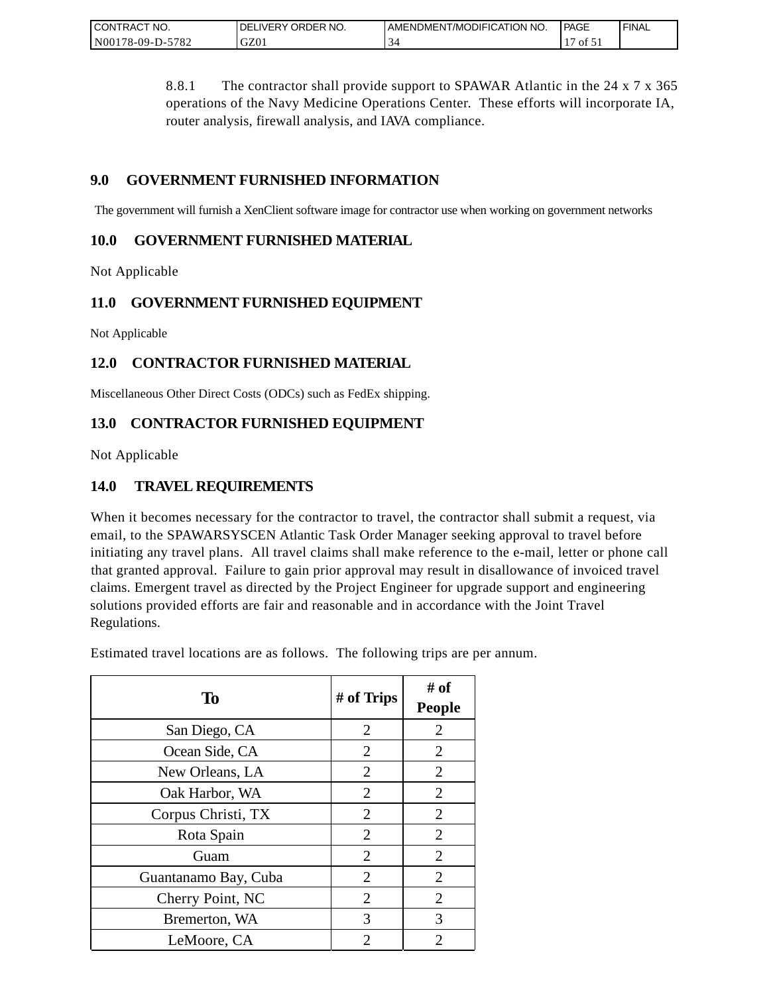| CONTRACT<br>" NO.           | ORDER NO.<br><b>DELIVERY</b> | AMENDMENT/MODIFICATION NO. | PAGE | <b>FINAL</b> |
|-----------------------------|------------------------------|----------------------------|------|--------------|
| $-5782$<br>N00<br>/8-09-D-5 | GZ0.                         |                            | ΟĪ   |              |

8.8.1 The contractor shall provide support to SPAWAR Atlantic in the 24 x 7 x 365 operations of the Navy Medicine Operations Center. These efforts will incorporate IA, router analysis, firewall analysis, and IAVA compliance.

# **9.0 GOVERNMENT FURNISHED INFORMATION**

The government will furnish a XenClient software image for contractor use when working on government networks

## **10.0 GOVERNMENT FURNISHED MATERIAL**

Not Applicable

# **11.0 GOVERNMENT FURNISHED EQUIPMENT**

Not Applicable

# **12.0 CONTRACTOR FURNISHED MATERIAL**

Miscellaneous Other Direct Costs (ODCs) such as FedEx shipping.

# **13.0 CONTRACTOR FURNISHED EQUIPMENT**

Not Applicable

# **14.0 TRAVEL REQUIREMENTS**

When it becomes necessary for the contractor to travel, the contractor shall submit a request, via email, to the SPAWARSYSCEN Atlantic Task Order Manager seeking approval to travel before initiating any travel plans. All travel claims shall make reference to the e-mail, letter or phone call that granted approval. Failure to gain prior approval may result in disallowance of invoiced travel claims. Emergent travel as directed by the Project Engineer for upgrade support and engineering solutions provided efforts are fair and reasonable and in accordance with the Joint Travel Regulations.

Estimated travel locations are as follows. The following trips are per annum.

| To                   | # of Trips     | # of<br><b>People</b> |
|----------------------|----------------|-----------------------|
| San Diego, CA        | $\overline{2}$ | $\overline{2}$        |
| Ocean Side, CA       | $\overline{2}$ | $\overline{2}$        |
| New Orleans, LA      | 2              | 2                     |
| Oak Harbor, WA       | $\overline{2}$ | $\overline{2}$        |
| Corpus Christi, TX   | 2              | $\overline{2}$        |
| Rota Spain           | $\overline{2}$ | $\overline{2}$        |
| Guam                 | $\overline{2}$ | $\overline{2}$        |
| Guantanamo Bay, Cuba | $\overline{2}$ | $\overline{2}$        |
| Cherry Point, NC     | $\overline{2}$ | $\overline{2}$        |
| Bremerton, WA        | 3              | 3                     |
| LeMoore, CA          | 2              | 2                     |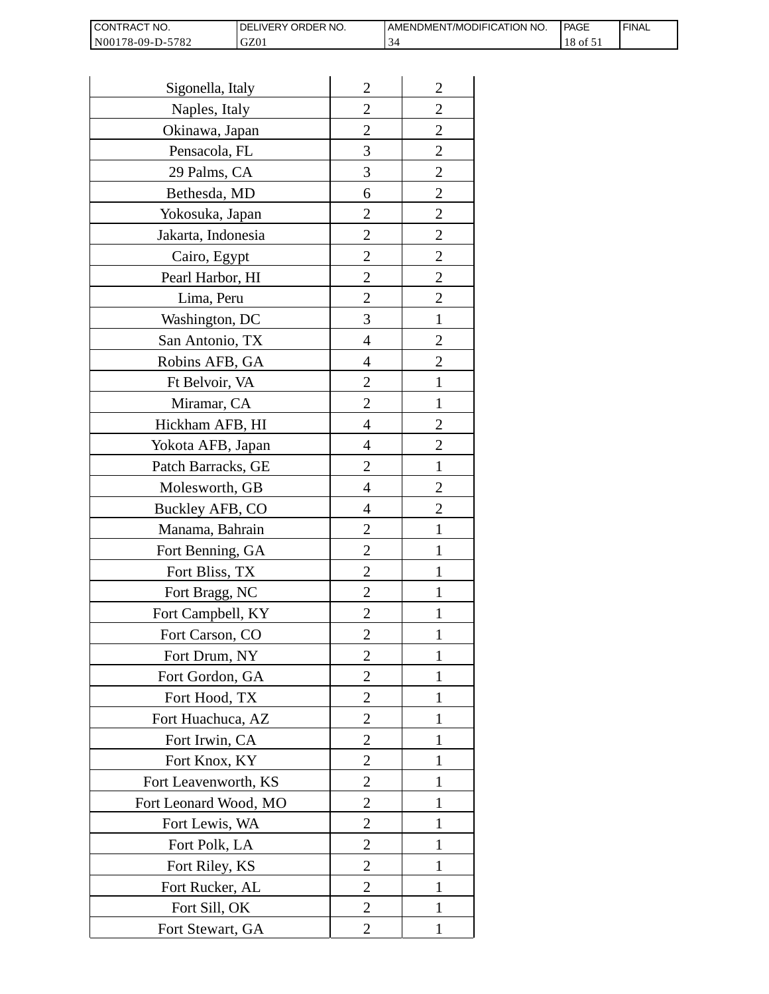| <b>I CONTRACT NO.</b> | <b>IDELIVERY ORDER NO.</b> | AMENDMENT/MODIFICATION NO. | PAGE     | 'FINAL |
|-----------------------|----------------------------|----------------------------|----------|--------|
| N00178-09-D-5782      | GZ01                       |                            | 18 of 51 |        |

| Sigonella, Italy      | $\overline{2}$ | $\overline{2}$ |
|-----------------------|----------------|----------------|
| Naples, Italy         | $\overline{c}$ | $\overline{c}$ |
| Okinawa, Japan        | $\overline{c}$ | $\overline{c}$ |
| Pensacola, FL         | 3              | $\overline{c}$ |
| 29 Palms, CA          | 3              | $\overline{2}$ |
| Bethesda, MD          | 6              | $\overline{2}$ |
| Yokosuka, Japan       | 2              | $\overline{c}$ |
| Jakarta, Indonesia    | $\overline{c}$ | $\overline{c}$ |
| Cairo, Egypt          | $\overline{c}$ | $\overline{c}$ |
| Pearl Harbor, HI      | $\overline{2}$ | $\overline{2}$ |
| Lima, Peru            | $\overline{c}$ | $\overline{2}$ |
| Washington, DC        | 3              | $\mathbf{1}$   |
| San Antonio, TX       | 4              | $\overline{c}$ |
| Robins AFB, GA        | 4              | $\overline{c}$ |
| Ft Belvoir, VA        | $\overline{c}$ | $\mathbf{1}$   |
| Miramar, CA           | $\overline{2}$ | 1              |
| Hickham AFB, HI       | 4              | $\overline{2}$ |
| Yokota AFB, Japan     | 4              | $\overline{c}$ |
| Patch Barracks, GE    | $\overline{2}$ | $\mathbf{1}$   |
| Molesworth, GB        | 4              | $\overline{2}$ |
| Buckley AFB, CO       | 4              | $\overline{c}$ |
| Manama, Bahrain       | $\overline{c}$ | $\mathbf{1}$   |
| Fort Benning, GA      | $\overline{c}$ | 1              |
| Fort Bliss, TX        | $\overline{c}$ | 1              |
| Fort Bragg, NC        | $\overline{2}$ | 1              |
| Fort Campbell, KY     | $\overline{c}$ |                |
| Fort Carson, CO       | $\overline{c}$ | 1              |
| Fort Drum, NY         | $\overline{2}$ | 1              |
| Fort Gordon, GA       | $\overline{2}$ | 1              |
| Fort Hood, TX         | $\overline{2}$ | I              |
| Fort Huachuca, AZ     | 2              | 1              |
| Fort Irwin, CA        | $\overline{c}$ | 1              |
| Fort Knox, KY         | $\overline{c}$ | 1              |
| Fort Leavenworth, KS  | $\overline{2}$ | $\mathbf{1}$   |
| Fort Leonard Wood, MO | $\overline{2}$ | 1              |
| Fort Lewis, WA        | 2              | 1              |
| Fort Polk, LA         | 2              | 1              |
| Fort Riley, KS        | $\overline{c}$ | 1              |
| Fort Rucker, AL       | $\overline{c}$ | 1              |
| Fort Sill, OK         | 2              | 1              |
| Fort Stewart, GA      | 2              | 1              |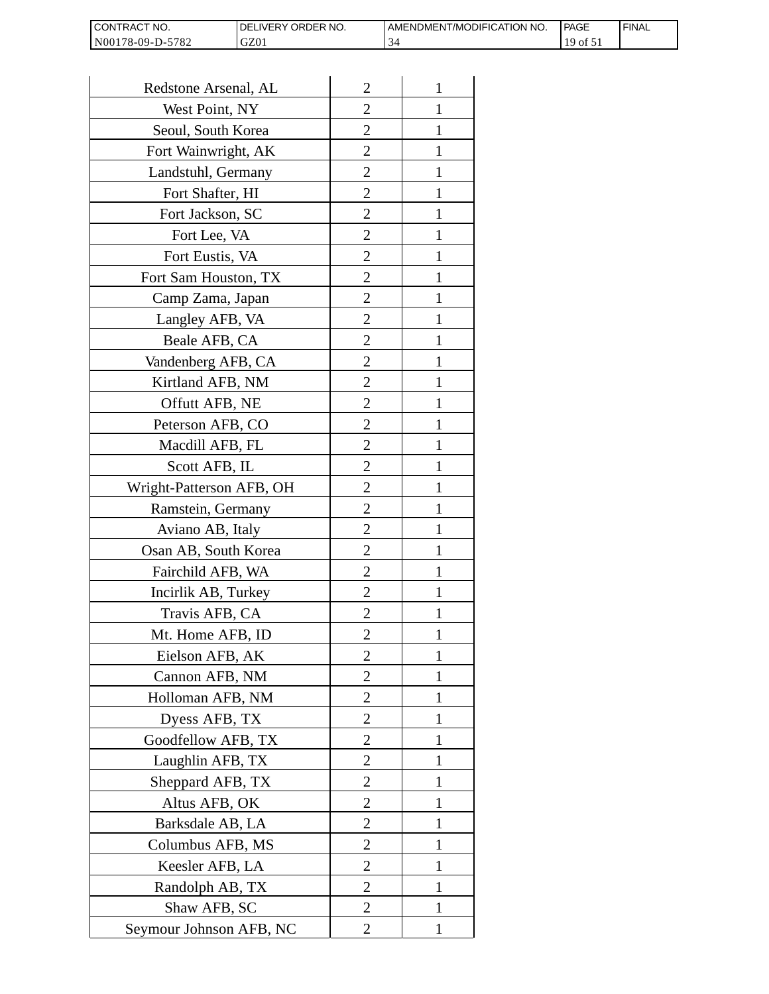| I CONTRACT NO.   | <b>IDELIVERY ORDER NO.</b> | AMENDMENT/MODIFICATION NO. | PAGE              | <sup>I</sup> FINAL |
|------------------|----------------------------|----------------------------|-------------------|--------------------|
| N00178-09-D-5782 | GZ01                       |                            | 10<br>$190t_{21}$ |                    |

| Redstone Arsenal, AL     | $\overline{2}$ | 1            |
|--------------------------|----------------|--------------|
| West Point, NY           | $\overline{2}$ | 1            |
| Seoul, South Korea       | $\overline{2}$ | 1            |
| Fort Wainwright, AK      | $\overline{c}$ | 1            |
| Landstuhl, Germany       | $\overline{2}$ | 1            |
| Fort Shafter, HI         | $\overline{2}$ | 1            |
| Fort Jackson, SC         | 2              | 1            |
| Fort Lee, VA             | 2              | 1            |
| Fort Eustis, VA          | 2              | 1            |
| Fort Sam Houston, TX     | $\overline{c}$ | 1            |
| Camp Zama, Japan         | $\overline{2}$ | 1            |
| Langley AFB, VA          | $\overline{2}$ | 1            |
| Beale AFB, CA            | $\overline{c}$ | 1            |
| Vandenberg AFB, CA       | 2              | 1            |
| Kirtland AFB, NM         | $\overline{2}$ | 1            |
| Offutt AFB, NE           | $\overline{2}$ | 1            |
| Peterson AFB, CO         | 2              | 1            |
| Macdill AFB, FL          | $\overline{2}$ | 1            |
| Scott AFB, IL            | 2              | 1            |
| Wright-Patterson AFB, OH | $\overline{2}$ | 1            |
| Ramstein, Germany        | $\overline{2}$ | 1            |
| Aviano AB, Italy         | 2              |              |
| Osan AB, South Korea     | 2              | 1            |
| Fairchild AFB, WA        | $\overline{2}$ | 1            |
| Incirlik AB, Turkey      | 2              | 1            |
| Travis AFB, CA           | 2              |              |
| Mt. Home AFB, ID         | 2              |              |
| Eielson AFB, AK          | $\overline{2}$ | 1            |
| Cannon AFB, NM           | $\overline{2}$ | $\mathbf{1}$ |
| Holloman AFB, NM         | $\overline{2}$ | 1            |
| Dyess AFB, TX            | 2              | 1            |
| Goodfellow AFB, TX       | 2              | 1            |
| Laughlin AFB, TX         | 2              | 1            |
| Sheppard AFB, TX         | $\overline{c}$ | 1            |
| Altus AFB, OK            | $\overline{2}$ | 1            |
| Barksdale AB, LA         | $\overline{2}$ | 1            |
| Columbus AFB, MS         | $\overline{2}$ | 1            |
| Keesler AFB, LA          | 2              | 1            |
| Randolph AB, TX          | $\overline{2}$ | $\mathbf{1}$ |
| Shaw AFB, SC             | $\overline{2}$ | 1            |
| Seymour Johnson AFB, NC  | 2              | 1            |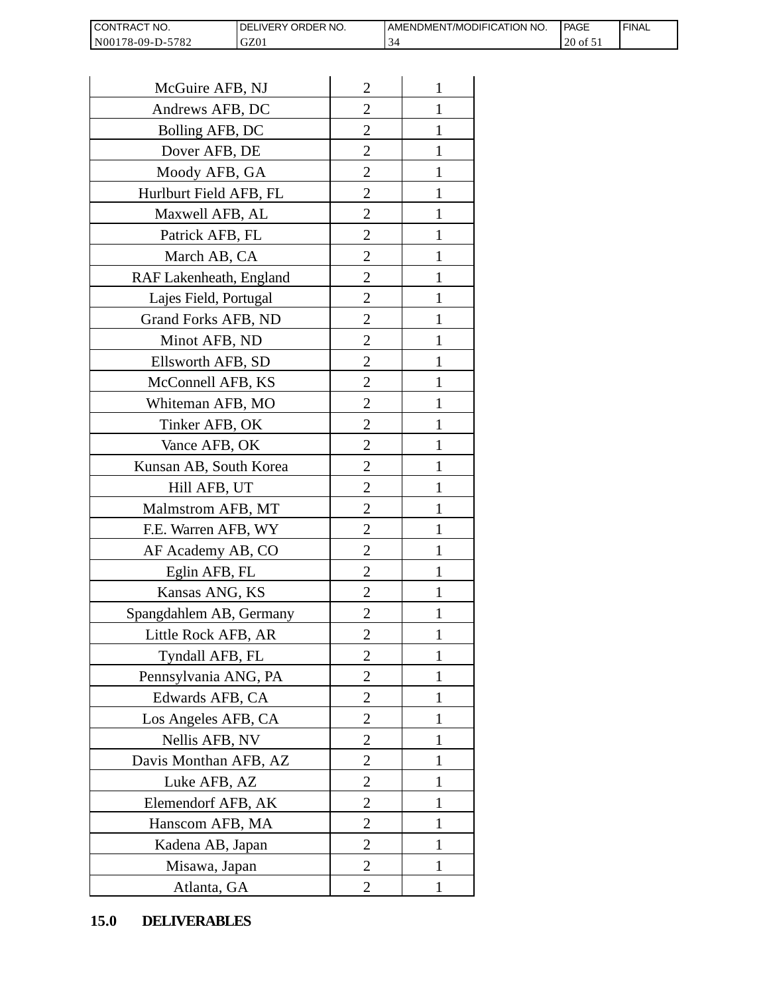| <b>CONT</b><br>`NO.<br><b>RACT</b>            | <b>ORDER</b><br>NO.<br><b>IVERY</b><br>∶⊐د، | T/MODIFICATION NO.<br>AMENDMENT | <b>PAGE</b> | <b>FINAL</b> |
|-----------------------------------------------|---------------------------------------------|---------------------------------|-------------|--------------|
| N <sub>001</sub><br>$-5782$<br>$78-09-L$<br>. | GZ01                                        |                                 | 20<br>' 01  |              |

| CONTRACT NO.<br>N00178-09-D-5782 | DELIVERY ORDER NO.<br>GZ01 |                | AMENDMENT/MOI<br>34 |
|----------------------------------|----------------------------|----------------|---------------------|
|                                  |                            |                |                     |
| McGuire AFB, NJ                  |                            | $\overline{2}$ | 1                   |
| Andrews AFB, DC                  |                            | 2              | 1                   |
| Bolling AFB, DC                  |                            | $\overline{c}$ | 1                   |
| Dover AFB, DE                    |                            | $\overline{2}$ | 1                   |
| Moody AFB, GA                    |                            | $\overline{2}$ | $\mathbf{1}$        |
| Hurlburt Field AFB, FL           |                            | $\overline{2}$ | 1                   |
| Maxwell AFB, AL                  |                            | $\overline{2}$ | 1                   |
| Patrick AFB, FL                  |                            | $\overline{c}$ | 1                   |
| March AB, CA                     |                            | $\overline{c}$ | 1                   |
| RAF Lakenheath, England          |                            | $\overline{2}$ | $\mathbf{1}$        |
| Lajes Field, Portugal            |                            | $\overline{2}$ | 1                   |
| Grand Forks AFB, ND              |                            | $\overline{2}$ | 1                   |
| Minot AFB, ND                    |                            | $\overline{2}$ | 1                   |
| Ellsworth AFB, SD                |                            | $\overline{c}$ | 1                   |
| McConnell AFB, KS                |                            | $\overline{c}$ | 1                   |
| Whiteman AFB, MO                 |                            | $\overline{2}$ | 1                   |
| Tinker AFB, OK                   |                            | $\overline{2}$ | 1                   |
| Vance AFB, OK                    |                            | 2              | 1                   |
| Kunsan AB, South Korea           |                            | $\overline{2}$ | 1                   |
| Hill AFB, UT                     |                            | $\overline{c}$ | 1                   |
| Malmstrom AFB, MT                |                            | 2              | 1                   |
| F.E. Warren AFB, WY              |                            | $\overline{2}$ | $\mathbf{1}$        |
| AF Academy AB, CO                |                            | $\overline{2}$ | $\mathbf{1}$        |
| Eglin AFB, FL                    |                            | $\overline{2}$ | 1                   |
| Kansas ANG, KS                   |                            | $\overline{c}$ |                     |
| Spangdahlem AB, Germany          |                            | 2              | 1                   |
| Little Rock AFB, AR              |                            | $\overline{c}$ | 1                   |
| Tyndall AFB, FL                  |                            | $\overline{2}$ | $\mathbf{1}$        |
| Pennsylvania ANG, PA             |                            | $\overline{2}$ | 1                   |
| Edwards AFB, CA                  |                            | 2              | 1                   |
| Los Angeles AFB, CA              |                            | 2              | 1                   |
| Nellis AFB, NV                   |                            | $\overline{c}$ | 1                   |
| Davis Monthan AFB, AZ            |                            | $\overline{c}$ | 1                   |
| Luke AFB, AZ                     |                            | $\overline{2}$ | 1                   |
| Elemendorf AFB, AK               |                            | $\overline{2}$ | 1                   |
| Hanscom AFB, MA                  |                            | 2              | 1                   |
| Kadena AB, Japan                 |                            | $\overline{2}$ | 1                   |
| Misawa, Japan                    |                            | $\overline{c}$ | 1                   |
| Atlanta, GA                      |                            | $\overline{2}$ | 1                   |
| <b>DELIVERABLES</b><br>15.0      |                            |                |                     |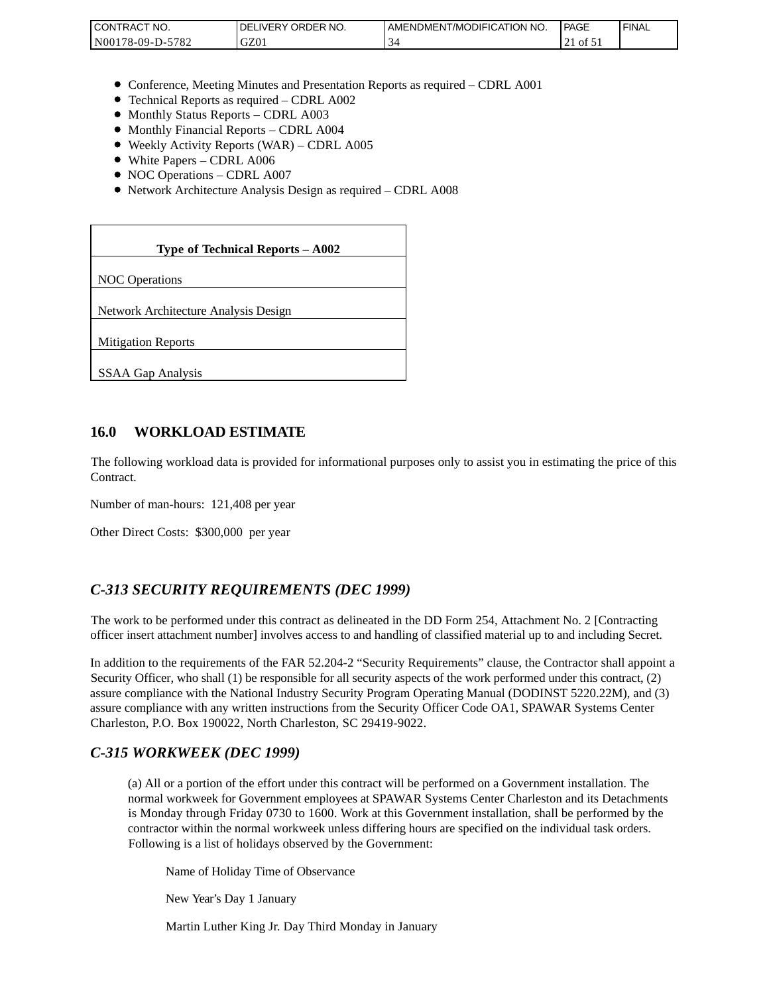| <b>CONTRAC</b><br>'NO.     | NO.<br>ORDER<br><b>DELIVERY</b> | AMENDMENT/MODIFICATION NO. | <b>PAGE</b>    | <b>FINAL</b> |
|----------------------------|---------------------------------|----------------------------|----------------|--------------|
| 5782<br>N00<br>$78-09-D$ - | 770<br>JZU                      |                            | ΟĪ<br>$\sim$ 1 |              |

- Conference, Meeting Minutes and Presentation Reports as required CDRL A001
- Technical Reports as required CDRL A002
- Monthly Status Reports CDRL A003
- $\bullet$  Monthly Financial Reports CDRL A004
- Weekly Activity Reports (WAR) CDRL A005
- White Papers CDRL A006
- NOC Operations CDRL A007
- Network Architecture Analysis Design as required CDRL A008

| CONTRACT NO.<br>N00178-09-D-5782                                                                                                                                                                                                                                                                                                                                 | DELIVERY ORDER NO.<br>GZ01                                                                                                                                                                                                                                                                                              | AMENDME<br>34 |
|------------------------------------------------------------------------------------------------------------------------------------------------------------------------------------------------------------------------------------------------------------------------------------------------------------------------------------------------------------------|-------------------------------------------------------------------------------------------------------------------------------------------------------------------------------------------------------------------------------------------------------------------------------------------------------------------------|---------------|
|                                                                                                                                                                                                                                                                                                                                                                  |                                                                                                                                                                                                                                                                                                                         |               |
| • Monthly Status Reports - CDRL A003<br>• Monthly Financial Reports - CDRL A004<br>• White Papers - CDRL A006<br>• NOC Operations - CDRL A007                                                                                                                                                                                                                    | • Conference, Meeting Minutes and Presentation Reports as rec<br>• Technical Reports as required - CDRL A002<br>• Weekly Activity Reports (WAR) – CDRL A005<br>• Network Architecture Analysis Design as required - CDRL A                                                                                              |               |
|                                                                                                                                                                                                                                                                                                                                                                  | Type of Technical Reports - A002                                                                                                                                                                                                                                                                                        |               |
| <b>NOC</b> Operations                                                                                                                                                                                                                                                                                                                                            |                                                                                                                                                                                                                                                                                                                         |               |
| Network Architecture Analysis Design                                                                                                                                                                                                                                                                                                                             |                                                                                                                                                                                                                                                                                                                         |               |
| <b>Mitigation Reports</b>                                                                                                                                                                                                                                                                                                                                        |                                                                                                                                                                                                                                                                                                                         |               |
| SSAA Gap Analysis                                                                                                                                                                                                                                                                                                                                                |                                                                                                                                                                                                                                                                                                                         |               |
|                                                                                                                                                                                                                                                                                                                                                                  |                                                                                                                                                                                                                                                                                                                         |               |
| 16.0<br><b>WORKLOAD ESTIMATE</b>                                                                                                                                                                                                                                                                                                                                 |                                                                                                                                                                                                                                                                                                                         |               |
| The following workload data is provided for informational purposes<br>Contract.                                                                                                                                                                                                                                                                                  |                                                                                                                                                                                                                                                                                                                         |               |
| Number of man-hours: 121,408 per year                                                                                                                                                                                                                                                                                                                            |                                                                                                                                                                                                                                                                                                                         |               |
| Other Direct Costs: \$300,000 per year                                                                                                                                                                                                                                                                                                                           |                                                                                                                                                                                                                                                                                                                         |               |
| C-313 SECURITY REQUIREMENTS (DEC 1999)                                                                                                                                                                                                                                                                                                                           |                                                                                                                                                                                                                                                                                                                         |               |
| The work to be performed under this contract as delineated in the DI<br>officer insert attachment number] involves access to and handling of o                                                                                                                                                                                                                   |                                                                                                                                                                                                                                                                                                                         |               |
| In addition to the requirements of the FAR 52.204-2 "Security Requi<br>Security Officer, who shall (1) be responsible for all security aspects of<br>assure compliance with the National Industry Security Program Oper<br>assure compliance with any written instructions from the Security Of<br>Charleston, P.O. Box 190022, North Charleston, SC 29419-9022. |                                                                                                                                                                                                                                                                                                                         |               |
| C-315 WORKWEEK (DEC 1999)                                                                                                                                                                                                                                                                                                                                        |                                                                                                                                                                                                                                                                                                                         |               |
|                                                                                                                                                                                                                                                                                                                                                                  | (a) All or a portion of the effort under this contract will be per<br>normal workweek for Government employees at SPAWAR Sy<br>is Monday through Friday 0730 to 1600. Work at this Gover<br>contractor within the normal workweek unless differing hours<br>Following is a list of holidays observed by the Government: |               |
|                                                                                                                                                                                                                                                                                                                                                                  | Name of Holiday Time of Observance                                                                                                                                                                                                                                                                                      |               |
| New Year's Day 1 January                                                                                                                                                                                                                                                                                                                                         |                                                                                                                                                                                                                                                                                                                         |               |
|                                                                                                                                                                                                                                                                                                                                                                  | Martin Luther King Jr. Day Third Monday in January                                                                                                                                                                                                                                                                      |               |

#### **16.0 WORKLOAD ESTIMATE**

The following workload data is provided for informational purposes only to assist you in estimating the price of this Contract.

### *C-313 SECURITY REQUIREMENTS (DEC 1999)*

The work to be performed under this contract as delineated in the DD Form 254, Attachment No. 2 [Contracting officer insert attachment number] involves access to and handling of classified material up to and including Secret.

In addition to the requirements of the FAR 52.204-2 "Security Requirements" clause, the Contractor shall appoint a Security Officer, who shall (1) be responsible for all security aspects of the work performed under this contract, (2) assure compliance with the National Industry Security Program Operating Manual (DODINST 5220.22M), and (3) assure compliance with any written instructions from the Security Officer Code OA1, SPAWAR Systems Center Charleston, P.O. Box 190022, North Charleston, SC 29419-9022.

#### *C-315 WORKWEEK (DEC 1999)*

(a) All or a portion of the effort under this contract will be performed on a Government installation. The normal workweek for Government employees at SPAWAR Systems Center Charleston and its Detachments is Monday through Friday 0730 to 1600. Work at this Government installation, shall be performed by the contractor within the normal workweek unless differing hours are specified on the individual task orders. Following is a list of holidays observed by the Government: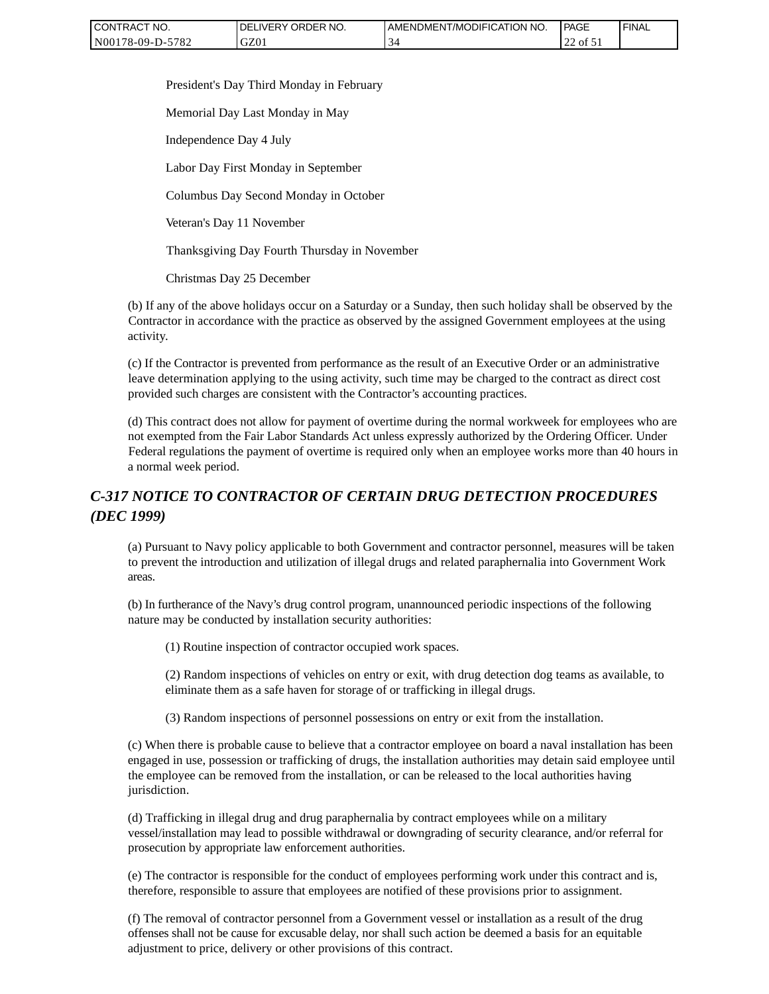| CONTRACT NO.     | `NO.<br>' ORDER<br><b>DELIVERY</b> | AMENDMENT/MODIFICATION NO. | <b>PAGE</b>  | 'FINAL |
|------------------|------------------------------------|----------------------------|--------------|--------|
| N00178-09-D-5782 | GZ0 <sub>1</sub>                   |                            | of $51$<br>∼ |        |

President's Day Third Monday in February

Memorial Day Last Monday in May

Independence Day 4 July

Labor Day First Monday in September

Columbus Day Second Monday in October

Veteran's Day 11 November

Thanksgiving Day Fourth Thursday in November

Christmas Day 25 December

(b) If any of the above holidays occur on a Saturday or a Sunday, then such holiday shall be observed by the Contractor in accordance with the practice as observed by the assigned Government employees at the using activity.

(c) If the Contractor is prevented from performance as the result of an Executive Order or an administrative leave determination applying to the using activity, such time may be charged to the contract as direct cost provided such charges are consistent with the Contractor's accounting practices.

(d) This contract does not allow for payment of overtime during the normal workweek for employees who are not exempted from the Fair Labor Standards Act unless expressly authorized by the Ordering Officer. Under Federal regulations the payment of overtime is required only when an employee works more than 40 hours in a normal week period.

# *C-317 NOTICE TO CONTRACTOR OF CERTAIN DRUG DETECTION PROCEDURES (DEC 1999)*

(a) Pursuant to Navy policy applicable to both Government and contractor personnel, measures will be taken to prevent the introduction and utilization of illegal drugs and related paraphernalia into Government Work areas.

(b) In furtherance of the Navy's drug control program, unannounced periodic inspections of the following nature may be conducted by installation security authorities:

(1) Routine inspection of contractor occupied work spaces.

(2) Random inspections of vehicles on entry or exit, with drug detection dog teams as available, to eliminate them as a safe haven for storage of or trafficking in illegal drugs.

(3) Random inspections of personnel possessions on entry or exit from the installation.

(c) When there is probable cause to believe that a contractor employee on board a naval installation has been engaged in use, possession or trafficking of drugs, the installation authorities may detain said employee until the employee can be removed from the installation, or can be released to the local authorities having jurisdiction.

(d) Trafficking in illegal drug and drug paraphernalia by contract employees while on a military vessel/installation may lead to possible withdrawal or downgrading of security clearance, and/or referral for prosecution by appropriate law enforcement authorities.

(e) The contractor is responsible for the conduct of employees performing work under this contract and is, therefore, responsible to assure that employees are notified of these provisions prior to assignment.

(f) The removal of contractor personnel from a Government vessel or installation as a result of the drug offenses shall not be cause for excusable delay, nor shall such action be deemed a basis for an equitable adjustment to price, delivery or other provisions of this contract.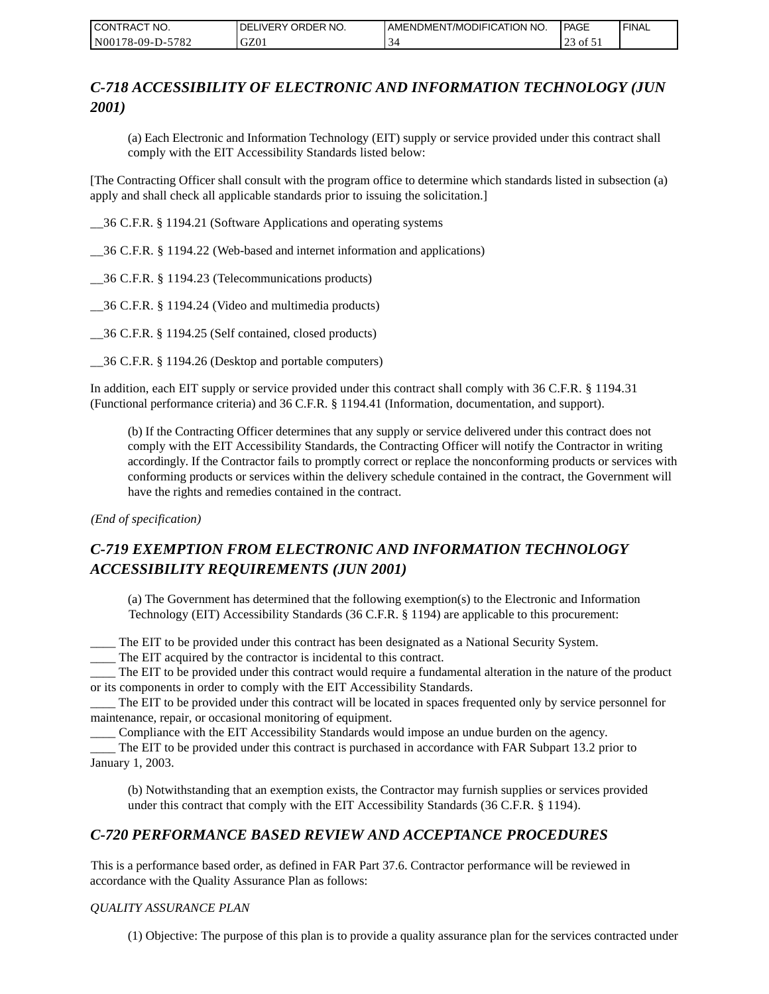| CONTRACT NO.     | <b>IDELIVERY ORDER NO.</b> | AMENDMENT/MODIFICATION NO. | <b>PAGE</b> | ' FINAL |
|------------------|----------------------------|----------------------------|-------------|---------|
| N00178-09-D-5782 | GZ01                       |                            | of 51<br>ت  |         |

# *C-718 ACCESSIBILITY OF ELECTRONIC AND INFORMATION TECHNOLOGY (JUN 2001)*

(a) Each Electronic and Information Technology (EIT) supply or service provided under this contract shall comply with the EIT Accessibility Standards listed below:

[The Contracting Officer shall consult with the program office to determine which standards listed in subsection (a) apply and shall check all applicable standards prior to issuing the solicitation.]

\_\_36 C.F.R. § 1194.21 (Software Applications and operating systems

\_\_36 C.F.R. § 1194.22 (Web-based and internet information and applications)

\_\_36 C.F.R. § 1194.23 (Telecommunications products)

\_\_36 C.F.R. § 1194.24 (Video and multimedia products)

\_\_36 C.F.R. § 1194.25 (Self contained, closed products)

\_\_36 C.F.R. § 1194.26 (Desktop and portable computers)

In addition, each EIT supply or service provided under this contract shall comply with 36 C.F.R. § 1194.31 (Functional performance criteria) and 36 C.F.R. § 1194.41 (Information, documentation, and support).

(b) If the Contracting Officer determines that any supply or service delivered under this contract does not comply with the EIT Accessibility Standards, the Contracting Officer will notify the Contractor in writing accordingly. If the Contractor fails to promptly correct or replace the nonconforming products or services with conforming products or services within the delivery schedule contained in the contract, the Government will have the rights and remedies contained in the contract.

*(End of specification)*

# *C-719 EXEMPTION FROM ELECTRONIC AND INFORMATION TECHNOLOGY ACCESSIBILITY REQUIREMENTS (JUN 2001)*

(a) The Government has determined that the following exemption(s) to the Electronic and Information Technology (EIT) Accessibility Standards (36 C.F.R. § 1194) are applicable to this procurement:

\_\_\_\_ The EIT to be provided under this contract has been designated as a National Security System.

\_\_\_\_ The EIT acquired by the contractor is incidental to this contract.

\_\_\_\_ The EIT to be provided under this contract would require a fundamental alteration in the nature of the product or its components in order to comply with the EIT Accessibility Standards.

\_\_\_\_ The EIT to be provided under this contract will be located in spaces frequented only by service personnel for maintenance, repair, or occasional monitoring of equipment.

\_\_\_\_ Compliance with the EIT Accessibility Standards would impose an undue burden on the agency.

\_\_\_\_ The EIT to be provided under this contract is purchased in accordance with FAR Subpart 13.2 prior to January 1, 2003.

(b) Notwithstanding that an exemption exists, the Contractor may furnish supplies or services provided under this contract that comply with the EIT Accessibility Standards (36 C.F.R. § 1194).

### *C-720 PERFORMANCE BASED REVIEW AND ACCEPTANCE PROCEDURES*

This is a performance based order, as defined in FAR Part 37.6. Contractor performance will be reviewed in accordance with the Quality Assurance Plan as follows:

#### *QUALITY ASSURANCE PLAN*

(1) Objective: The purpose of this plan is to provide a quality assurance plan for the services contracted under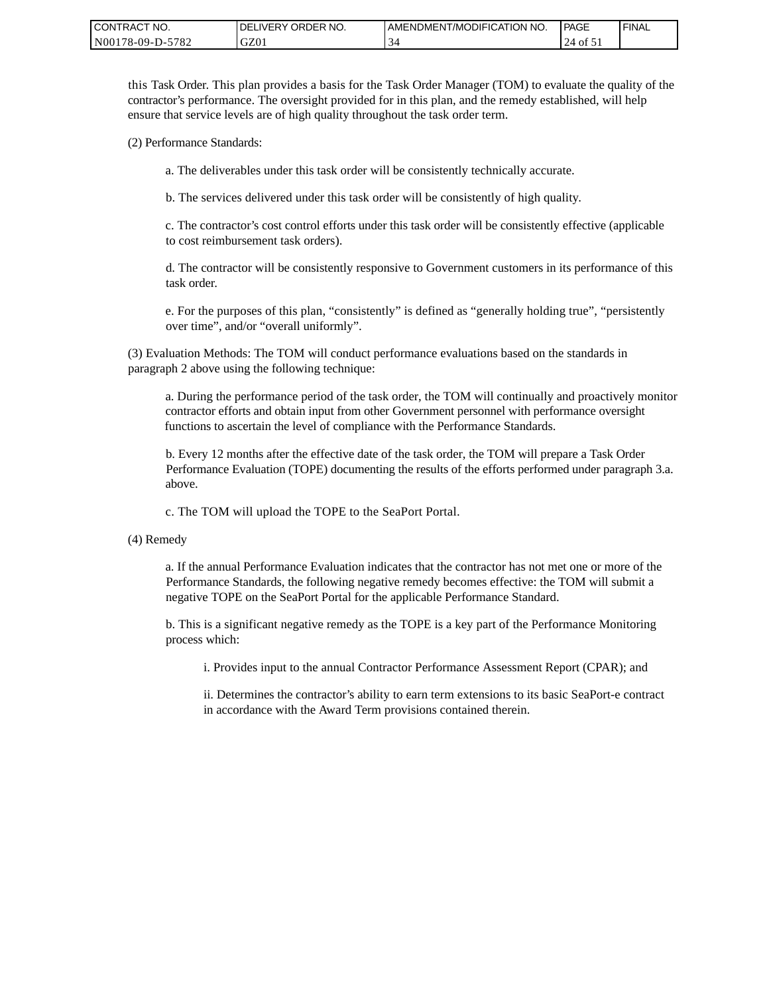| CONTRACT NO.     | ORDER NO.<br><b>DELIVERY</b> | <b>AMENDMENT/MODIFICATION NO.</b> | PAGE        | 'FINAL |
|------------------|------------------------------|-----------------------------------|-------------|--------|
| N00178-09-D-5782 | GZ01                         |                                   | ot 51<br>24 |        |

this Task Order. This plan provides a basis for the Task Order Manager (TOM) to evaluate the quality of the contractor's performance. The oversight provided for in this plan, and the remedy established, will help ensure that service levels are of high quality throughout the task order term.

(2) Performance Standards:

a. The deliverables under this task order will be consistently technically accurate.

b. The services delivered under this task order will be consistently of high quality.

c. The contractor's cost control efforts under this task order will be consistently effective (applicable to cost reimbursement task orders).

d. The contractor will be consistently responsive to Government customers in its performance of this task order.

e. For the purposes of this plan, "consistently" is defined as "generally holding true", "persistently over time", and/or "overall uniformly".

(3) Evaluation Methods: The TOM will conduct performance evaluations based on the standards in paragraph 2 above using the following technique:

a. During the performance period of the task order, the TOM will continually and proactively monitor contractor efforts and obtain input from other Government personnel with performance oversight functions to ascertain the level of compliance with the Performance Standards.

b. Every 12 months after the effective date of the task order, the TOM will prepare a Task Order Performance Evaluation (TOPE) documenting the results of the efforts performed under paragraph 3.a. above.

c. The TOM will upload the TOPE to the SeaPort Portal.

(4) Remedy

a. If the annual Performance Evaluation indicates that the contractor has not met one or more of the Performance Standards, the following negative remedy becomes effective: the TOM will submit a negative TOPE on the SeaPort Portal for the applicable Performance Standard.

b. This is a significant negative remedy as the TOPE is a key part of the Performance Monitoring process which:

i. Provides input to the annual Contractor Performance Assessment Report (CPAR); and

ii. Determines the contractor's ability to earn term extensions to its basic SeaPort-e contract in accordance with the Award Term provisions contained therein.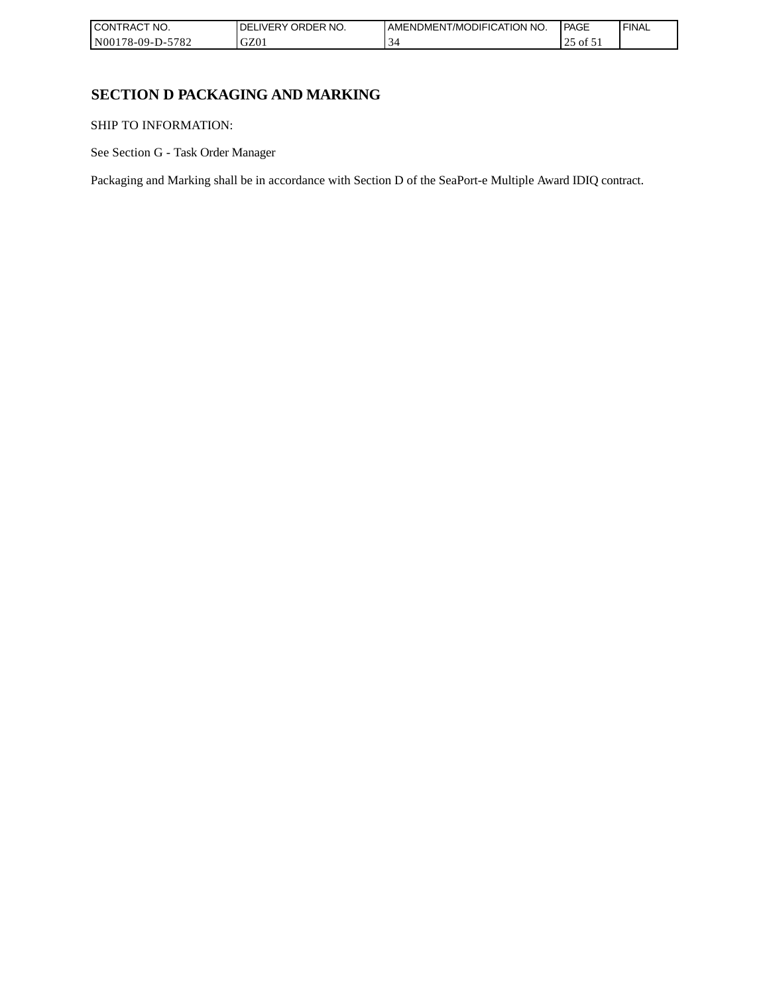| CONTRACT NO.           | ORDER NO.<br>DELI<br>_IVERY | AMENDMENT/MODIFICATION NO. | l PAGE                               | 'FINAL |
|------------------------|-----------------------------|----------------------------|--------------------------------------|--------|
| -5782<br>N00178-09-D-5 | GZ01                        |                            | $\overline{01}$ $\overline{1}$<br>ر_ |        |

# **SECTION D PACKAGING AND MARKING**

SHIP TO INFORMATION:

See Section G - Task Order Manager

Packaging and Marking shall be in accordance with Section D of the SeaPort-e Multiple Award IDIQ contract.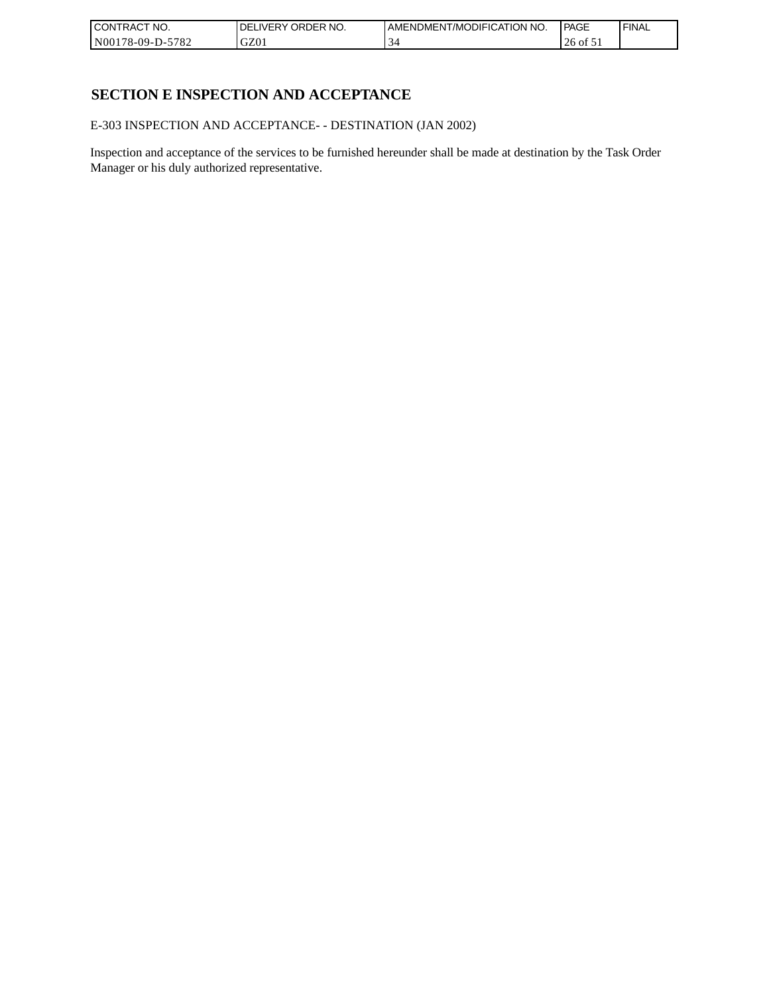| CONTRACT<br>`CT NO.      | `NO.<br>' ORDER<br><b>DELIVERY</b> | I AMENDMENT/MODIFICATION NO. | l PAGE  | ' FINAL |
|--------------------------|------------------------------------|------------------------------|---------|---------|
| $-5782$<br>N00178-09-D-5 | GZ01                               |                              | 26 of 5 |         |

# **SECTION E INSPECTION AND ACCEPTANCE**

E-303 INSPECTION AND ACCEPTANCE- - DESTINATION (JAN 2002)

Inspection and acceptance of the services to be furnished hereunder shall be made at destination by the Task Order Manager or his duly authorized representative.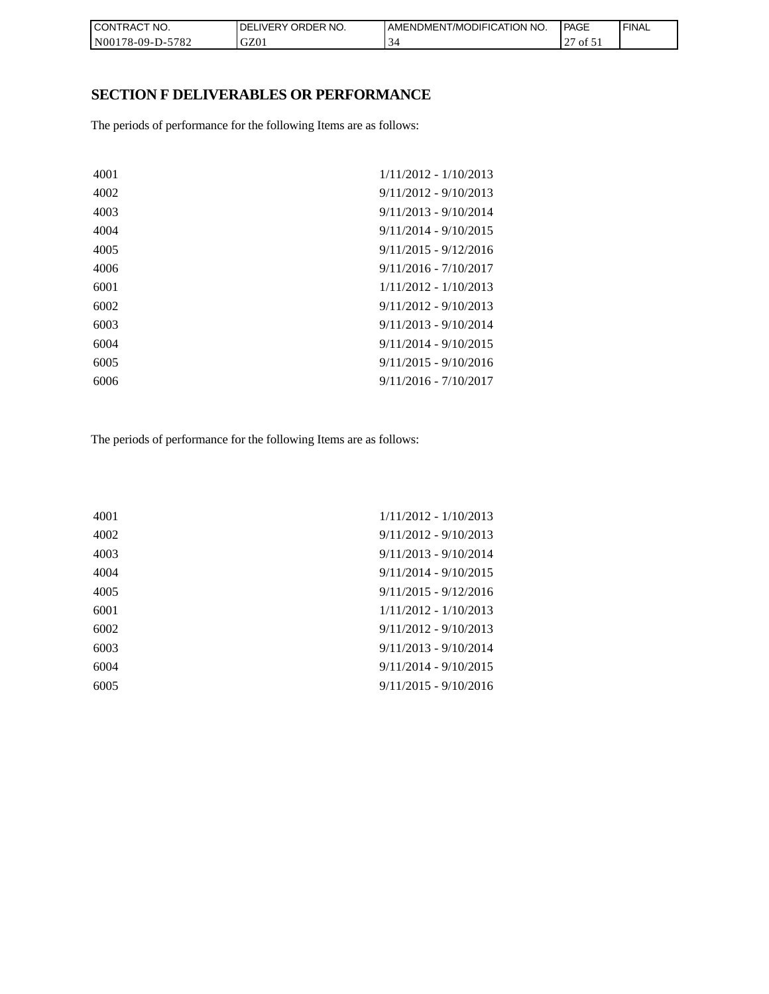| CON <sub>1</sub><br>TRACT NO. | NO.<br>' ORDER<br><b>DELIVERY</b> | <b>I AMENDMENT/MODIFICATION NO.</b> | <b>PAGE</b>  | ' FINAL |
|-------------------------------|-----------------------------------|-------------------------------------|--------------|---------|
| N00178-09-D-5782              | GZ01                              |                                     | of $51$<br>∼ |         |

# **SECTION F DELIVERABLES OR PERFORMANCE**

The periods of performance for the following Items are as follows:

| 4001 | 1/11/2012 - 1/10/2013   |
|------|-------------------------|
| 4002 | $9/11/2012 - 9/10/2013$ |
| 4003 | $9/11/2013 - 9/10/2014$ |
| 4004 | $9/11/2014 - 9/10/2015$ |
| 4005 | $9/11/2015 - 9/12/2016$ |
| 4006 | $9/11/2016 - 7/10/2017$ |
| 6001 | $1/11/2012 - 1/10/2013$ |
| 6002 | $9/11/2012 - 9/10/2013$ |
| 6003 | $9/11/2013 - 9/10/2014$ |
| 6004 | $9/11/2014 - 9/10/2015$ |
| 6005 | $9/11/2015 - 9/10/2016$ |
| 6006 | $9/11/2016 - 7/10/2017$ |
|      |                         |

The periods of performance for the following Items are as follows:

| 4001 | 1/11/2012 - 1/10/2013   |
|------|-------------------------|
| 4002 | $9/11/2012 - 9/10/2013$ |
| 4003 | $9/11/2013 - 9/10/2014$ |
| 4004 | $9/11/2014 - 9/10/2015$ |
| 4005 | $9/11/2015 - 9/12/2016$ |
| 6001 | $1/11/2012 - 1/10/2013$ |
| 6002 | $9/11/2012 - 9/10/2013$ |
| 6003 | $9/11/2013 - 9/10/2014$ |
| 6004 | $9/11/2014 - 9/10/2015$ |
| 6005 | $9/11/2015 - 9/10/2016$ |
|      |                         |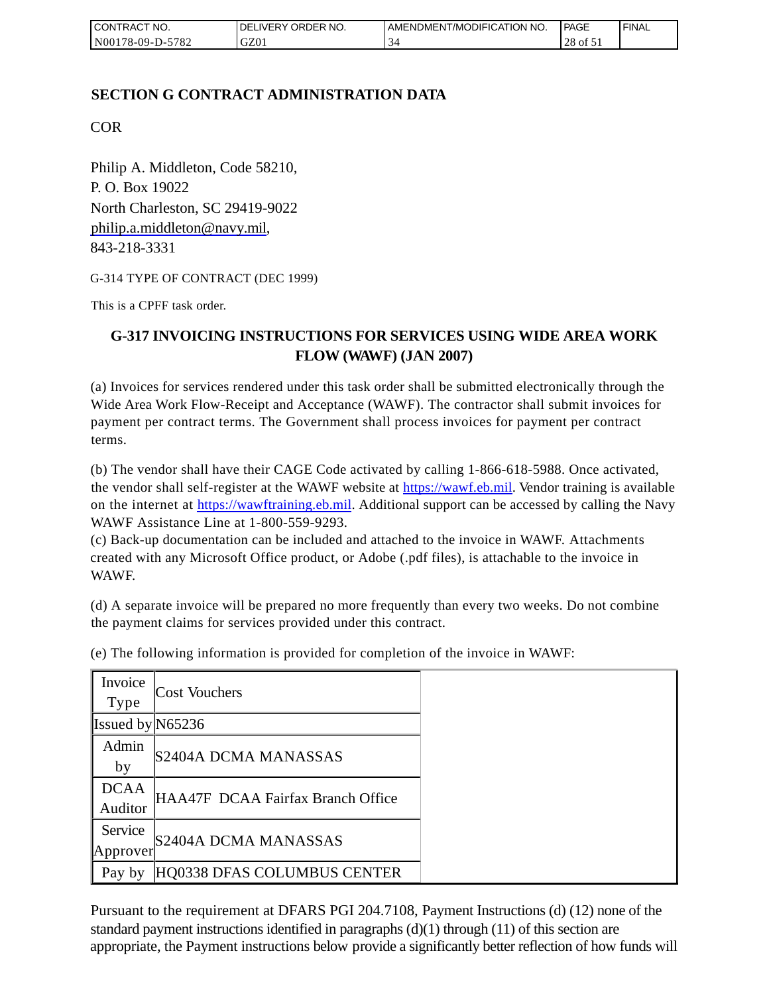| <b>I CONTRACT NO.</b> | DELIVERY ORDER NO. | I AMENDMENT/MODIFICATION NO. | <b>PAGE</b>   | ' FINAL |
|-----------------------|--------------------|------------------------------|---------------|---------|
| N00178-09-D-5782      | GZ01               |                              | 28<br>' of 51 |         |

# **SECTION G CONTRACT ADMINISTRATION DATA**

COR

Philip A. Middleton, Code 58210, P. O. Box 19022 North Charleston, SC 29419-9022 [philip.a.middleton@navy.mil,](mailto:cphilip.a.middleton@navy.mil) 843-218-3331

G-314 TYPE OF CONTRACT (DEC 1999)

This is a CPFF task order.

# **G-317 INVOICING INSTRUCTIONS FOR SERVICES USING WIDE AREA WORK FLOW (WAWF) (JAN 2007)**

(a) Invoices for services rendered under this task order shall be submitted electronically through the Wide Area Work Flow-Receipt and Acceptance (WAWF). The contractor shall submit invoices for payment per contract terms. The Government shall process invoices for payment per contract terms.

(b) The vendor shall have their CAGE Code activated by calling 1-866-618-5988. Once activated, the vendor shall self-register at the WAWF website at [https://wawf.eb.mil.](https://wawf.eb.mil/) Vendor training is available on the internet at [https://wawftraining.eb.mil.](https://wawftraining.eb.mil/) Additional support can be accessed by calling the Navy WAWF Assistance Line at 1-800-559-9293.

(c) Back-up documentation can be included and attached to the invoice in WAWF. Attachments created with any Microsoft Office product, or Adobe (.pdf files), is attachable to the invoice in WAWF.

(d) A separate invoice will be prepared no more frequently than every two weeks. Do not combine the payment claims for services provided under this contract.

| Invoice<br><b>Type</b> | <b>Cost Vouchers</b>              |
|------------------------|-----------------------------------|
|                        |                                   |
| Issued by $N65236$     |                                   |
| Admin                  |                                   |
| by                     | S2404A DCMA MANASSAS              |
| <b>DCAA</b>            |                                   |
| Auditor                | HAA47F DCAA Fairfax Branch Office |
| Service                |                                   |
| Approver               | S2404A DCMA MANASSAS              |
| Pay by                 | HQ0338 DFAS COLUMBUS CENTER       |

(e) The following information is provided for completion of the invoice in WAWF:

Pursuant to the requirement at DFARS PGI 204.7108, Payment Instructions (d) (12) none of the standard payment instructions identified in paragraphs  $(d)(1)$  through  $(11)$  of this section are appropriate, the Payment instructions below provide a significantly better reflection of how funds will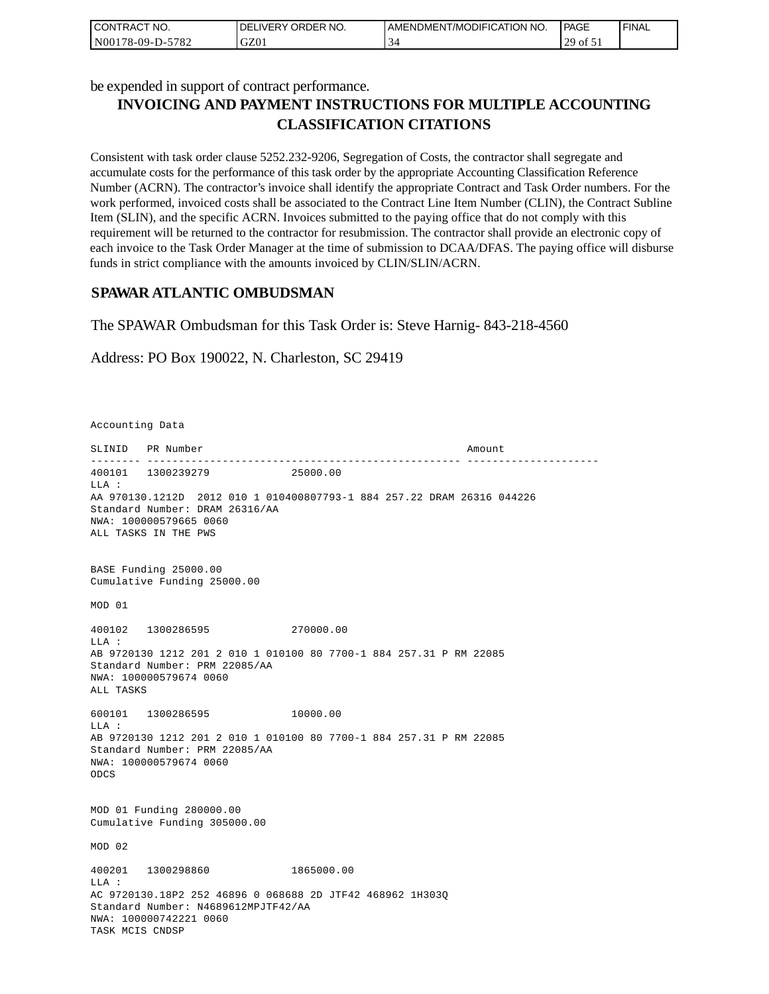| I CONTRACT NO.   | I DELIVERY ORDER NO. | AMENDMENT/MODIFICATION NO.      | PAGE                | ' FINAL |
|------------------|----------------------|---------------------------------|---------------------|---------|
| N00178-09-D-5782 | GZ01                 | $\overline{\phantom{a}}$<br>ى - | $^{129}$ ot $^{11}$ |         |

be expended in support of contract performance.

# **INVOICING AND PAYMENT INSTRUCTIONS FOR MULTIPLE ACCOUNTING CLASSIFICATION CITATIONS**

Consistent with task order clause 5252.232-9206, Segregation of Costs, the contractor shall segregate and accumulate costs for the performance of this task order by the appropriate Accounting Classification Reference Number (ACRN). The contractor's invoice shall identify the appropriate Contract and Task Order numbers. For the work performed, invoiced costs shall be associated to the Contract Line Item Number (CLIN), the Contract Subline Item (SLIN), and the specific ACRN. Invoices submitted to the paying office that do not comply with this requirement will be returned to the contractor for resubmission. The contractor shall provide an electronic copy of each invoice to the Task Order Manager at the time of submission to DCAA/DFAS. The paying office will disburse funds in strict compliance with the amounts invoiced by CLIN/SLIN/ACRN.

### **SPAWAR ATLANTIC OMBUDSMAN**

The SPAWAR Ombudsman for this Task Order is: Steve Harnig- 843-218-4560

Address: PO Box 190022, N. Charleston, SC 29419

Accounting Data

SLINID PR Number Amount -------- -------------------------------------------------- --------------------- 400101 1300239279 25000.00  $T.T.A$  : AA 970130.1212D 2012 010 1 010400807793-1 884 257.22 DRAM 26316 044226 Standard Number: DRAM 26316/AA NWA: 100000579665 0060 ALL TASKS IN THE PWS BASE Funding 25000.00 Cumulative Funding 25000.00 MOD 01 400102 1300286595 270000.00 LLA : AB 9720130 1212 201 2 010 1 010100 80 7700-1 884 257.31 P RM 22085 Standard Number: PRM 22085/AA NWA: 100000579674 0060 ALL TASKS 600101 1300286595 10000.00 LLA : AB 9720130 1212 201 2 010 1 010100 80 7700-1 884 257.31 P RM 22085 Standard Number: PRM 22085/AA NWA: 100000579674 0060 ODCS MOD 01 Funding 280000.00 Cumulative Funding 305000.00 MOD 02 400201 1300298860 1865000.00  $T.T.A$  : AC 9720130.18P2 252 46896 0 068688 2D JTF42 468962 1H303Q Standard Number: N4689612MPJTF42/AA NWA: 100000742221 0060 TASK MCIS CNDSP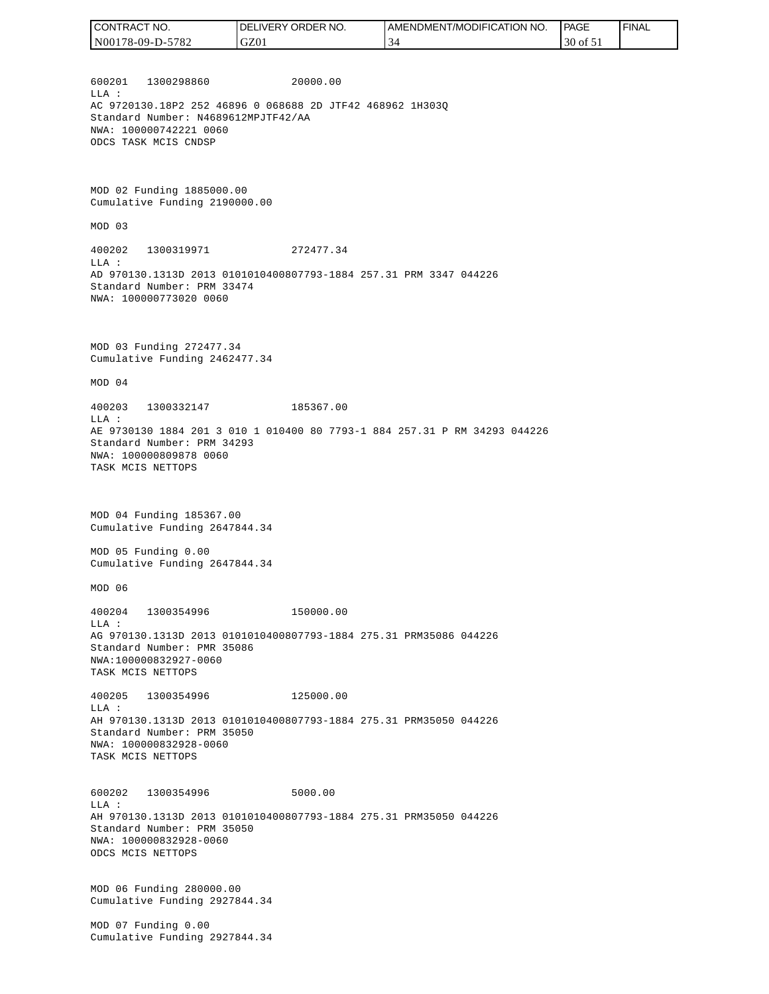| CONTRACT NO.     | <b>ORDER</b><br>NO.<br>LIVERY<br>DEL | AMENDMENT/MODIFICATION NO. | PAGE     | ' FINAL |
|------------------|--------------------------------------|----------------------------|----------|---------|
| N00178-09-D-5782 | GZ01                                 | $\sim$                     | 30 of 51 |         |
|                  |                                      |                            |          |         |

600201 1300298860 20000.00 LLA : AC 9720130.18P2 252 46896 0 068688 2D JTF42 468962 1H303Q Standard Number: N4689612MPJTF42/AA NWA: 100000742221 0060 ODCS TASK MCIS CNDSP

MOD 02 Funding 1885000.00 Cumulative Funding 2190000.00

MOD 03

400202 1300319971 272477.34 LLA : AD 970130.1313D 2013 0101010400807793-1884 257.31 PRM 3347 044226 Standard Number: PRM 33474 NWA: 100000773020 0060

MOD 03 Funding 272477.34 Cumulative Funding 2462477.34

MOD 04

400203 1300332147 185367.00 LLA : AE 9730130 1884 201 3 010 1 010400 80 7793-1 884 257.31 P RM 34293 044226 Standard Number: PRM 34293 NWA: 100000809878 0060 TASK MCIS NETTOPS

MOD 04 Funding 185367.00 Cumulative Funding 2647844.34

MOD 05 Funding 0.00 Cumulative Funding 2647844.34

MOD 06

400204 1300354996 150000.00 LLA : AG 970130.1313D 2013 0101010400807793-1884 275.31 PRM35086 044226 Standard Number: PMR 35086 NWA:100000832927-0060 TASK MCIS NETTOPS

400205 1300354996 125000.00 LLA : AH 970130.1313D 2013 0101010400807793-1884 275.31 PRM35050 044226 Standard Number: PRM 35050 NWA: 100000832928-0060 TASK MCIS NETTOPS

600202 1300354996 5000.00 LLA : AH 970130.1313D 2013 0101010400807793-1884 275.31 PRM35050 044226 Standard Number: PRM 35050 NWA: 100000832928-0060 ODCS MCIS NETTOPS

MOD 06 Funding 280000.00 Cumulative Funding 2927844.34

MOD 07 Funding 0.00 Cumulative Funding 2927844.34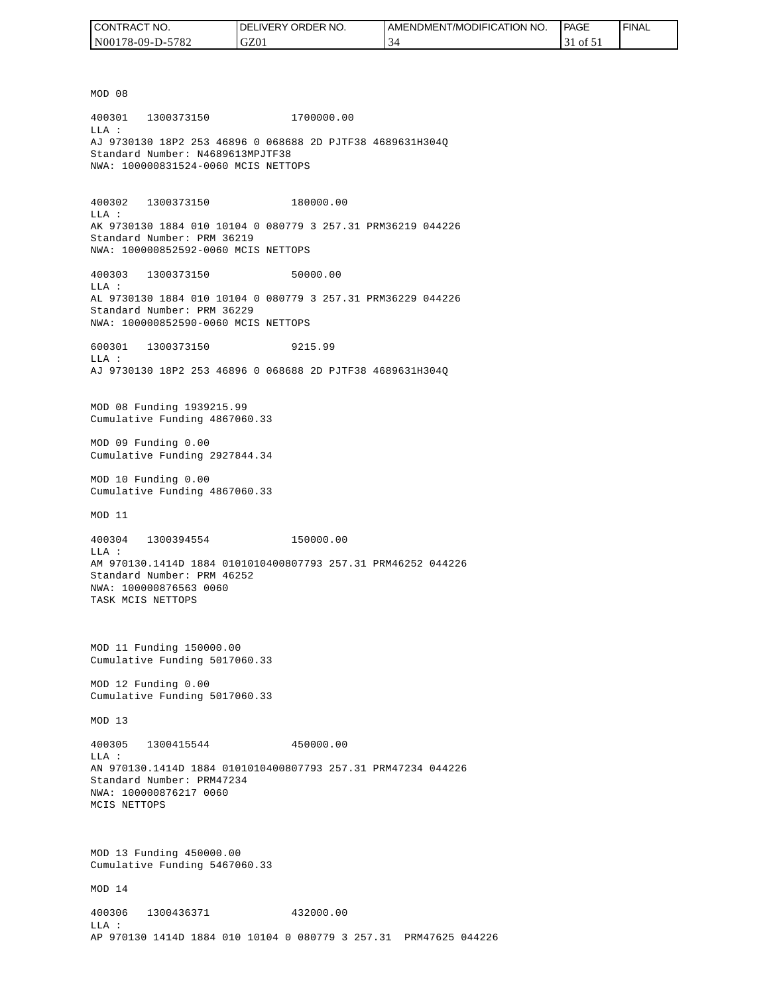| CONTRACT NO.     | <b>IDELIVERY ORDER NO.</b> | I AMENDMENT/MODIFICATION NO. | PAGE      | ' FINAL |
|------------------|----------------------------|------------------------------|-----------|---------|
| N00178-09-D-5782 | GZ01                       | - 34                         | $1$ of 51 |         |

MOD 08 400301 1300373150 1700000.00 LLA : AJ 9730130 18P2 253 46896 0 068688 2D PJTF38 4689631H304Q Standard Number: N4689613MPJTF38 NWA: 100000831524-0060 MCIS NETTOPS 400302 1300373150 180000.00 LLA : AK 9730130 1884 010 10104 0 080779 3 257.31 PRM36219 044226 Standard Number: PRM 36219 NWA: 100000852592-0060 MCIS NETTOPS 400303 1300373150 50000.00 LLA : AL 9730130 1884 010 10104 0 080779 3 257.31 PRM36229 044226 Standard Number: PRM 36229 NWA: 100000852590-0060 MCIS NETTOPS 600301 1300373150 9215.99  $T.T.A$  : AJ 9730130 18P2 253 46896 0 068688 2D PJTF38 4689631H304Q MOD 08 Funding 1939215.99 Cumulative Funding 4867060.33 MOD 09 Funding 0.00 Cumulative Funding 2927844.34 MOD 10 Funding 0.00 Cumulative Funding 4867060.33 MOD 11 400304 1300394554 150000.00 LLA : AM 970130.1414D 1884 0101010400807793 257.31 PRM46252 044226 Standard Number: PRM 46252 NWA: 100000876563 0060 TASK MCIS NETTOPS MOD 11 Funding 150000.00 Cumulative Funding 5017060.33 MOD 12 Funding 0.00 Cumulative Funding 5017060.33 MOD 13 400305 1300415544 450000.00  $L.L.A$  : AN 970130.1414D 1884 0101010400807793 257.31 PRM47234 044226 Standard Number: PRM47234 NWA: 100000876217 0060 MCIS NETTOPS MOD 13 Funding 450000.00 Cumulative Funding 5467060.33 MOD 14 400306 1300436371 432000.00 LLA : AP 970130 1414D 1884 010 10104 0 080779 3 257.31 PRM47625 044226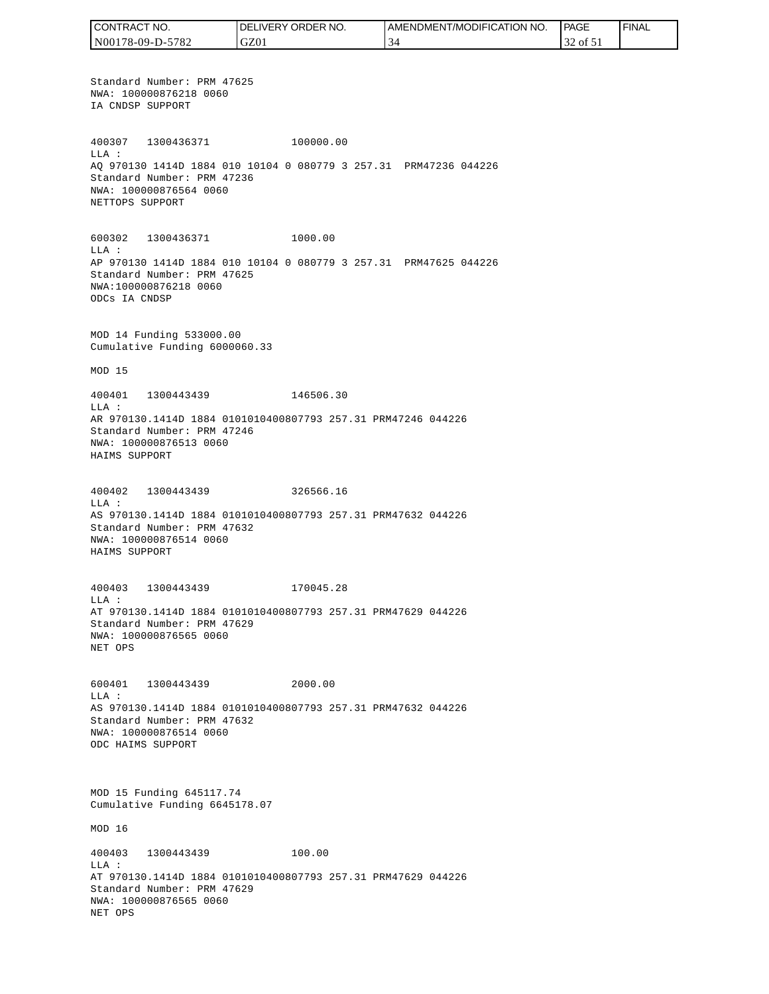CONTRACT NO. DELIVERY ORDER NO. AMENDMENT/MODIFICATION NO. PAGE FINALCONTRACT NO.<br>NO0178-09-D-5<br>Standard Numk<br>NWA: 1000087<br>IA CNDSP SUPP<br>400307 1300<br>400307 1300<br>400307 1300<br>MLA: 2000087<br>NET CNDSP SUPPC<br>600302 1300<br>NET TOPS SUPPC<br>600302 1300<br>LLA: AP 970130 141<br>Standard Numk<br>NWA: 10000087<br>MAD N00178-09-D-5782 GZ01 34 32 of 51 Standard Number: PRM 47625 NWA: 100000876218 0060 IA CNDSP SUPPORT 400307 1300436371 100000.00 LLA : AQ 970130 1414D 1884 010 10104 0 080779 3 257.31 PRM47236 044226 Standard Number: PRM 47236 NWA: 100000876564 0060 NETTOPS SUPPORT 600302 1300436371 1000.00 LLA : AP 970130 1414D 1884 010 10104 0 080779 3 257.31 PRM47625 044226 Standard Number: PRM 47625 NWA:100000876218 0060 ODCs IA CNDSP MOD 14 Funding 533000.00 Cumulative Funding 6000060.33 MOD 15 400401 1300443439 146506.30 LLA : AR 970130.1414D 1884 0101010400807793 257.31 PRM47246 044226 Standard Number: PRM 47246 NWA: 100000876513 0060 HAIMS SUPPORT 400402 1300443439 326566.16 LLA : AS 970130.1414D 1884 0101010400807793 257.31 PRM47632 044226 Standard Number: PRM 47632 NWA: 100000876514 0060 HAIMS SUPPORT 400403 1300443439 170045.28 LLA : AT 970130.1414D 1884 0101010400807793 257.31 PRM47629 044226 Standard Number: PRM 47629 NWA: 100000876565 0060 NET OPS 600401 1300443439 2000.00 LLA : AS 970130.1414D 1884 0101010400807793 257.31 PRM47632 044226 Standard Number: PRM 47632 NWA: 100000876514 0060 ODC HAIMS SUPPORT MOD 15 Funding 645117.74 Cumulative Funding 6645178.07 MOD 16 400403 1300443439 100.00 LLA : AT 970130.1414D 1884 0101010400807793 257.31 PRM47629 044226 Standard Number: PRM 47629 NWA: 100000876565 0060 NET OPS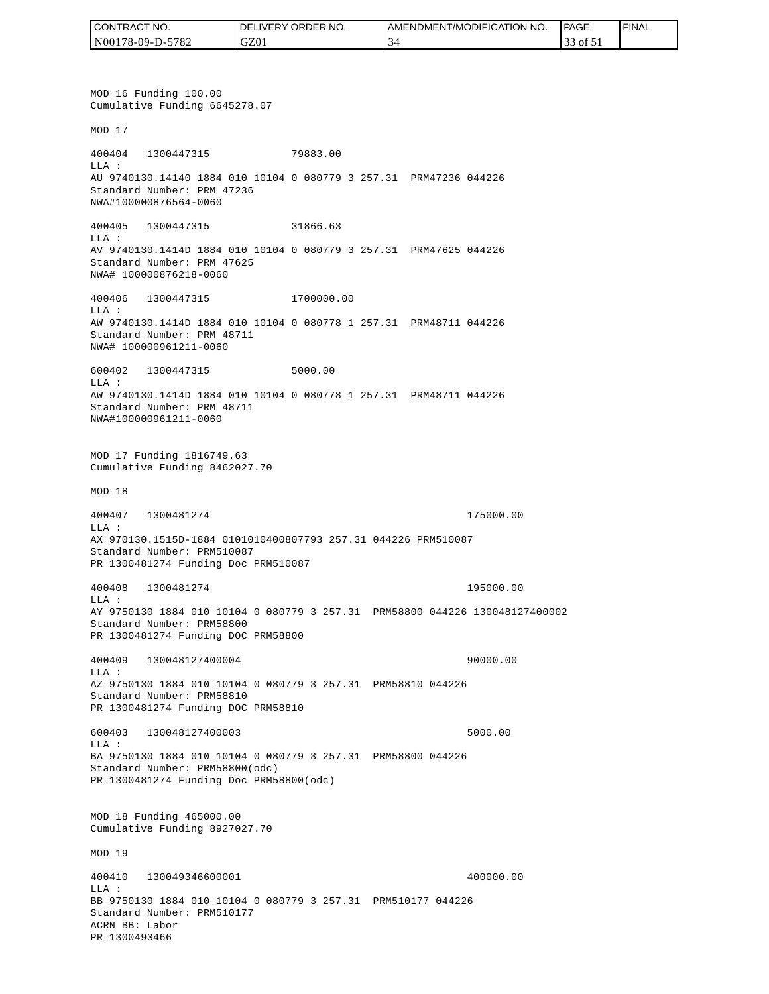| CONTRACT NO.     | NO.<br><b>ORDER</b><br>.IVERY<br>DELI' | AMENDMENT/MODIFICA<br>FICATION NO. | <b>PAGE</b>   | ' FINAL |
|------------------|----------------------------------------|------------------------------------|---------------|---------|
| N00178-09-D-5782 | GZ01                                   |                                    | 0Ī<br>JJ<br>. |         |

MOD 16 Funding 100.00 Cumulative Funding 6645278.07 MOD 17 400404 1300447315 79883.00 LLA : AU 9740130.14140 1884 010 10104 0 080779 3 257.31 PRM47236 044226 Standard Number: PRM 47236 NWA#100000876564-0060 400405 1300447315 31866.63 LLA : AV 9740130.1414D 1884 010 10104 0 080779 3 257.31 PRM47625 044226 Standard Number: PRM 47625 NWA# 100000876218-0060 400406 1300447315 1700000.00 LLA : AW 9740130.1414D 1884 010 10104 0 080778 1 257.31 PRM48711 044226 Standard Number: PRM 48711 NWA# 100000961211-0060 600402 1300447315 5000.00 LLA : AW 9740130.1414D 1884 010 10104 0 080778 1 257.31 PRM48711 044226 Standard Number: PRM 48711 NWA#100000961211-0060 MOD 17 Funding 1816749.63 Cumulative Funding 8462027.70 MOD 18 400407 1300481274 175000.00 LLA : AX 970130.1515D-1884 0101010400807793 257.31 044226 PRM510087 Standard Number: PRM510087 PR 1300481274 Funding Doc PRM510087 400408 1300481274 195000.00 LLA : AY 9750130 1884 010 10104 0 080779 3 257.31 PRM58800 044226 130048127400002 Standard Number: PRM58800 PR 1300481274 Funding DOC PRM58800 400409 130048127400004 90000.00 LLA : AZ 9750130 1884 010 10104 0 080779 3 257.31 PRM58810 044226 Standard Number: PRM58810 PR 1300481274 Funding DOC PRM58810 600403 130048127400003 5000.00 LLA : BA 9750130 1884 010 10104 0 080779 3 257.31 PRM58800 044226 Standard Number: PRM58800(odc) PR 1300481274 Funding Doc PRM58800(odc) MOD 18 Funding 465000.00 Cumulative Funding 8927027.70 MOD 19 400410 130049346600001 400000.00  $L.L.A$  : BB 9750130 1884 010 10104 0 080779 3 257.31 PRM510177 044226 Standard Number: PRM510177 ACRN BB: Labor PR 1300493466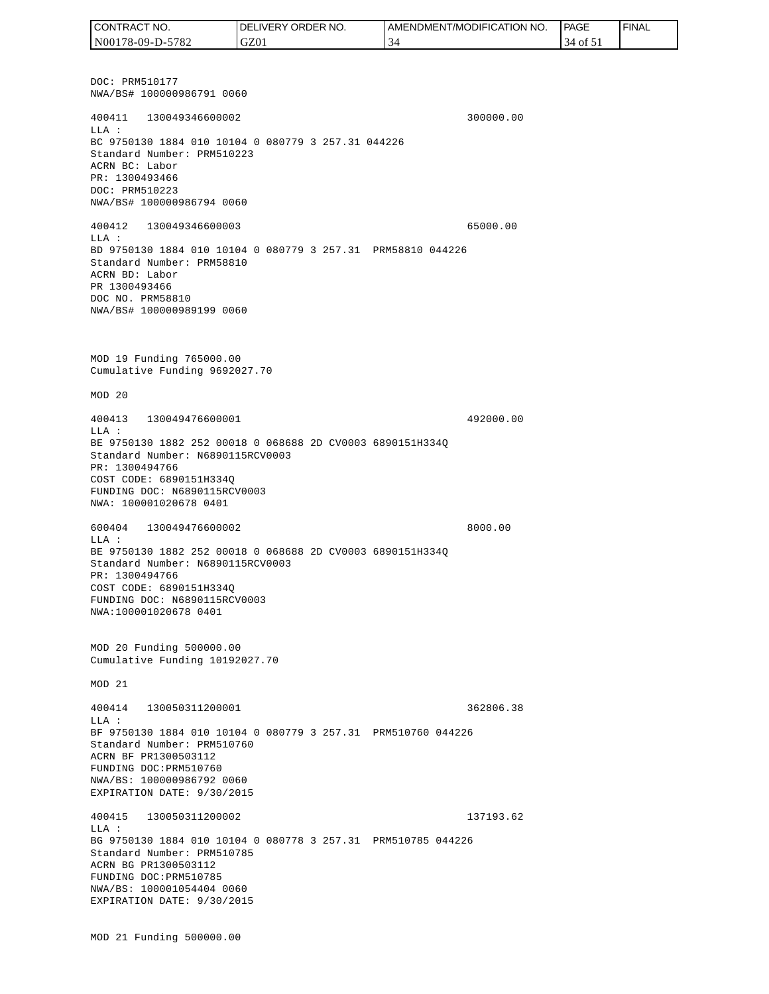DOC: PRM510177 NWA/BS# 100000986791 0060 400411 130049346600002 300000.00 LLA : BC 9750130 1884 010 10104 0 080779 3 257.31 044226 Standard Number: PRM510223 ACRN BC: Labor PR: 1300493466 DOC: PRM510223 NWA/BS# 100000986794 0060 400412 130049346600003 65000.00 LLA : BD 9750130 1884 010 10104 0 080779 3 257.31 PRM58810 044226 Standard Number: PRM58810 ACRN BD: Labor PR 1300493466 DOC NO. PRM58810 NWA/BS# 100000989199 0060 MOD 19 Funding 765000.00 Cumulative Funding 9692027.70 MOD 20 400413 130049476600001 492000.00 LLA : BE 9750130 1882 252 00018 0 068688 2D CV0003 6890151H334Q Standard Number: N6890115RCV0003 PR: 1300494766 COST CODE: 6890151H334Q FUNDING DOC: N6890115RCV0003 NWA: 100001020678 0401 600404 130049476600002 8000.00 LLA : BE 9750130 1882 252 00018 0 068688 2D CV0003 6890151H334Q Standard Number: N6890115RCV0003 PR: 1300494766 COST CODE: 6890151H334Q FUNDING DOC: N6890115RCV0003 NWA:100001020678 0401 MOD 20 Funding 500000.00 Cumulative Funding 10192027.70 MOD 21 400414 130050311200001 362806.38  $T.T.A$  : BF 9750130 1884 010 10104 0 080779 3 257.31 PRM510760 044226 Standard Number: PRM510760 ACRN BF PR1300503112 FUNDING DOC:PRM510760 NWA/BS: 100000986792 0060 EXPIRATION DATE: 9/30/2015 400415 130050311200002 137193.62 LLA : BG 9750130 1884 010 10104 0 080778 3 257.31 PRM510785 044226 Standard Number: PRM510785 ACRN BG PR1300503112 FUNDING DOC:PRM510785 NWA/BS: 100001054404 0060 EXPIRATION DATE: 9/30/2015 MOD 21 Funding 500000.00 CONTRACT NO. N00178-09-D-5782 DELIVERY ORDER NO. GZ01 AMENDMENT/MODIFICATION NO. 34 **PAGE**  34 of 51 FINAL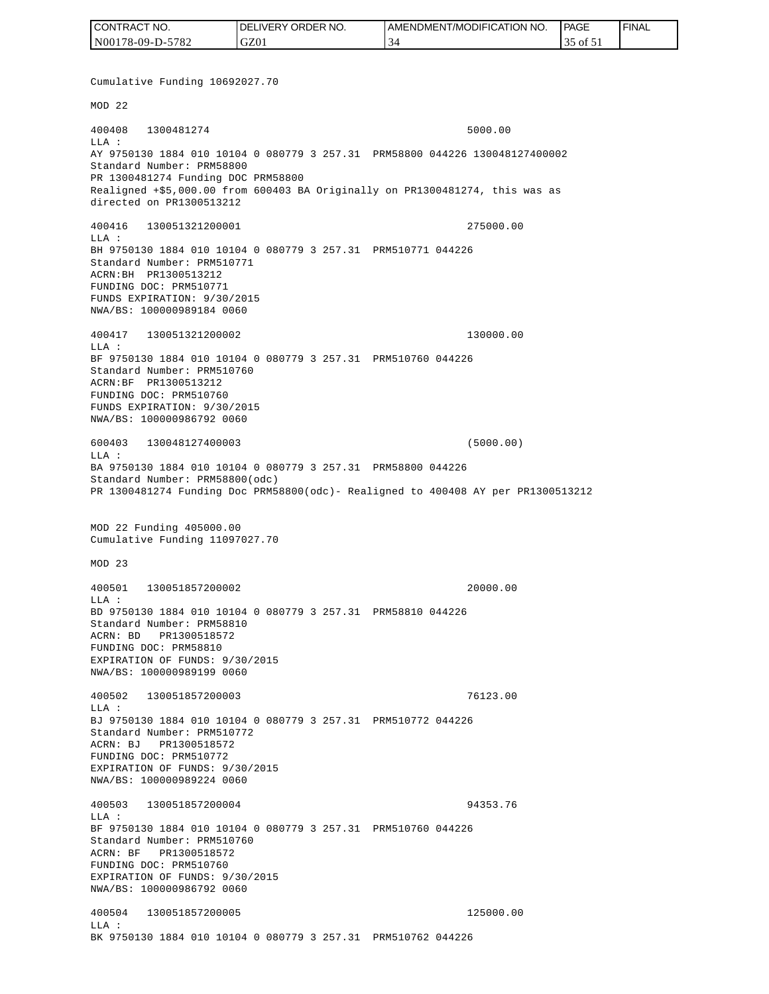| CONTRACT NO.     | <b>IDELIVERY ORDER NO.</b> | <b>I AMENDMENT/MODIFICATION NO.</b> | <b>PAGE</b> | ' FINAL |
|------------------|----------------------------|-------------------------------------|-------------|---------|
| N00178-09-D-5782 | GZ01                       |                                     | ۵t ג'וס ר'. |         |

Cumulative Funding 10692027.70 MOD 22 400408 1300481274 5000.00 LLA : AY 9750130 1884 010 10104 0 080779 3 257.31 PRM58800 044226 130048127400002 Standard Number: PRM58800 PR 1300481274 Funding DOC PRM58800 Realigned +\$5,000.00 from 600403 BA Originally on PR1300481274, this was as directed on PR1300513212 400416 130051321200001 275000.00 LLA : BH 9750130 1884 010 10104 0 080779 3 257.31 PRM510771 044226 Standard Number: PRM510771 ACRN:BH PR1300513212 FUNDING DOC: PRM510771 FUNDS EXPIRATION: 9/30/2015 NWA/BS: 100000989184 0060 400417 130051321200002 130000.00 LLA : BF 9750130 1884 010 10104 0 080779 3 257.31 PRM510760 044226 Standard Number: PRM510760 ACRN:BF PR1300513212 FUNDING DOC: PRM510760 FUNDS EXPIRATION: 9/30/2015 NWA/BS: 100000986792 0060 600403 130048127400003 (5000.00)  $L.L.A$  : BA 9750130 1884 010 10104 0 080779 3 257.31 PRM58800 044226 Standard Number: PRM58800(odc) PR 1300481274 Funding Doc PRM58800(odc)- Realigned to 400408 AY per PR1300513212 MOD 22 Funding 405000.00 Cumulative Funding 11097027.70 MOD 23 400501 130051857200002 20000.00  $L.L.A$  : BD 9750130 1884 010 10104 0 080779 3 257.31 PRM58810 044226 Standard Number: PRM58810 ACRN: BD PR1300518572 FUNDING DOC: PRM58810 EXPIRATION OF FUNDS: 9/30/2015 NWA/BS: 100000989199 0060 400502 130051857200003 76123.00 LLA : BJ 9750130 1884 010 10104 0 080779 3 257.31 PRM510772 044226 Standard Number: PRM510772 ACRN: BJ PR1300518572 FUNDING DOC: PRM510772 EXPIRATION OF FUNDS: 9/30/2015 NWA/BS: 100000989224 0060 400503 130051857200004 94353.76  $T.T.A$  : BF 9750130 1884 010 10104 0 080779 3 257.31 PRM510760 044226 Standard Number: PRM510760 ACRN: BF PR1300518572 FUNDING DOC: PRM510760 EXPIRATION OF FUNDS: 9/30/2015 NWA/BS: 100000986792 0060 400504 130051857200005 125000.00 LLA : BK 9750130 1884 010 10104 0 080779 3 257.31 PRM510762 044226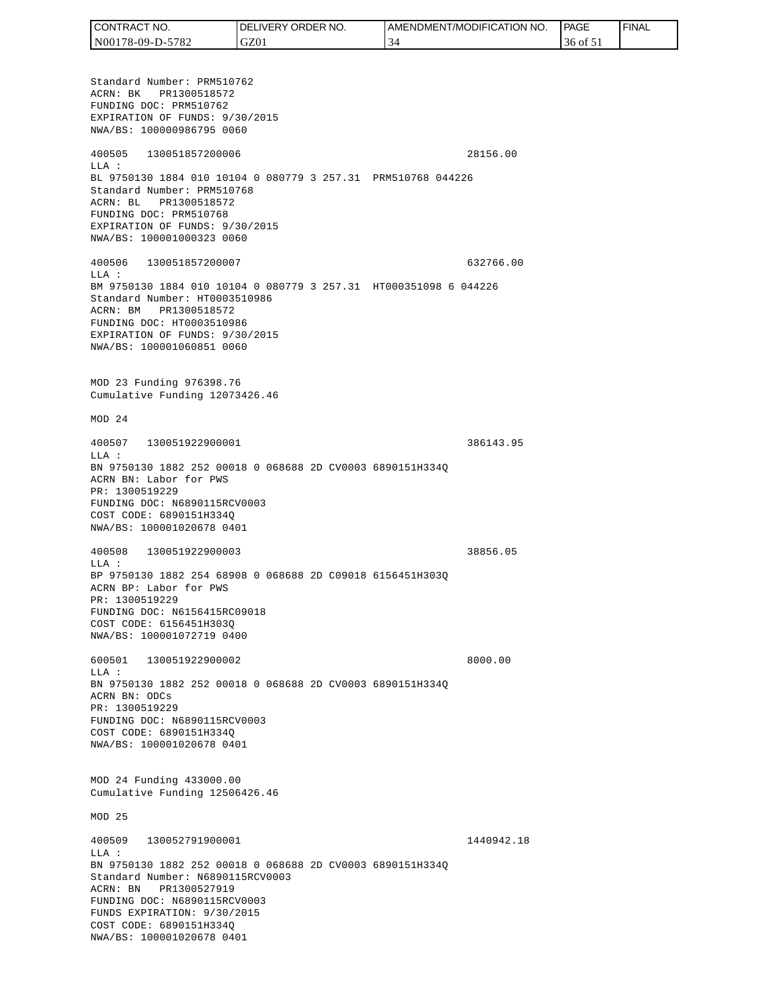| CONTRACT NO.     | DELIVERY ORDER NO. | I AMENDMENT/MODIFICATION NO. | PAGE     | 'FINAL |
|------------------|--------------------|------------------------------|----------|--------|
| N00178-09-D-5782 | GZ01               |                              | 36 of 51 |        |

Standard Number: PRM510762 ACRN: BK PR1300518572 FUNDING DOC: PRM510762 EXPIRATION OF FUNDS: 9/30/2015 NWA/BS: 100000986795 0060 400505 130051857200006 28156.00 LLA : BL 9750130 1884 010 10104 0 080779 3 257.31 PRM510768 044226 Standard Number: PRM510768 ACRN: BL PR1300518572 FUNDING DOC: PRM510768 EXPIRATION OF FUNDS: 9/30/2015 NWA/BS: 100001000323 0060 400506 130051857200007 632766.00 LLA : BM 9750130 1884 010 10104 0 080779 3 257.31 HT000351098 6 044226 Standard Number: HT0003510986 ACRN: BM PR1300518572 FUNDING DOC: HT0003510986 EXPIRATION OF FUNDS: 9/30/2015 NWA/BS: 100001060851 0060 MOD 23 Funding 976398.76 Cumulative Funding 12073426.46 MOD 24 400507 130051922900001 386143.95  $T.T.A$  : BN 9750130 1882 252 00018 0 068688 2D CV0003 6890151H334Q ACRN BN: Labor for PWS PR: 1300519229 FUNDING DOC: N6890115RCV0003 COST CODE: 6890151H334Q NWA/BS: 100001020678 0401 400508 130051922900003 38856.05 LLA : BP 9750130 1882 254 68908 0 068688 2D C09018 6156451H303Q ACRN BP: Labor for PWS PR: 1300519229 FUNDING DOC: N6156415RC09018 COST CODE: 6156451H303Q NWA/BS: 100001072719 0400 600501 130051922900002 8000.00 LLA : BN 9750130 1882 252 00018 0 068688 2D CV0003 6890151H334Q ACRN BN: ODCs PR: 1300519229 FUNDING DOC: N6890115RCV0003 COST CODE: 6890151H334Q NWA/BS: 100001020678 0401 MOD 24 Funding 433000.00 Cumulative Funding 12506426.46 MOD 25 400509 130052791900001 1440942.18 LLA : BN 9750130 1882 252 00018 0 068688 2D CV0003 6890151H334Q Standard Number: N6890115RCV0003 ACRN: BN PR1300527919 FUNDING DOC: N6890115RCV0003 FUNDS EXPIRATION: 9/30/2015 COST CODE: 6890151H334Q NWA/BS: 100001020678 0401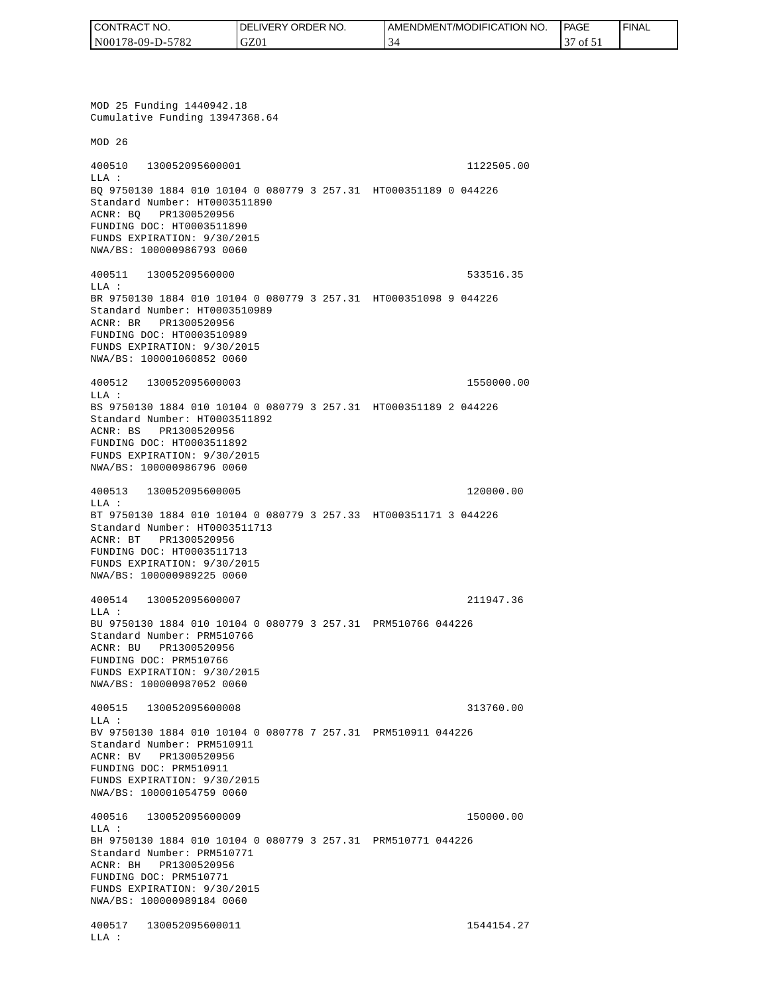| CONTRACT NO.     | <b>IDELIVERY ORDER NO.</b> | AMENDMENT/MODIFICATION NO. | <b>PAGE</b> | ' FINAL |
|------------------|----------------------------|----------------------------|-------------|---------|
| N00178-09-D-5782 | GZ01                       |                            | of 51       |         |

MOD 25 Funding 1440942.18 Cumulative Funding 13947368.64 MOD 26 400510 130052095600001 1122505.00 LLA : BQ 9750130 1884 010 10104 0 080779 3 257.31 HT000351189 0 044226 Standard Number: HT0003511890 ACNR: BQ PR1300520956 FUNDING DOC: HT0003511890 FUNDS EXPIRATION: 9/30/2015 NWA/BS: 100000986793 0060 400511 13005209560000 533516.35 LLA : BR 9750130 1884 010 10104 0 080779 3 257.31 HT000351098 9 044226 Standard Number: HT0003510989 ACNR: BR PR1300520956 FUNDING DOC: HT0003510989 FUNDS EXPIRATION: 9/30/2015 NWA/BS: 100001060852 0060 400512 130052095600003 1550000.00 LLA : BS 9750130 1884 010 10104 0 080779 3 257.31 HT000351189 2 044226 Standard Number: HT0003511892 ACNR: BS PR1300520956 FUNDING DOC: HT0003511892 FUNDS EXPIRATION: 9/30/2015 NWA/BS: 100000986796 0060 400513 130052095600005 120000.00 LLA : BT 9750130 1884 010 10104 0 080779 3 257.33 HT000351171 3 044226 Standard Number: HT0003511713 ACNR: BT PR1300520956 FUNDING DOC: HT0003511713 FUNDS EXPIRATION: 9/30/2015 NWA/BS: 100000989225 0060 400514 130052095600007 211947.36 LLA : BU 9750130 1884 010 10104 0 080779 3 257.31 PRM510766 044226 Standard Number: PRM510766 ACNR: BU PR1300520956 FUNDING DOC: PRM510766 FUNDS EXPIRATION: 9/30/2015 NWA/BS: 100000987052 0060 400515 130052095600008 313760.00  $T.T.A$  : BV 9750130 1884 010 10104 0 080778 7 257.31 PRM510911 044226 Standard Number: PRM510911 ACNR: BV PR1300520956 FUNDING DOC: PRM510911 FUNDS EXPIRATION: 9/30/2015 NWA/BS: 100001054759 0060 400516 130052095600009 150000.00 LLA : BH 9750130 1884 010 10104 0 080779 3 257.31 PRM510771 044226 Standard Number: PRM510771 ACNR: BH PR1300520956 FUNDING DOC: PRM510771 FUNDS EXPIRATION: 9/30/2015 NWA/BS: 100000989184 0060 400517 130052095600011 1544154.27 LLA :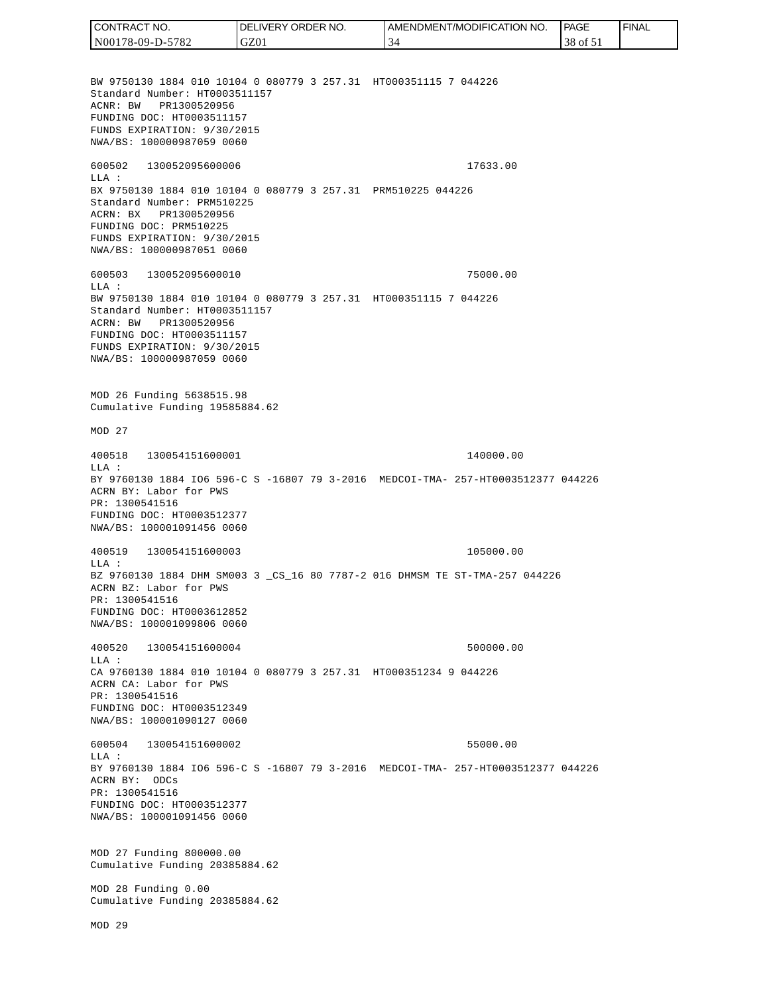CONTRACT NO. DELIVERY ORDER NO. AMENDMENT/MODIFICATION NO. **PAGE**  FINALCONTRACT NO.<br>
NO0178-09-D-5<br>
BW 9750130 18<br>
Standard Numb<br>
Standard Numb<br>
ACNR: BW PR<br>
FUNDING DOC:<br>
FUNDS EXPIRAT<br>
FUNDING DOC:<br>
TEUNDS EXPIRAT<br>
600502 1300<br>
600502 1300<br>
LLA: BX 9750130 18<br>
Standard Numb<br>
ACRR: BW PR<br>
FU N00178-09-D-5782 GZ01 34 38 of 51 BW 9750130 1884 010 10104 0 080779 3 257.31 HT000351115 7 044226 Standard Number: HT0003511157 ACNR: BW PR1300520956 FUNDING DOC: HT0003511157 FUNDS EXPIRATION: 9/30/2015 NWA/BS: 100000987059 0060 600502 130052095600006 17633.00 LLA : BX 9750130 1884 010 10104 0 080779 3 257.31 PRM510225 044226 Standard Number: PRM510225 ACRN: BX PR1300520956 FUNDING DOC: PRM510225 FUNDS EXPIRATION: 9/30/2015 NWA/BS: 100000987051 0060 600503 130052095600010 75000.00  $T.T.A$  : BW 9750130 1884 010 10104 0 080779 3 257.31 HT000351115 7 044226 Standard Number: HT0003511157 ACRN: BW PR1300520956 FUNDING DOC: HT0003511157 FUNDS EXPIRATION: 9/30/2015 NWA/BS: 100000987059 0060 MOD 26 Funding 5638515.98 Cumulative Funding 19585884.62 MOD 27 400518 130054151600001 140000.00 LLA : BY 9760130 1884 IO6 596-C S -16807 79 3-2016 MEDCOI-TMA- 257-HT0003512377 044226 ACRN BY: Labor for PWS PR: 1300541516 FUNDING DOC: HT0003512377 NWA/BS: 100001091456 0060 400519 130054151600003 105000.00 LLA : BZ 9760130 1884 DHM SM003 3 \_CS\_16 80 7787-2 016 DHMSM TE ST-TMA-257 044226 ACRN BZ: Labor for PWS PR: 1300541516 FUNDING DOC: HT0003612852 NWA/BS: 100001099806 0060 400520 130054151600004 500000.00  $L.L.A$  : CA 9760130 1884 010 10104 0 080779 3 257.31 HT000351234 9 044226 ACRN CA: Labor for PWS PR: 1300541516 FUNDING DOC: HT0003512349 NWA/BS: 100001090127 0060 600504 130054151600002 55000.00  $T.T.A$  : BY 9760130 1884 IO6 596-C S -16807 79 3-2016 MEDCOI-TMA- 257-HT0003512377 044226 ACRN BY: ODCs PR: 1300541516 FUNDING DOC: HT0003512377 NWA/BS: 100001091456 0060 MOD 27 Funding 800000.00 Cumulative Funding 20385884.62 MOD 28 Funding 0.00 Cumulative Funding 20385884.62 MOD 29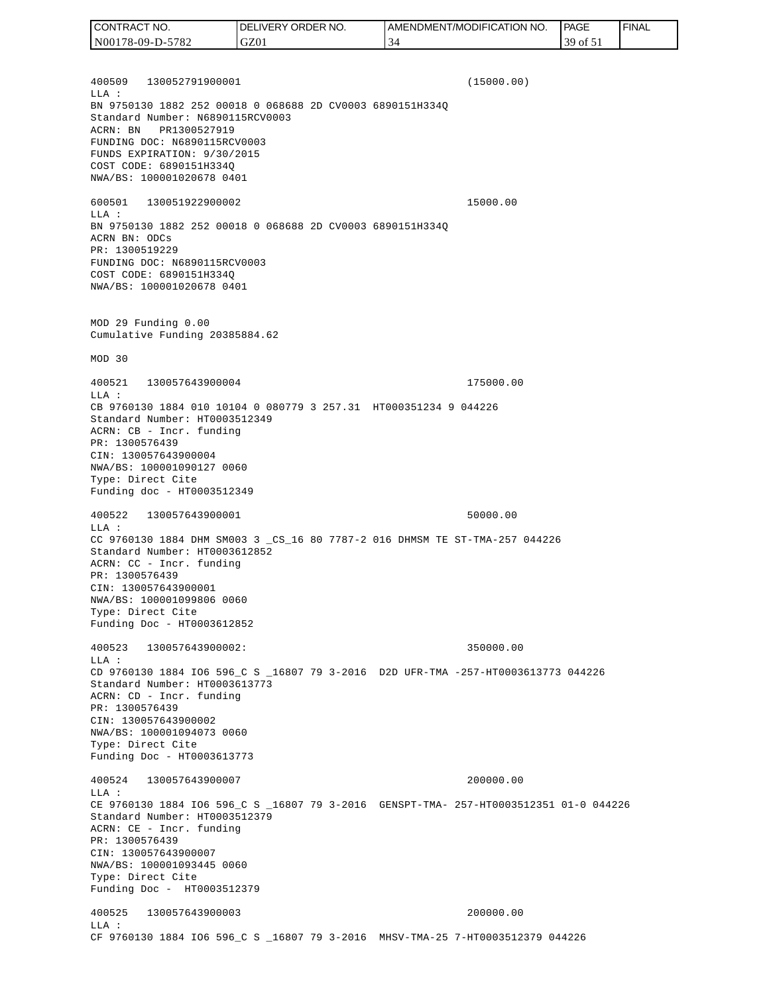400509 130052791900001 (15000.00) LLA : BN 9750130 1882 252 00018 0 068688 2D CV0003 6890151H334Q Standard Number: N6890115RCV0003 ACRN: BN PR1300527919 FUNDING DOC: N6890115RCV0003 FUNDS EXPIRATION: 9/30/2015 COST CODE: 6890151H334Q NWA/BS: 100001020678 0401 600501 130051922900002 15000.00 LLA : BN 9750130 1882 252 00018 0 068688 2D CV0003 6890151H334Q ACRN BN: ODCs PR: 1300519229 FUNDING DOC: N6890115RCV0003 COST CODE: 6890151H334Q NWA/BS: 100001020678 0401 MOD 29 Funding 0.00 Cumulative Funding 20385884.62 MOD 30 400521 130057643900004 175000.00 LLA : CB 9760130 1884 010 10104 0 080779 3 257.31 HT000351234 9 044226 Standard Number: HT0003512349 ACRN: CB - Incr. funding PR: 1300576439 CIN: 130057643900004 NWA/BS: 100001090127 0060 Type: Direct Cite Funding doc - HT0003512349 400522 130057643900001 50000.00 LLA : CC 9760130 1884 DHM SM003 3 \_CS\_16 80 7787-2 016 DHMSM TE ST-TMA-257 044226 Standard Number: HT0003612852 ACRN: CC - Incr. funding PR: 1300576439 CIN: 130057643900001 NWA/BS: 100001099806 0060 Type: Direct Cite Funding Doc - HT0003612852 400523 130057643900002: 350000.00  $L.L.A$  : CD 9760130 1884 IO6 596\_C S \_16807 79 3-2016 D2D UFR-TMA -257-HT0003613773 044226 Standard Number: HT0003613773 ACRN: CD - Incr. funding PR: 1300576439 CIN: 130057643900002 NWA/BS: 100001094073 0060 Type: Direct Cite Funding Doc - HT0003613773 400524 130057643900007 200000.00 LLA : CE 9760130 1884 IO6 596\_C S \_16807 79 3-2016 GENSPT-TMA- 257-HT0003512351 01-0 044226 Standard Number: HT0003512379 ACRN: CE - Incr. funding PR: 1300576439 CIN: 130057643900007 NWA/BS: 100001093445 0060 Type: Direct Cite Funding Doc - HT0003512379 400525 130057643900003 200000.00 LLA : CF 9760130 1884 IO6 596\_C S \_16807 79 3-2016 MHSV-TMA-25 7-HT0003512379 044226 CONTRACT NO. N00178-09-D-5782 DELIVERY ORDER NO. GZ01 AMENDMENT/MODIFICATION NO. 34 **PAGE**  39 of 51 FINAL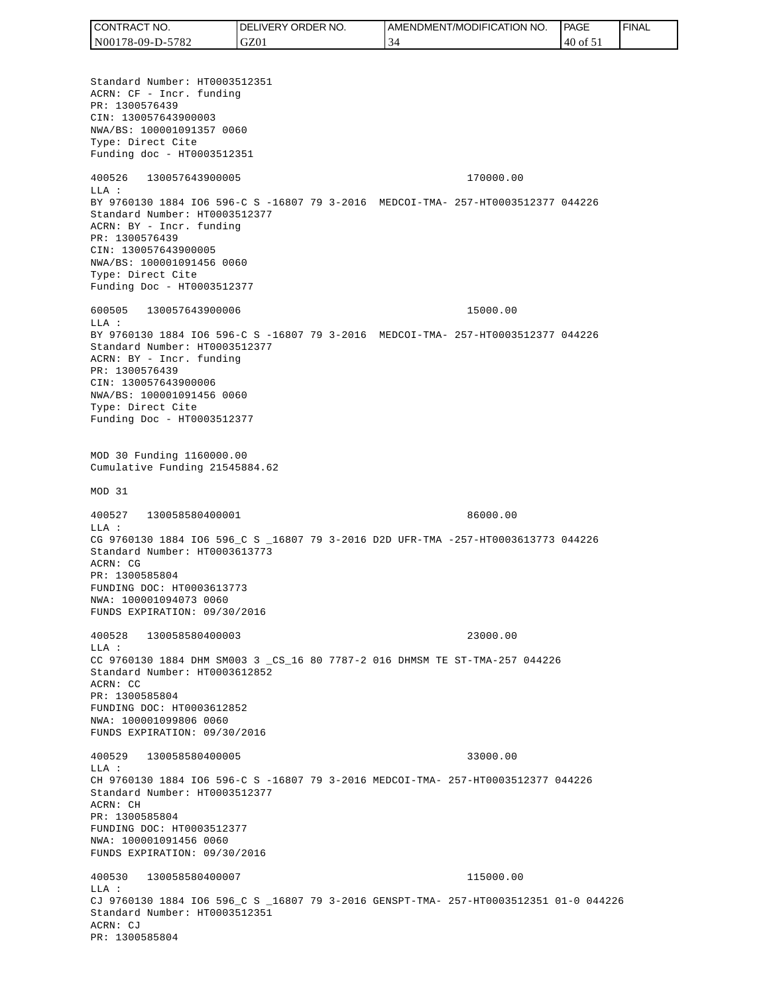Standard Number: HT0003512351 ACRN: CF - Incr. funding PR: 1300576439 CIN: 130057643900003 NWA/BS: 100001091357 0060 Type: Direct Cite Funding doc - HT0003512351 400526 130057643900005 170000.00 LLA : BY 9760130 1884 IO6 596-C S -16807 79 3-2016 MEDCOI-TMA- 257-HT0003512377 044226 Standard Number: HT0003512377 ACRN: BY - Incr. funding PR: 1300576439 CIN: 130057643900005 NWA/BS: 100001091456 0060 Type: Direct Cite Funding Doc - HT0003512377 600505 130057643900006 15000.00  $T.T.A$  : BY 9760130 1884 IO6 596-C S -16807 79 3-2016 MEDCOI-TMA- 257-HT0003512377 044226 Standard Number: HT0003512377 ACRN: BY - Incr. funding PR: 1300576439 CIN: 130057643900006 NWA/BS: 100001091456 0060 Type: Direct Cite Funding Doc - HT0003512377 MOD 30 Funding 1160000.00 Cumulative Funding 21545884.62 MOD 31 400527 130058580400001 86000.00 LLA : CG 9760130 1884 IO6 596\_C S \_16807 79 3-2016 D2D UFR-TMA -257-HT0003613773 044226 Standard Number: HT0003613773 ACRN: CG PR: 1300585804 FUNDING DOC: HT0003613773 NWA: 100001094073 0060 FUNDS EXPIRATION: 09/30/2016 400528 130058580400003 23000.00 LLA : CC 9760130 1884 DHM SM003 3 \_CS\_16 80 7787-2 016 DHMSM TE ST-TMA-257 044226 Standard Number: HT0003612852 ACRN: CC PR: 1300585804 FUNDING DOC: HT0003612852 NWA: 100001099806 0060 FUNDS EXPIRATION: 09/30/2016 400529 130058580400005 33000.00 LLA : CH 9760130 1884 IO6 596-C S -16807 79 3-2016 MEDCOI-TMA- 257-HT0003512377 044226 Standard Number: HT0003512377 ACRN: CH PR: 1300585804 FUNDING DOC: HT0003512377 NWA: 100001091456 0060 FUNDS EXPIRATION: 09/30/2016 400530 130058580400007 115000.00  $T.T.A$  : CJ 9760130 1884 IO6 596\_C S \_16807 79 3-2016 GENSPT-TMA- 257-HT0003512351 01-0 044226 Standard Number: HT0003512351 ACRN: CJ PR: 1300585804 CONTRACT NO. N00178-09-D-5782 DELIVERY ORDER NO. GZ01 AMENDMENT/MODIFICATION NO. 34 **PAGE**  40 of 51 FINAL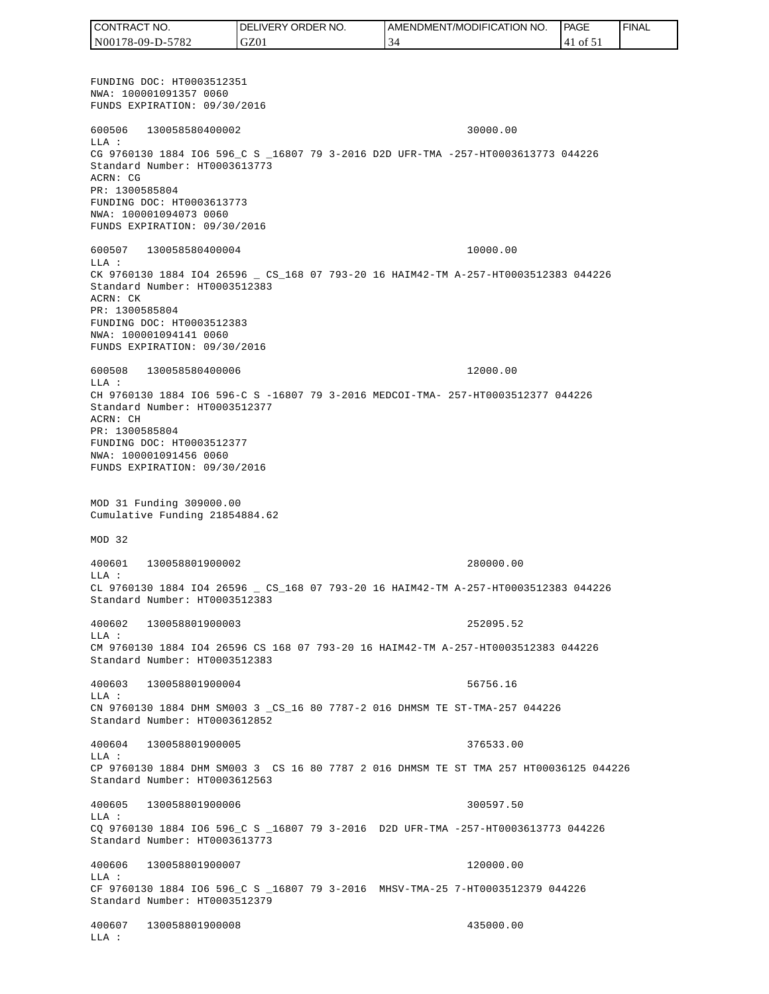FUNDING DOC: HT0003512351 NWA: 100001091357 0060 FUNDS EXPIRATION: 09/30/2016 600506 130058580400002 30000.00 LLA : CG 9760130 1884 IO6 596\_C S \_16807 79 3-2016 D2D UFR-TMA -257-HT0003613773 044226 Standard Number: HT0003613773 ACRN: CG PR: 1300585804 FUNDING DOC: HT0003613773 NWA: 100001094073 0060 FUNDS EXPIRATION: 09/30/2016 600507 130058580400004 10000.00 LLA : CK 9760130 1884 IO4 26596 \_ CS\_168 07 793-20 16 HAIM42-TM A-257-HT0003512383 044226 Standard Number: HT0003512383 ACRN: CK PR: 1300585804 FUNDING DOC: HT0003512383 NWA: 100001094141 0060 FUNDS EXPIRATION: 09/30/2016 600508 130058580400006 12000.00 LLA : CH 9760130 1884 IO6 596-C S -16807 79 3-2016 MEDCOI-TMA- 257-HT0003512377 044226 Standard Number: HT0003512377 ACRN: CH PR: 1300585804 FUNDING DOC: HT0003512377 NWA: 100001091456 0060 FUNDS EXPIRATION: 09/30/2016 MOD 31 Funding 309000.00 Cumulative Funding 21854884.62 MOD 32 400601 130058801900002 280000.00 LLA : CL 9760130 1884 IO4 26596 \_ CS\_168 07 793-20 16 HAIM42-TM A-257-HT0003512383 044226 Standard Number: HT0003512383 400602 130058801900003 252095.52 LLA : CM 9760130 1884 IO4 26596 CS 168 07 793-20 16 HAIM42-TM A-257-HT0003512383 044226 Standard Number: HT0003512383 400603 130058801900004 56756.16 LLA : CN 9760130 1884 DHM SM003 3 \_CS\_16 80 7787-2 016 DHMSM TE ST-TMA-257 044226 Standard Number: HT0003612852 400604 130058801900005 376533.00  $T.T.A$  : CP 9760130 1884 DHM SM003 3 CS 16 80 7787 2 016 DHMSM TE ST TMA 257 HT00036125 044226 Standard Number: HT0003612563 400605 130058801900006 300597.50  $T.T.A$  : CQ 9760130 1884 IO6 596\_C S \_16807 79 3-2016 D2D UFR-TMA -257-HT0003613773 044226 Standard Number: HT0003613773 400606 130058801900007 120000.00 LLA : CF 9760130 1884 IO6 596\_C S \_16807 79 3-2016 MHSV-TMA-25 7-HT0003512379 044226 Standard Number: HT0003512379 400607 130058801900008 435000.00 LLA : CONTRACT NO. N00178-09-D-5782 DELIVERY ORDER NO. GZ01 AMENDMENT/MODIFICATION NO. 34 **PAGE**  41 of 51 FINAL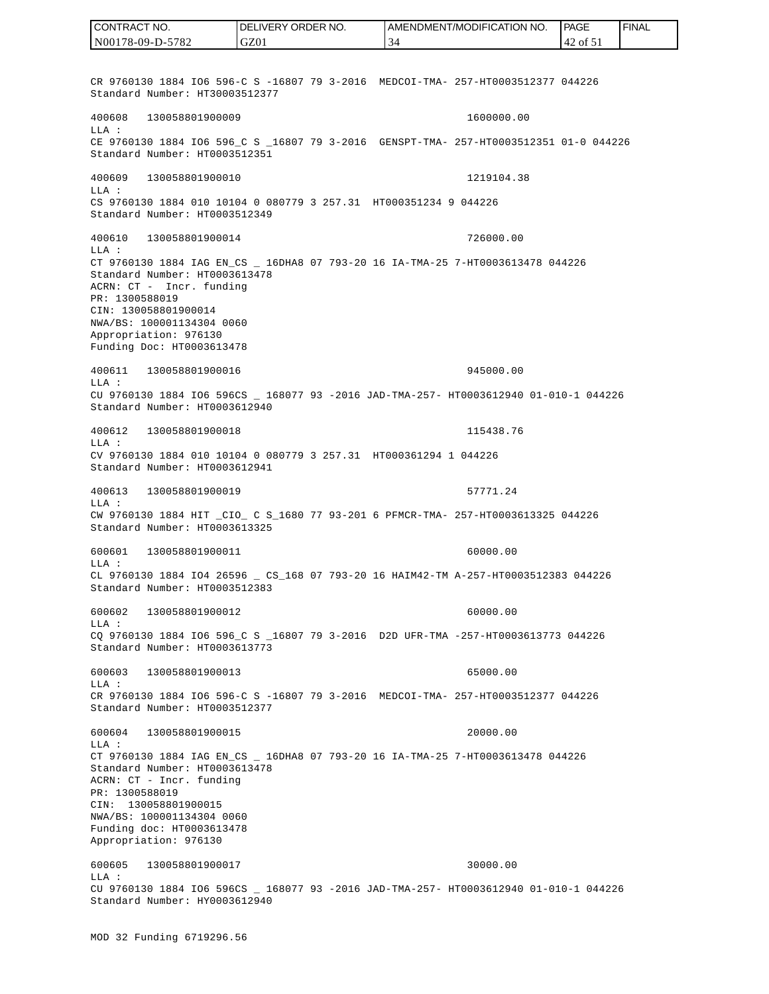CR 9760130 1884 IO6 596-C S -16807 79 3-2016 MEDCOI-TMA- 257-HT0003512377 044226 Standard Number: HT30003512377 400608 130058801900009 1600000.00 LLA : CE 9760130 1884 IO6 596 C S 16807 79 3-2016 GENSPT-TMA- 257-HT0003512351 01-0 044226 Standard Number: HT0003512351 400609 130058801900010 1219104.38 LLA : CS 9760130 1884 010 10104 0 080779 3 257.31 HT000351234 9 044226 Standard Number: HT0003512349 400610 130058801900014 726000.00 LLA : CT 9760130 1884 IAG EN\_CS \_ 16DHA8 07 793-20 16 IA-TMA-25 7-HT0003613478 044226 Standard Number: HT0003613478 ACRN: CT - Incr. funding PR: 1300588019 CIN: 130058801900014 NWA/BS: 100001134304 0060 Appropriation: 976130 Funding Doc: HT0003613478 400611 130058801900016 945000.00 LLA : CU 9760130 1884 IO6 596CS \_ 168077 93 -2016 JAD-TMA-257- HT0003612940 01-010-1 044226 Standard Number: HT0003612940 400612 130058801900018 115438.76 LLA : CV 9760130 1884 010 10104 0 080779 3 257.31 HT000361294 1 044226 Standard Number: HT0003612941 400613 130058801900019 57771.24 LLA : CW 9760130 1884 HIT \_CIO\_ C S\_1680 77 93-201 6 PFMCR-TMA- 257-HT0003613325 044226 Standard Number: HT0003613325 600601 130058801900011 60000.00 LLA : CL 9760130 1884 IO4 26596 \_ CS\_168 07 793-20 16 HAIM42-TM A-257-HT0003512383 044226 Standard Number: HT0003512383 600602 130058801900012 60000.00 LLA : CQ 9760130 1884 IO6 596\_C S \_16807 79 3-2016 D2D UFR-TMA -257-HT0003613773 044226 Standard Number: HT0003613773 600603 130058801900013 65000.00  $T.T.A$  : CR 9760130 1884 IO6 596-C S -16807 79 3-2016 MEDCOI-TMA- 257-HT0003512377 044226 Standard Number: HT0003512377 600604 130058801900015 20000.00 LLA : CT 9760130 1884 IAG EN\_CS \_ 16DHA8 07 793-20 16 IA-TMA-25 7-HT0003613478 044226 Standard Number: HT0003613478 ACRN: CT - Incr. funding PR: 1300588019 CIN: 130058801900015 NWA/BS: 100001134304 0060 Funding doc: HT0003613478 Appropriation: 976130 600605 130058801900017 30000.00 LLA : CU 9760130 1884 IO6 596CS \_ 168077 93 -2016 JAD-TMA-257- HT0003612940 01-010-1 044226 Standard Number: HY0003612940 CONTRACT NO. N00178-09-D-5782 DELIVERY ORDER NO. GZ01 AMENDMENT/MODIFICATION NO. 34 **PAGE**  42 of 51 FINAL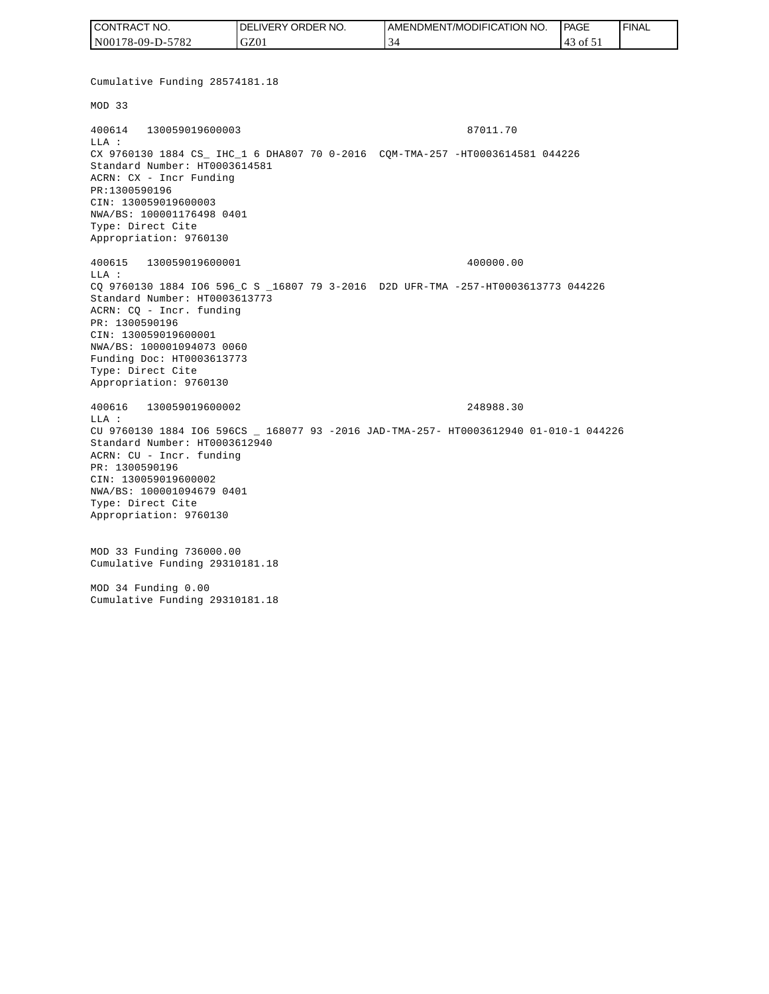| CONTRACT NO.     | NO.<br><b>IDELIVERY ORDER</b> | AMENDMENT/MODIFICATION<br>NO. | <b>PAGE</b>  | ' FINAL |
|------------------|-------------------------------|-------------------------------|--------------|---------|
| N00178-09-D-5782 | GZ0 <sub>1</sub>              |                               | ' of 51<br>4 |         |

Cumulative Funding 28574181.18 MOD 33 400614 130059019600003 87011.70 LLA : CX 9760130 1884 CS\_ IHC\_1 6 DHA807 70 0-2016 CQM-TMA-257 -HT0003614581 044226 Standard Number: HT0003614581 ACRN: CX - Incr Funding PR:1300590196 CIN: 130059019600003 NWA/BS: 100001176498 0401 Type: Direct Cite Appropriation: 9760130 400615 130059019600001 400000.00 LLA : CQ 9760130 1884 IO6 596\_C S \_16807 79 3-2016 D2D UFR-TMA -257-HT0003613773 044226 Standard Number: HT0003613773 ACRN: CQ - Incr. funding PR: 1300590196 CIN: 130059019600001 NWA/BS: 100001094073 0060 Funding Doc: HT0003613773 Type: Direct Cite Appropriation: 9760130 400616 130059019600002 248988.30 LLA : CU 9760130 1884 IO6 596CS \_ 168077 93 -2016 JAD-TMA-257- HT0003612940 01-010-1 044226 Standard Number: HT0003612940 ACRN: CU - Incr. funding PR: 1300590196 CIN: 130059019600002 NWA/BS: 100001094679 0401 Type: Direct Cite Appropriation: 9760130 MOD 33 Funding 736000.00 Cumulative Funding 29310181.18 MOD 34 Funding 0.00 Cumulative Funding 29310181.18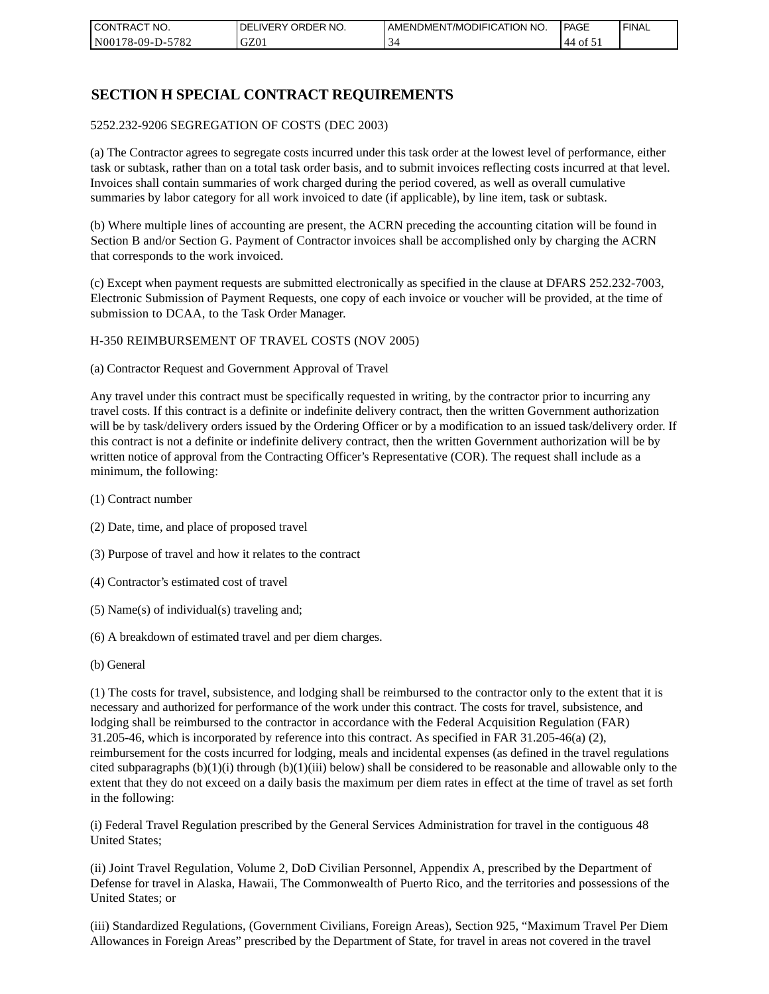| I CONTRACT NO.   | NO.<br>DELIVERY ORDER | AMENDMENT/MODIFICATION NO. | PAGE      | ' FINAL |
|------------------|-----------------------|----------------------------|-----------|---------|
| N00178-09-D-5782 | GZ01                  |                            | ΟĪ<br>.44 |         |

### **SECTION H SPECIAL CONTRACT REQUIREMENTS**

#### 5252.232-9206 SEGREGATION OF COSTS (DEC 2003)

(a) The Contractor agrees to segregate costs incurred under this task order at the lowest level of performance, either task or subtask, rather than on a total task order basis, and to submit invoices reflecting costs incurred at that level. Invoices shall contain summaries of work charged during the period covered, as well as overall cumulative summaries by labor category for all work invoiced to date (if applicable), by line item, task or subtask.

(b) Where multiple lines of accounting are present, the ACRN preceding the accounting citation will be found in Section B and/or Section G. Payment of Contractor invoices shall be accomplished only by charging the ACRN that corresponds to the work invoiced.

(c) Except when payment requests are submitted electronically as specified in the clause at DFARS 252.232-7003, Electronic Submission of Payment Requests, one copy of each invoice or voucher will be provided, at the time of submission to DCAA, to the Task Order Manager.

#### H-350 REIMBURSEMENT OF TRAVEL COSTS (NOV 2005)

(a) Contractor Request and Government Approval of Travel

Any travel under this contract must be specifically requested in writing, by the contractor prior to incurring any travel costs. If this contract is a definite or indefinite delivery contract, then the written Government authorization will be by task/delivery orders issued by the Ordering Officer or by a modification to an issued task/delivery order. If this contract is not a definite or indefinite delivery contract, then the written Government authorization will be by written notice of approval from the Contracting Officer's Representative (COR). The request shall include as a minimum, the following:

- (1) Contract number
- (2) Date, time, and place of proposed travel
- (3) Purpose of travel and how it relates to the contract
- (4) Contractor's estimated cost of travel
- (5) Name(s) of individual(s) traveling and;
- (6) A breakdown of estimated travel and per diem charges.
- (b) General

(1) The costs for travel, subsistence, and lodging shall be reimbursed to the contractor only to the extent that it is necessary and authorized for performance of the work under this contract. The costs for travel, subsistence, and lodging shall be reimbursed to the contractor in accordance with the Federal Acquisition Regulation (FAR) 31.205-46, which is incorporated by reference into this contract. As specified in FAR 31.205-46(a) (2), reimbursement for the costs incurred for lodging, meals and incidental expenses (as defined in the travel regulations cited subparagraphs  $(b)(1)(i)$  through  $(b)(1)(iii)$  below) shall be considered to be reasonable and allowable only to the extent that they do not exceed on a daily basis the maximum per diem rates in effect at the time of travel as set forth in the following:

(i) Federal Travel Regulation prescribed by the General Services Administration for travel in the contiguous 48 United States;

(ii) Joint Travel Regulation, Volume 2, DoD Civilian Personnel, Appendix A, prescribed by the Department of Defense for travel in Alaska, Hawaii, The Commonwealth of Puerto Rico, and the territories and possessions of the United States; or

(iii) Standardized Regulations, (Government Civilians, Foreign Areas), Section 925, "Maximum Travel Per Diem Allowances in Foreign Areas" prescribed by the Department of State, for travel in areas not covered in the travel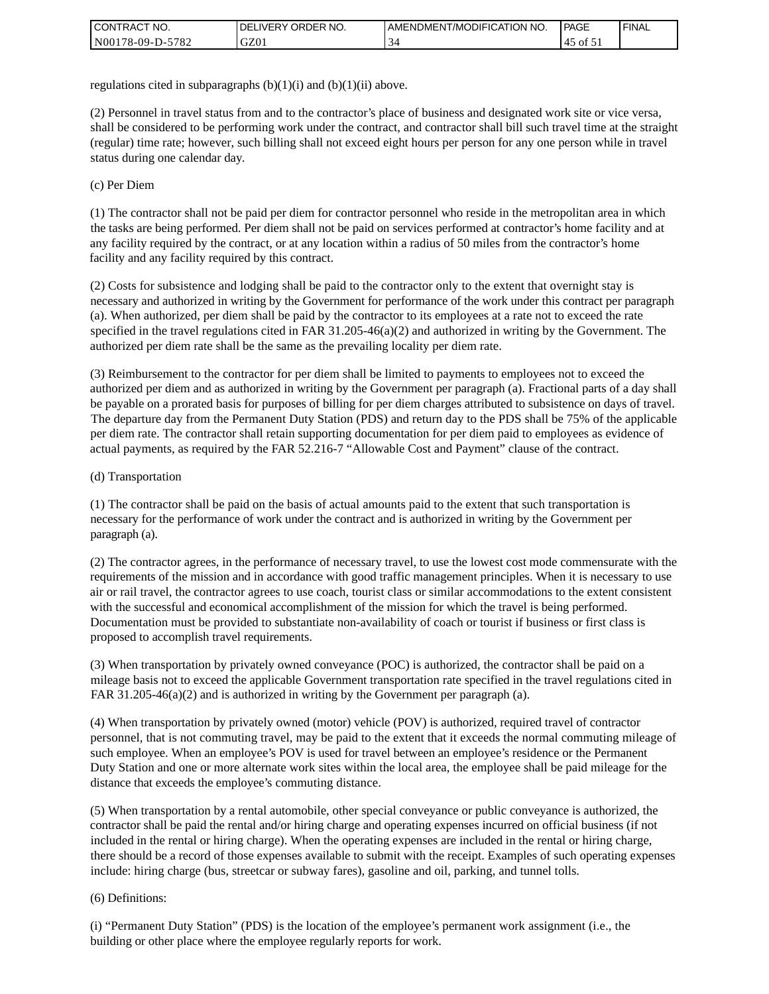| <b>I CONTRACT NO.</b> | ' ORDER NO.<br><b>DELIVERY</b> | I AMENDMENT/MODIFICATION NO. | <b>PAGE</b>  | <b>I FINAL</b> |
|-----------------------|--------------------------------|------------------------------|--------------|----------------|
| N00178-09-D-5782      | GZ01                           | ◡                            | ר of $\circ$ |                |

regulations cited in subparagraphs  $(b)(1)(i)$  and  $(b)(1)(ii)$  above.

(2) Personnel in travel status from and to the contractor's place of business and designated work site or vice versa, shall be considered to be performing work under the contract, and contractor shall bill such travel time at the straight (regular) time rate; however, such billing shall not exceed eight hours per person for any one person while in travel status during one calendar day.

(c) Per Diem

(1) The contractor shall not be paid per diem for contractor personnel who reside in the metropolitan area in which the tasks are being performed. Per diem shall not be paid on services performed at contractor's home facility and at any facility required by the contract, or at any location within a radius of 50 miles from the contractor's home facility and any facility required by this contract.

(2) Costs for subsistence and lodging shall be paid to the contractor only to the extent that overnight stay is necessary and authorized in writing by the Government for performance of the work under this contract per paragraph (a). When authorized, per diem shall be paid by the contractor to its employees at a rate not to exceed the rate specified in the travel regulations cited in FAR 31.205-46(a)(2) and authorized in writing by the Government. The authorized per diem rate shall be the same as the prevailing locality per diem rate.

(3) Reimbursement to the contractor for per diem shall be limited to payments to employees not to exceed the authorized per diem and as authorized in writing by the Government per paragraph (a). Fractional parts of a day shall be payable on a prorated basis for purposes of billing for per diem charges attributed to subsistence on days of travel. The departure day from the Permanent Duty Station (PDS) and return day to the PDS shall be 75% of the applicable per diem rate. The contractor shall retain supporting documentation for per diem paid to employees as evidence of actual payments, as required by the FAR 52.216-7 "Allowable Cost and Payment" clause of the contract.

#### (d) Transportation

(1) The contractor shall be paid on the basis of actual amounts paid to the extent that such transportation is necessary for the performance of work under the contract and is authorized in writing by the Government per paragraph (a).

(2) The contractor agrees, in the performance of necessary travel, to use the lowest cost mode commensurate with the requirements of the mission and in accordance with good traffic management principles. When it is necessary to use air or rail travel, the contractor agrees to use coach, tourist class or similar accommodations to the extent consistent with the successful and economical accomplishment of the mission for which the travel is being performed. Documentation must be provided to substantiate non-availability of coach or tourist if business or first class is proposed to accomplish travel requirements.

(3) When transportation by privately owned conveyance (POC) is authorized, the contractor shall be paid on a mileage basis not to exceed the applicable Government transportation rate specified in the travel regulations cited in FAR 31.205-46(a)(2) and is authorized in writing by the Government per paragraph (a).

(4) When transportation by privately owned (motor) vehicle (POV) is authorized, required travel of contractor personnel, that is not commuting travel, may be paid to the extent that it exceeds the normal commuting mileage of such employee. When an employee's POV is used for travel between an employee's residence or the Permanent Duty Station and one or more alternate work sites within the local area, the employee shall be paid mileage for the distance that exceeds the employee's commuting distance.

(5) When transportation by a rental automobile, other special conveyance or public conveyance is authorized, the contractor shall be paid the rental and/or hiring charge and operating expenses incurred on official business (if not included in the rental or hiring charge). When the operating expenses are included in the rental or hiring charge, there should be a record of those expenses available to submit with the receipt. Examples of such operating expenses include: hiring charge (bus, streetcar or subway fares), gasoline and oil, parking, and tunnel tolls.

#### (6) Definitions:

(i) "Permanent Duty Station" (PDS) is the location of the employee's permanent work assignment (i.e., the building or other place where the employee regularly reports for work.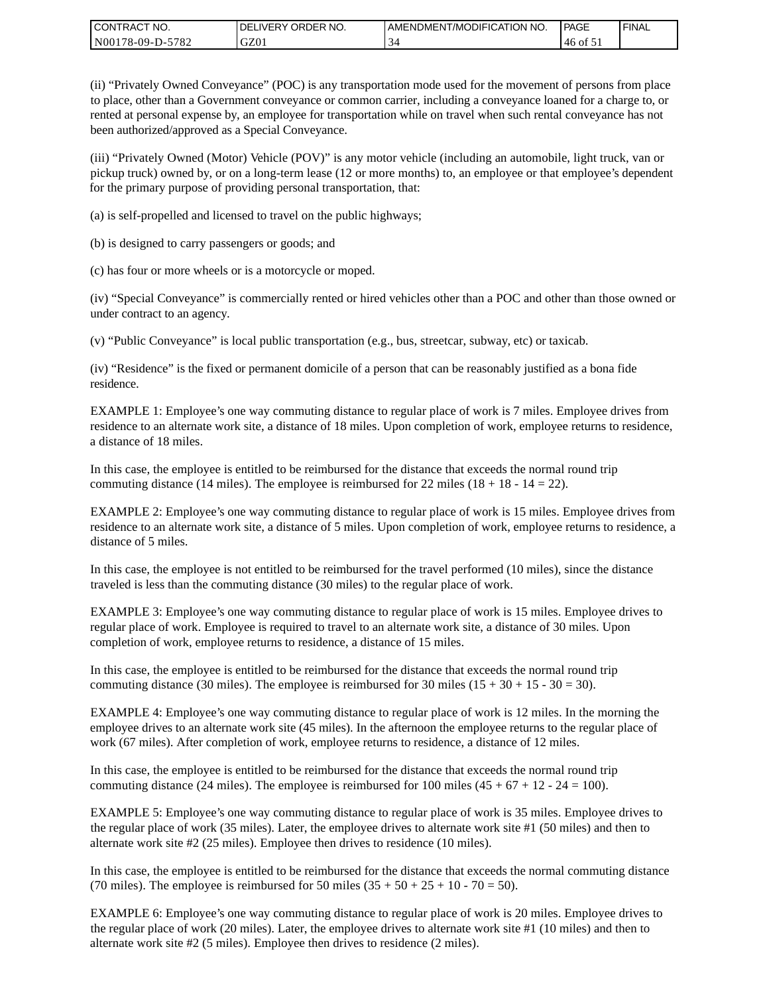| CONTRACT<br>CT NO.                          | ORDER<br>NO.<br><b>DELIVERY</b> | I AMENDMENT/MODIFICATION NO. | PAGE           | <b>I FINAL</b> |
|---------------------------------------------|---------------------------------|------------------------------|----------------|----------------|
| $-5782$<br>N <sub>001</sub><br>$178-09-D$ - | GZ01                            | ◡                            | ـد of t<br>46. |                |

(ii) "Privately Owned Conveyance" (POC) is any transportation mode used for the movement of persons from place to place, other than a Government conveyance or common carrier, including a conveyance loaned for a charge to, or rented at personal expense by, an employee for transportation while on travel when such rental conveyance has not been authorized/approved as a Special Conveyance.

(iii) "Privately Owned (Motor) Vehicle (POV)" is any motor vehicle (including an automobile, light truck, van or pickup truck) owned by, or on a long-term lease (12 or more months) to, an employee or that employee's dependent for the primary purpose of providing personal transportation, that:

(a) is self-propelled and licensed to travel on the public highways;

(b) is designed to carry passengers or goods; and

(c) has four or more wheels or is a motorcycle or moped.

(iv) "Special Conveyance" is commercially rented or hired vehicles other than a POC and other than those owned or under contract to an agency.

(v) "Public Conveyance" is local public transportation (e.g., bus, streetcar, subway, etc) or taxicab.

(iv) "Residence" is the fixed or permanent domicile of a person that can be reasonably justified as a bona fide residence.

EXAMPLE 1: Employee's one way commuting distance to regular place of work is 7 miles. Employee drives from residence to an alternate work site, a distance of 18 miles. Upon completion of work, employee returns to residence, a distance of 18 miles.

In this case, the employee is entitled to be reimbursed for the distance that exceeds the normal round trip commuting distance (14 miles). The employee is reimbursed for 22 miles (18 + 18 - 14 = 22).

EXAMPLE 2: Employee's one way commuting distance to regular place of work is 15 miles. Employee drives from residence to an alternate work site, a distance of 5 miles. Upon completion of work, employee returns to residence, a distance of 5 miles.

In this case, the employee is not entitled to be reimbursed for the travel performed (10 miles), since the distance traveled is less than the commuting distance (30 miles) to the regular place of work.

EXAMPLE 3: Employee's one way commuting distance to regular place of work is 15 miles. Employee drives to regular place of work. Employee is required to travel to an alternate work site, a distance of 30 miles. Upon completion of work, employee returns to residence, a distance of 15 miles.

In this case, the employee is entitled to be reimbursed for the distance that exceeds the normal round trip commuting distance (30 miles). The employee is reimbursed for 30 miles  $(15 + 30 + 15 - 30 = 30)$ .

EXAMPLE 4: Employee's one way commuting distance to regular place of work is 12 miles. In the morning the employee drives to an alternate work site (45 miles). In the afternoon the employee returns to the regular place of work (67 miles). After completion of work, employee returns to residence, a distance of 12 miles.

In this case, the employee is entitled to be reimbursed for the distance that exceeds the normal round trip commuting distance (24 miles). The employee is reimbursed for 100 miles  $(45 + 67 + 12 - 24 = 100)$ .

EXAMPLE 5: Employee's one way commuting distance to regular place of work is 35 miles. Employee drives to the regular place of work (35 miles). Later, the employee drives to alternate work site #1 (50 miles) and then to alternate work site #2 (25 miles). Employee then drives to residence (10 miles).

In this case, the employee is entitled to be reimbursed for the distance that exceeds the normal commuting distance (70 miles). The employee is reimbursed for 50 miles  $(35 + 50 + 25 + 10 - 70 = 50)$ .

EXAMPLE 6: Employee's one way commuting distance to regular place of work is 20 miles. Employee drives to the regular place of work (20 miles). Later, the employee drives to alternate work site #1 (10 miles) and then to alternate work site #2 (5 miles). Employee then drives to residence (2 miles).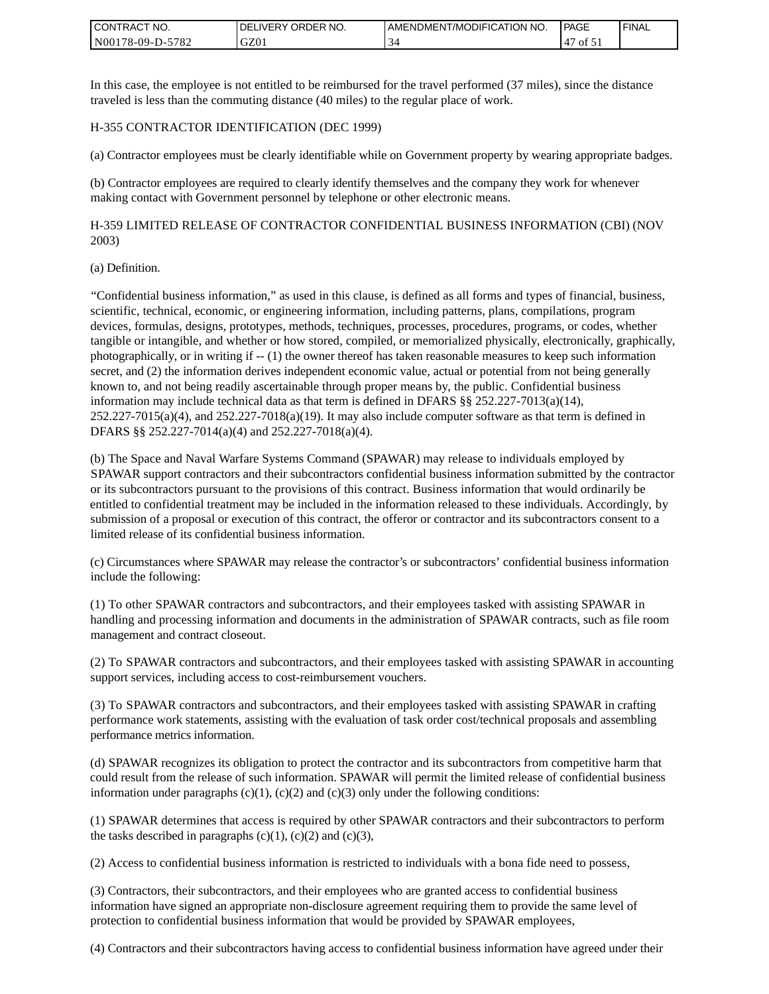| <b>I CONTRACT NO.</b>             | NO.<br>DELIVERY ORDER | AMENDMENT/MODIFICATION NO. | PAGE | <b>I FINAL</b> |
|-----------------------------------|-----------------------|----------------------------|------|----------------|
| 5782<br>N001<br>78-09-E<br>$D$ -f | GZ01                  |                            | οt   |                |

In this case, the employee is not entitled to be reimbursed for the travel performed (37 miles), since the distance traveled is less than the commuting distance (40 miles) to the regular place of work.

#### H-355 CONTRACTOR IDENTIFICATION (DEC 1999)

(a) Contractor employees must be clearly identifiable while on Government property by wearing appropriate badges.

(b) Contractor employees are required to clearly identify themselves and the company they work for whenever making contact with Government personnel by telephone or other electronic means.

H-359 LIMITED RELEASE OF CONTRACTOR CONFIDENTIAL BUSINESS INFORMATION (CBI) (NOV 2003)

#### (a) Definition.

"Confidential business information," as used in this clause, is defined as all forms and types of financial, business, scientific, technical, economic, or engineering information, including patterns, plans, compilations, program devices, formulas, designs, prototypes, methods, techniques, processes, procedures, programs, or codes, whether tangible or intangible, and whether or how stored, compiled, or memorialized physically, electronically, graphically, photographically, or in writing if -- (1) the owner thereof has taken reasonable measures to keep such information secret, and (2) the information derives independent economic value, actual or potential from not being generally known to, and not being readily ascertainable through proper means by, the public. Confidential business information may include technical data as that term is defined in DFARS  $\S$ § 252.227-7013(a)(14),  $252.227-7015(a)(4)$ , and  $252.227-7018(a)(19)$ . It may also include computer software as that term is defined in DFARS §§ 252.227-7014(a)(4) and 252.227-7018(a)(4).

(b) The Space and Naval Warfare Systems Command (SPAWAR) may release to individuals employed by SPAWAR support contractors and their subcontractors confidential business information submitted by the contractor or its subcontractors pursuant to the provisions of this contract. Business information that would ordinarily be entitled to confidential treatment may be included in the information released to these individuals. Accordingly, by submission of a proposal or execution of this contract, the offeror or contractor and its subcontractors consent to a limited release of its confidential business information.

(c) Circumstances where SPAWAR may release the contractor's or subcontractors' confidential business information include the following:

(1) To other SPAWAR contractors and subcontractors, and their employees tasked with assisting SPAWAR in handling and processing information and documents in the administration of SPAWAR contracts, such as file room management and contract closeout.

(2) To SPAWAR contractors and subcontractors, and their employees tasked with assisting SPAWAR in accounting support services, including access to cost-reimbursement vouchers.

(3) To SPAWAR contractors and subcontractors, and their employees tasked with assisting SPAWAR in crafting performance work statements, assisting with the evaluation of task order cost/technical proposals and assembling performance metrics information.

(d) SPAWAR recognizes its obligation to protect the contractor and its subcontractors from competitive harm that could result from the release of such information. SPAWAR will permit the limited release of confidential business information under paragraphs  $(c)(1)$ ,  $(c)(2)$  and  $(c)(3)$  only under the following conditions:

(1) SPAWAR determines that access is required by other SPAWAR contractors and their subcontractors to perform the tasks described in paragraphs  $(c)(1)$ ,  $(c)(2)$  and  $(c)(3)$ ,

(2) Access to confidential business information is restricted to individuals with a bona fide need to possess,

(3) Contractors, their subcontractors, and their employees who are granted access to confidential business information have signed an appropriate non-disclosure agreement requiring them to provide the same level of protection to confidential business information that would be provided by SPAWAR employees,

(4) Contractors and their subcontractors having access to confidential business information have agreed under their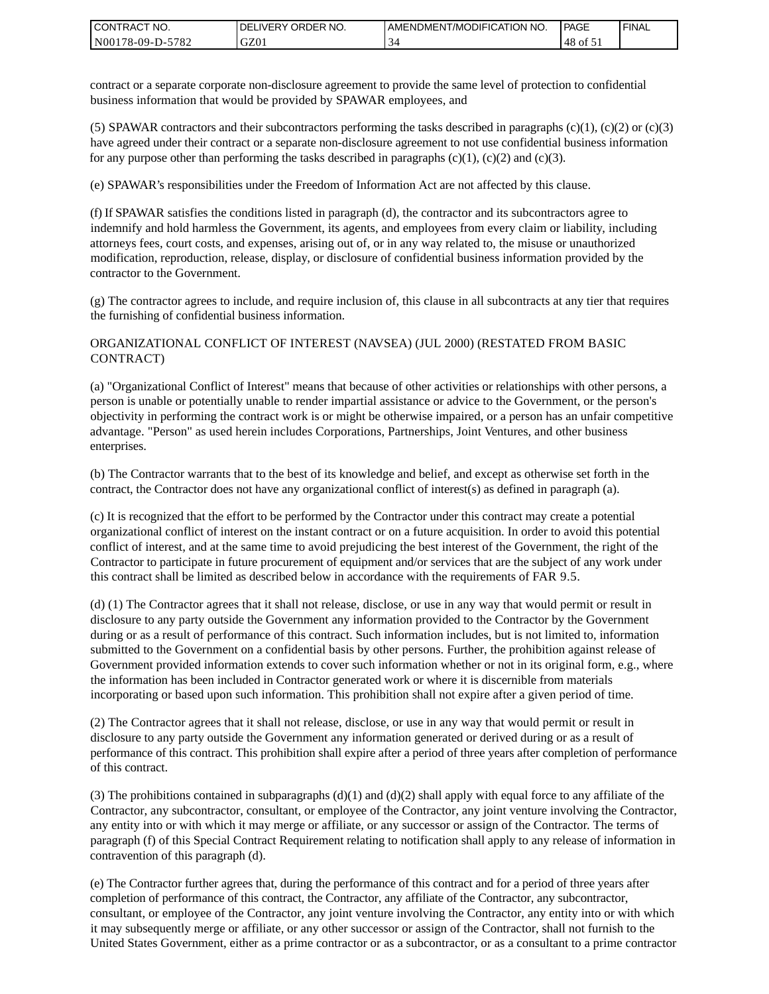| <b>I CONTRACT NO.</b> | DELIVERY ORDER NO. | AMENDMENT/MODIFICATION NO. | PAGE            | ' FINAL |
|-----------------------|--------------------|----------------------------|-----------------|---------|
| N00178-09-D-5782      | GZ01               |                            | 48<br>- v ot ג' |         |

contract or a separate corporate non-disclosure agreement to provide the same level of protection to confidential business information that would be provided by SPAWAR employees, and

(5) SPAWAR contractors and their subcontractors performing the tasks described in paragraphs  $(c)(1)$ ,  $(c)(2)$  or  $(c)(3)$ have agreed under their contract or a separate non-disclosure agreement to not use confidential business information for any purpose other than performing the tasks described in paragraphs  $(c)(1)$ ,  $(c)(2)$  and  $(c)(3)$ .

(e) SPAWAR's responsibilities under the Freedom of Information Act are not affected by this clause.

(f) If SPAWAR satisfies the conditions listed in paragraph (d), the contractor and its subcontractors agree to indemnify and hold harmless the Government, its agents, and employees from every claim or liability, including attorneys fees, court costs, and expenses, arising out of, or in any way related to, the misuse or unauthorized modification, reproduction, release, display, or disclosure of confidential business information provided by the contractor to the Government.

(g) The contractor agrees to include, and require inclusion of, this clause in all subcontracts at any tier that requires the furnishing of confidential business information.

#### ORGANIZATIONAL CONFLICT OF INTEREST (NAVSEA) (JUL 2000) (RESTATED FROM BASIC CONTRACT)

(a) "Organizational Conflict of Interest" means that because of other activities or relationships with other persons, a person is unable or potentially unable to render impartial assistance or advice to the Government, or the person's objectivity in performing the contract work is or might be otherwise impaired, or a person has an unfair competitive advantage. "Person" as used herein includes Corporations, Partnerships, Joint Ventures, and other business enterprises.

(b) The Contractor warrants that to the best of its knowledge and belief, and except as otherwise set forth in the contract, the Contractor does not have any organizational conflict of interest(s) as defined in paragraph (a).

(c) It is recognized that the effort to be performed by the Contractor under this contract may create a potential organizational conflict of interest on the instant contract or on a future acquisition. In order to avoid this potential conflict of interest, and at the same time to avoid prejudicing the best interest of the Government, the right of the Contractor to participate in future procurement of equipment and/or services that are the subject of any work under this contract shall be limited as described below in accordance with the requirements of FAR 9.5.

(d) (1) The Contractor agrees that it shall not release, disclose, or use in any way that would permit or result in disclosure to any party outside the Government any information provided to the Contractor by the Government during or as a result of performance of this contract. Such information includes, but is not limited to, information submitted to the Government on a confidential basis by other persons. Further, the prohibition against release of Government provided information extends to cover such information whether or not in its original form, e.g., where the information has been included in Contractor generated work or where it is discernible from materials incorporating or based upon such information. This prohibition shall not expire after a given period of time.

(2) The Contractor agrees that it shall not release, disclose, or use in any way that would permit or result in disclosure to any party outside the Government any information generated or derived during or as a result of performance of this contract. This prohibition shall expire after a period of three years after completion of performance of this contract.

(3) The prohibitions contained in subparagraphs  $(d)(1)$  and  $(d)(2)$  shall apply with equal force to any affiliate of the Contractor, any subcontractor, consultant, or employee of the Contractor, any joint venture involving the Contractor, any entity into or with which it may merge or affiliate, or any successor or assign of the Contractor. The terms of paragraph (f) of this Special Contract Requirement relating to notification shall apply to any release of information in contravention of this paragraph (d).

(e) The Contractor further agrees that, during the performance of this contract and for a period of three years after completion of performance of this contract, the Contractor, any affiliate of the Contractor, any subcontractor, consultant, or employee of the Contractor, any joint venture involving the Contractor, any entity into or with which it may subsequently merge or affiliate, or any other successor or assign of the Contractor, shall not furnish to the United States Government, either as a prime contractor or as a subcontractor, or as a consultant to a prime contractor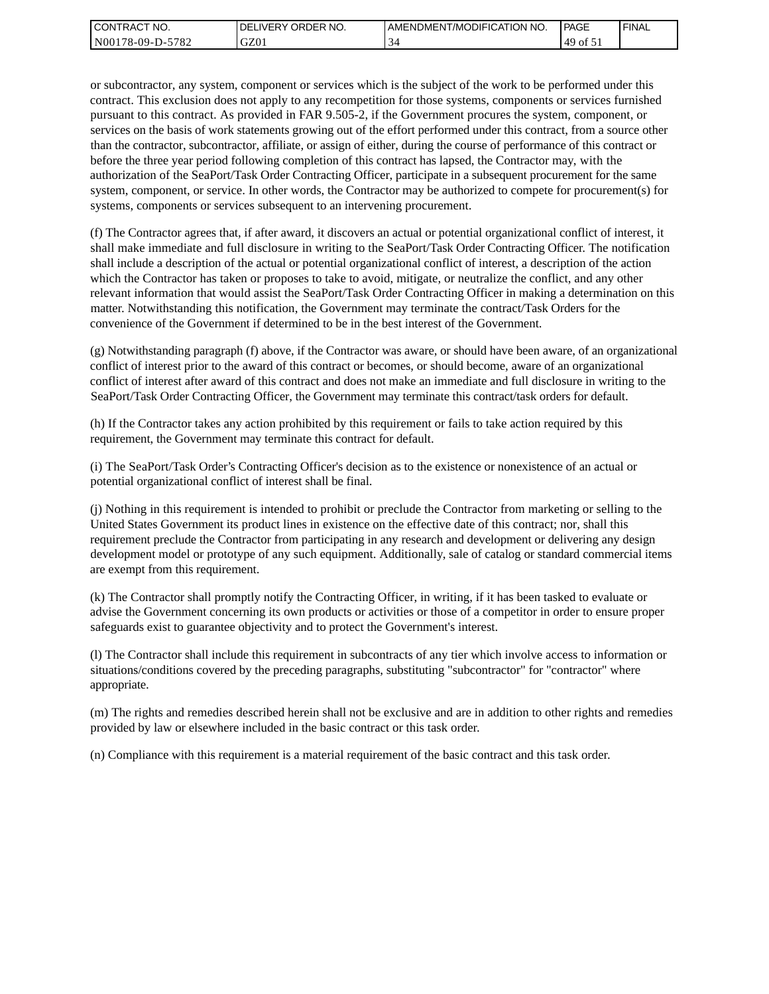| <b>I CONTRACT NO.</b> | <b>IDELIVERY ORDER NO.</b> | AMENDMENT/MODIFICATION NO. | PAGE      | 'FINAL |
|-----------------------|----------------------------|----------------------------|-----------|--------|
| N00178-09-D-5782      | GZ01                       |                            | .49<br>0t |        |

or subcontractor, any system, component or services which is the subject of the work to be performed under this contract. This exclusion does not apply to any recompetition for those systems, components or services furnished pursuant to this contract. As provided in FAR 9.505-2, if the Government procures the system, component, or services on the basis of work statements growing out of the effort performed under this contract, from a source other than the contractor, subcontractor, affiliate, or assign of either, during the course of performance of this contract or before the three year period following completion of this contract has lapsed, the Contractor may, with the authorization of the SeaPort/Task Order Contracting Officer, participate in a subsequent procurement for the same system, component, or service. In other words, the Contractor may be authorized to compete for procurement(s) for systems, components or services subsequent to an intervening procurement.

(f) The Contractor agrees that, if after award, it discovers an actual or potential organizational conflict of interest, it shall make immediate and full disclosure in writing to the SeaPort/Task Order Contracting Officer. The notification shall include a description of the actual or potential organizational conflict of interest, a description of the action which the Contractor has taken or proposes to take to avoid, mitigate, or neutralize the conflict, and any other relevant information that would assist the SeaPort/Task Order Contracting Officer in making a determination on this matter. Notwithstanding this notification, the Government may terminate the contract/Task Orders for the convenience of the Government if determined to be in the best interest of the Government.

(g) Notwithstanding paragraph (f) above, if the Contractor was aware, or should have been aware, of an organizational conflict of interest prior to the award of this contract or becomes, or should become, aware of an organizational conflict of interest after award of this contract and does not make an immediate and full disclosure in writing to the SeaPort/Task Order Contracting Officer, the Government may terminate this contract/task orders for default.

(h) If the Contractor takes any action prohibited by this requirement or fails to take action required by this requirement, the Government may terminate this contract for default.

(i) The SeaPort/Task Order's Contracting Officer's decision as to the existence or nonexistence of an actual or potential organizational conflict of interest shall be final.

(j) Nothing in this requirement is intended to prohibit or preclude the Contractor from marketing or selling to the United States Government its product lines in existence on the effective date of this contract; nor, shall this requirement preclude the Contractor from participating in any research and development or delivering any design development model or prototype of any such equipment. Additionally, sale of catalog or standard commercial items are exempt from this requirement.

(k) The Contractor shall promptly notify the Contracting Officer, in writing, if it has been tasked to evaluate or advise the Government concerning its own products or activities or those of a competitor in order to ensure proper safeguards exist to guarantee objectivity and to protect the Government's interest.

(l) The Contractor shall include this requirement in subcontracts of any tier which involve access to information or situations/conditions covered by the preceding paragraphs, substituting "subcontractor" for "contractor" where appropriate.

(m) The rights and remedies described herein shall not be exclusive and are in addition to other rights and remedies provided by law or elsewhere included in the basic contract or this task order.

(n) Compliance with this requirement is a material requirement of the basic contract and this task order.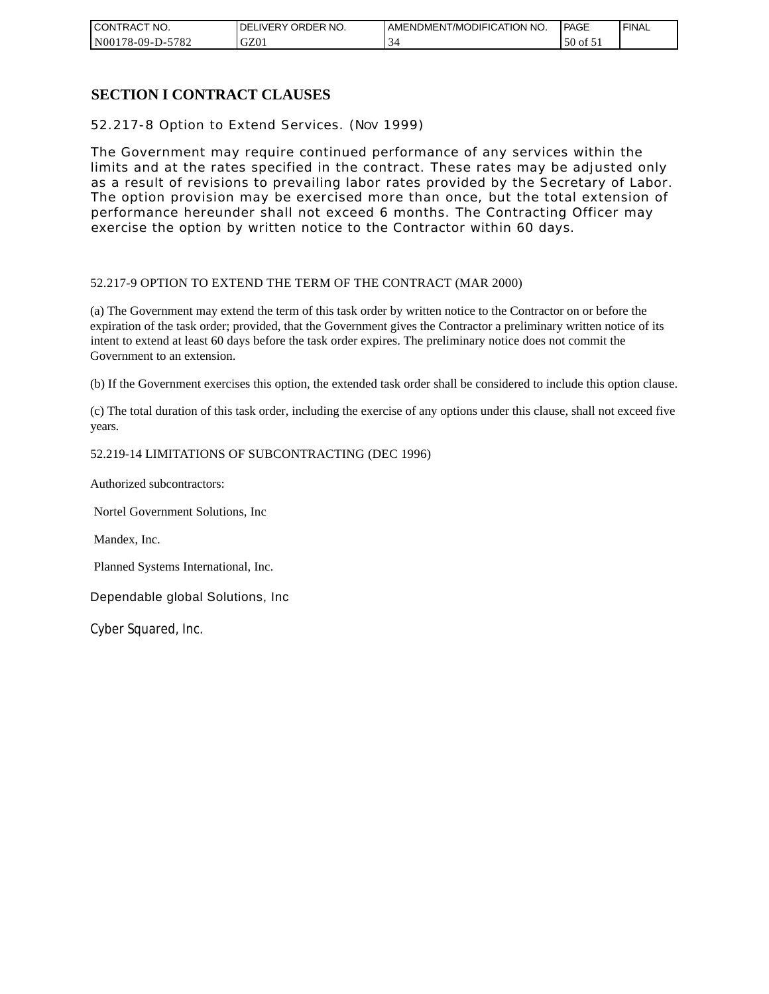| CONTRACT NO.          | NO.<br>ORDER<br><b>DELIVERY</b> | AMENDMENT/MODIFICATION NO. | <b>PAGE</b>     | ' FINAL |
|-----------------------|---------------------------------|----------------------------|-----------------|---------|
| N00178-09-D-5<br>5782 | GZ01                            |                            | 50<br>ΟĪ<br>، ب |         |

### **SECTION I CONTRACT CLAUSES**

52.217-8 Option to Extend Services. (NOV 1999)

The Government may require continued performance of any services within the limits and at the rates specified in the contract. These rates may be adjusted only as a result of revisions to prevailing labor rates provided by the Secretary of Labor. The option provision may be exercised more than once, but the total extension of performance hereunder shall not exceed 6 months. The Contracting Officer may exercise the option by written notice to the Contractor within 60 days.

#### 52.217-9 OPTION TO EXTEND THE TERM OF THE CONTRACT (MAR 2000)

(a) The Government may extend the term of this task order by written notice to the Contractor on or before the expiration of the task order; provided, that the Government gives the Contractor a preliminary written notice of its intent to extend at least 60 days before the task order expires. The preliminary notice does not commit the Government to an extension.

(b) If the Government exercises this option, the extended task order shall be considered to include this option clause.

(c) The total duration of this task order, including the exercise of any options under this clause, shall not exceed five years.

#### 52.219-14 LIMITATIONS OF SUBCONTRACTING (DEC 1996)

Authorized subcontractors:

Nortel Government Solutions, Inc

Mandex, Inc.

Planned Systems International, Inc.

Dependable global Solutions, Inc

Cyber Squared, Inc.